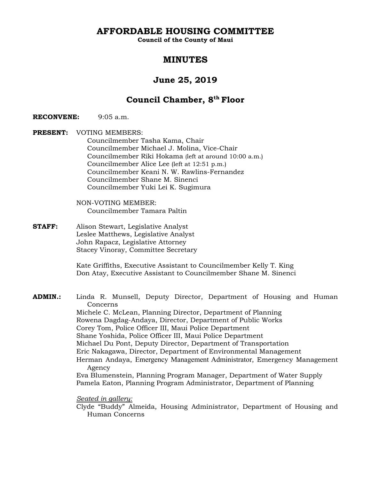**AFFORDABLE HOUSING COMMITTEE** 

**Council of the County of Maui** 

# **MINUTES**

# **June 25, 2019**

# **Council Chamber, 8th Floor**

**RECONVENE:** 9:05 a.m.

**PRESENT:** VOTING MEMBERS: Councilmember Tasha Kama, Chair Councilmember Michael J. Molina, Vice-Chair Councilmember Riki Hokama (left at around 10:00 a.m.) Councilmember Alice Lee (left at 12:51 p.m.) Councilmember Keani N. W. Rawlins-Fernandez Councilmember Shane M. Sinenci Councilmember Yuki Lei K. Sugimura

> NON-VOTING MEMBER: Councilmember Tamara Paltin

**STAFF:** Alison Stewart, Legislative Analyst Leslee Matthews, Legislative Analyst John Rapacz, Legislative Attorney Stacey Vinoray, Committee Secretary

> Kate Griffiths, Executive Assistant to Councilmember Kelly T. King Don Atay, Executive Assistant to Councilmember Shane M. Sinenci

**ADMIN.:** Linda R. Munsell, Deputy Director, Department of Housing and Human Concerns Michele C. McLean, Planning Director, Department of Planning Rowena Dagdag-Andaya, Director, Department of Public Works Corey Tom, Police Officer III, Maui Police Department Shane Yoshida, Police Officer III, Maui Police Department Michael Du Pont, Deputy Director, Department of Transportation Eric Nakagawa, Director, Department of Environmental Management Herman Andaya, Emergency Management Administrator, Emergency Management Agency Eva Blumenstein, Planning Program Manager, Department of Water Supply Pamela Eaton, Planning Program Administrator, Department of Planning

## *Seated in gallery:*

 Clyde "Buddy" Almeida, Housing Administrator, Department of Housing and Human Concerns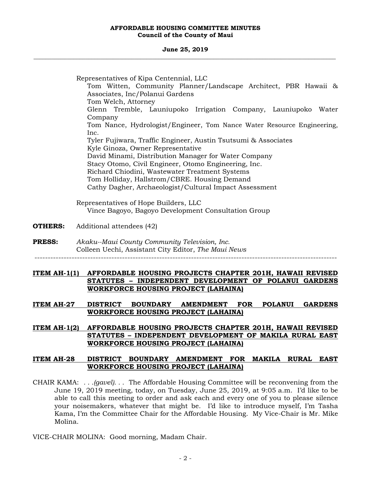#### **June 25, 2019 \_\_\_\_\_\_\_\_\_\_\_\_\_\_\_\_\_\_\_\_\_\_\_\_\_\_\_\_\_\_\_\_\_\_\_\_\_\_\_\_\_\_\_\_\_\_\_\_\_\_\_\_\_\_\_\_\_\_\_\_\_\_\_\_\_\_\_\_\_\_\_\_\_\_\_\_\_\_\_\_\_\_\_\_\_\_\_\_\_\_\_\_\_\_\_\_\_\_\_**

 Representatives of Kipa Centennial, LLC Tom Witten, Community Planner/Landscape Architect, PBR Hawaii & Associates, Inc/Polanui Gardens Tom Welch, Attorney Glenn Tremble, Launiupoko Irrigation Company, Launiupoko Water Company Tom Nance, Hydrologist/Engineer, Tom Nance Water Resource Engineering, Inc. Tyler Fujiwara, Traffic Engineer, Austin Tsutsumi & Associates Kyle Ginoza, Owner Representative David Minami, Distribution Manager for Water Company Stacy Otomo, Civil Engineer, Otomo Engineering, Inc. Richard Chiodini, Wastewater Treatment Systems Tom Holliday, Hallstrom/CBRE. Housing Demand Cathy Dagher, Archaeologist/Cultural Impact Assessment Representatives of Hope Builders, LLC Vince Bagoyo, Bagoyo Development Consultation Group **OTHERS:** Additional attendees (42) **PRESS:** *Akaku--Maui County Community Television, Inc.*  Colleen Uechi, Assistant City Editor, *The Maui News*  ------------------------------------------------------------------------------------------------------------------

## **ITEM AH-1(1) AFFORDABLE HOUSING PROJECTS CHAPTER 201H, HAWAII REVISED STATUTES – INDEPENDENT DEVELOPMENT OF POLANUI GARDENS WORKFORCE HOUSING PROJECT (LAHAINA)**

**ITEM AH-27 DISTRICT BOUNDARY AMENDMENT FOR POLANUI GARDENS WORKFORCE HOUSING PROJECT (LAHAINA)** 

## **ITEM AH-1(2) AFFORDABLE HOUSING PROJECTS CHAPTER 201H, HAWAII REVISED STATUTES – INDEPENDENT DEVELOPMENT OF MAKILA RURAL EAST WORKFORCE HOUSING PROJECT (LAHAINA)**

## **ITEM AH-28 DISTRICT BOUNDARY AMENDMENT FOR MAKILA RURAL EAST WORKFORCE HOUSING PROJECT (LAHAINA)**

CHAIR KAMA: *. . .(gavel). . .* The Affordable Housing Committee will be reconvening from the June 19, 2019 meeting, today, on Tuesday, June 25, 2019, at 9:05 a.m. I'd like to be able to call this meeting to order and ask each and every one of you to please silence your noisemakers, whatever that might be. I'd like to introduce myself, I'm Tasha Kama, I'm the Committee Chair for the Affordable Housing. My Vice-Chair is Mr. Mike Molina.

VICE-CHAIR MOLINA: Good morning, Madam Chair.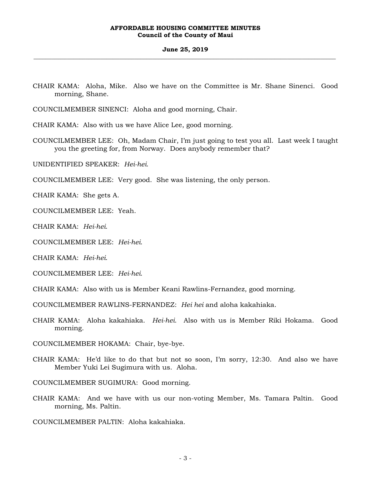#### **June 25, 2019 \_\_\_\_\_\_\_\_\_\_\_\_\_\_\_\_\_\_\_\_\_\_\_\_\_\_\_\_\_\_\_\_\_\_\_\_\_\_\_\_\_\_\_\_\_\_\_\_\_\_\_\_\_\_\_\_\_\_\_\_\_\_\_\_\_\_\_\_\_\_\_\_\_\_\_\_\_\_\_\_\_\_\_\_\_\_\_\_\_\_\_\_\_\_\_\_\_\_\_**

CHAIR KAMA: Aloha, Mike. Also we have on the Committee is Mr. Shane Sinenci. Good morning, Shane.

COUNCILMEMBER SINENCI: Aloha and good morning, Chair.

CHAIR KAMA: Also with us we have Alice Lee, good morning.

COUNCILMEMBER LEE: Oh, Madam Chair, I'm just going to test you all. Last week I taught you the greeting for, from Norway. Does anybody remember that?

UNIDENTIFIED SPEAKER: *Hei-hei*.

COUNCILMEMBER LEE: Very good. She was listening, the only person.

CHAIR KAMA: She gets A.

COUNCILMEMBER LEE: Yeah.

CHAIR KAMA: *Hei-hei*.

COUNCILMEMBER LEE: *Hei-hei*.

CHAIR KAMA: *Hei-hei*.

COUNCILMEMBER LEE: *Hei-hei*.

CHAIR KAMA: Also with us is Member Keani Rawlins-Fernandez, good morning.

COUNCILMEMBER RAWLINS-FERNANDEZ: *Hei hei* and aloha kakahiaka.

CHAIR KAMA: Aloha kakahiaka. *Hei-hei*. Also with us is Member Riki Hokama. Good morning.

COUNCILMEMBER HOKAMA: Chair, bye-bye.

CHAIR KAMA: He'd like to do that but not so soon, I'm sorry, 12:30. And also we have Member Yuki Lei Sugimura with us. Aloha.

COUNCILMEMBER SUGIMURA: Good morning.

CHAIR KAMA: And we have with us our non-voting Member, Ms. Tamara Paltin. Good morning, Ms. Paltin.

COUNCILMEMBER PALTIN: Aloha kakahiaka.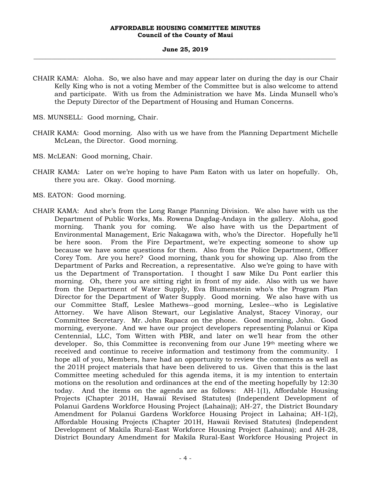#### **June 25, 2019 \_\_\_\_\_\_\_\_\_\_\_\_\_\_\_\_\_\_\_\_\_\_\_\_\_\_\_\_\_\_\_\_\_\_\_\_\_\_\_\_\_\_\_\_\_\_\_\_\_\_\_\_\_\_\_\_\_\_\_\_\_\_\_\_\_\_\_\_\_\_\_\_\_\_\_\_\_\_\_\_\_\_\_\_\_\_\_\_\_\_\_\_\_\_\_\_\_\_\_**

- CHAIR KAMA: Aloha. So, we also have and may appear later on during the day is our Chair Kelly King who is not a voting Member of the Committee but is also welcome to attend and participate. With us from the Administration we have Ms. Linda Munsell who's the Deputy Director of the Department of Housing and Human Concerns.
- MS. MUNSELL: Good morning, Chair.
- CHAIR KAMA: Good morning. Also with us we have from the Planning Department Michelle McLean, the Director. Good morning.
- MS. McLEAN: Good morning, Chair.
- CHAIR KAMA: Later on we're hoping to have Pam Eaton with us later on hopefully. Oh, there you are. Okay. Good morning.
- MS. EATON: Good morning.
- CHAIR KAMA: And she's from the Long Range Planning Division. We also have with us the Department of Public Works, Ms. Rowena Dagdag-Andaya in the gallery. Aloha, good morning. Thank you for coming. We also have with us the Department of Environmental Management, Eric Nakagawa with, who's the Director. Hopefully he'll be here soon. From the Fire Department, we're expecting someone to show up because we have some questions for them. Also from the Police Department, Officer Corey Tom. Are you here? Good morning, thank you for showing up. Also from the Department of Parks and Recreation, a representative. Also we're going to have with us the Department of Transportation. I thought I saw Mike Du Pont earlier this morning. Oh, there you are sitting right in front of my aide. Also with us we have from the Department of Water Supply, Eva Blumenstein who's the Program Plan Director for the Department of Water Supply. Good morning. We also have with us our Committee Staff, Leslee Mathews--good morning, Leslee--who is Legislative Attorney. We have Alison Stewart, our Legislative Analyst, Stacey Vinoray, our Committee Secretary. Mr. John Rapacz on the phone. Good morning, John. Good morning, everyone. And we have our project developers representing Polanui or Kipa Centennial, LLC, Tom Witten with PBR, and later on we'll hear from the other developer. So, this Committee is reconvening from our June 19th meeting where we received and continue to receive information and testimony from the community. I hope all of you, Members, have had an opportunity to review the comments as well as the 201H project materials that have been delivered to us. Given that this is the last Committee meeting scheduled for this agenda items, it is my intention to entertain motions on the resolution and ordinances at the end of the meeting hopefully by 12:30 today. And the items on the agenda are as follows: AH-1(1), Affordable Housing Projects (Chapter 201H, Hawaii Revised Statutes) (Independent Development of Polanui Gardens Workforce Housing Project (Lahaina)); AH-27, the District Boundary Amendment for Polanui Gardens Workforce Housing Project in Lahaina; AH-1(2), Affordable Housing Projects (Chapter 201H, Hawaii Revised Statutes) (Independent Development of Makila Rural-East Workforce Housing Project (Lahaina); and AH-28, District Boundary Amendment for Makila Rural-East Workforce Housing Project in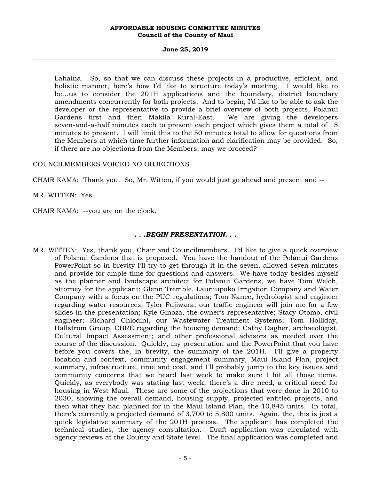#### **June 25, 2019 \_\_\_\_\_\_\_\_\_\_\_\_\_\_\_\_\_\_\_\_\_\_\_\_\_\_\_\_\_\_\_\_\_\_\_\_\_\_\_\_\_\_\_\_\_\_\_\_\_\_\_\_\_\_\_\_\_\_\_\_\_\_\_\_\_\_\_\_\_\_\_\_\_\_\_\_\_\_\_\_\_\_\_\_\_\_\_\_\_\_\_\_\_\_\_\_\_\_\_**

Lahaina. So, so that we can discuss these projects in a productive, efficient, and holistic manner, here's how I'd like to structure today's meeting. I would like to be…us to consider the 201H applications and the boundary, district boundary amendments concurrently for both projects. And to begin, I'd like to be able to ask the developer or the representative to provide a brief overview of both projects, Polanui Gardens first and then Makila Rural-East. We are giving the developers seven-and-a-half minutes each to present each project which gives them a total of 15 minutes to present. I will limit this to the 50 minutes total to allow for questions from the Members at which time further information and clarification may be provided. So, if there are no objections from the Members, may we proceed?

## COUNCILMEMBERS VOICED NO OBJECTIONS

CHAIR KAMA: Thank you. So, Mr. Witten, if you would just go ahead and present and --

MR. WITTEN: Yes.

CHAIR KAMA: --you are on the clock.

## *. . .BEGIN PRESENTATION. . .*

MR. WITTEN: Yes, thank you, Chair and Councilmembers. I'd like to give a quick overview of Polanui Gardens that is proposed. You have the handout of the Polanui Gardens PowerPoint so in brevity I'll try to get through it in the seven, allowed seven minutes and provide for ample time for questions and answers. We have today besides myself as the planner and landscape architect for Polanui Gardens, we have Tom Welch, attorney for the applicant; Glenn Tremble, Launiupoko Irrigation Company and Water Company with a focus on the PUC regulations; Tom Nance, hydrologist and engineer regarding water resources; Tyler Fujiwara, our traffic engineer will join me for a few slides in the presentation; Kyle Ginoza, the owner's representative; Stacy Otomo, civil engineer; Richard Chiodini, our Wastewater Treatment Systems; Tom Holliday, Hallstrom Group, CBRE regarding the housing demand; Cathy Dagher, archaeologist, Cultural Impact Assessment; and other professional advisors as needed over the course of the discussion. Quickly, my presentation and the PowerPoint that you have before you covers the, in brevity, the summary of the 201H. I'll give a property location and context, community engagement summary, Maui Island Plan, project summary, infrastructure, time and cost, and I'll probably jump to the key issues and community concerns that we heard last week to make sure I hit all those items. Quickly, as everybody was stating last week, there's a dire need, a critical need for housing in West Maui. These are some of the projections that were done in 2010 to 2030, showing the overall demand, housing supply, projected entitled projects, and then what they had planned for in the Maui Island Plan, the 10,845 units. In total, there's currently a projected demand of 3,700 to 5,800 units. Again, the, this is just a quick legislative summary of the 201H process. The applicant has completed the technical studies, the agency consultation. Draft application was circulated with agency reviews at the County and State level. The final application was completed and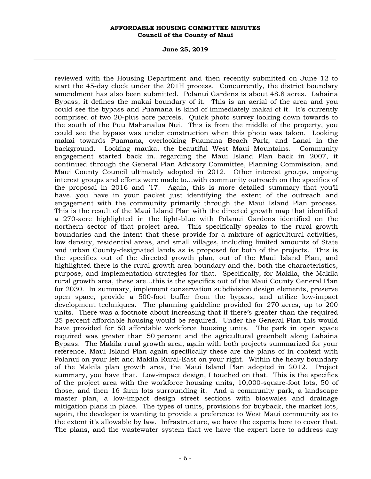#### **June 25, 2019 \_\_\_\_\_\_\_\_\_\_\_\_\_\_\_\_\_\_\_\_\_\_\_\_\_\_\_\_\_\_\_\_\_\_\_\_\_\_\_\_\_\_\_\_\_\_\_\_\_\_\_\_\_\_\_\_\_\_\_\_\_\_\_\_\_\_\_\_\_\_\_\_\_\_\_\_\_\_\_\_\_\_\_\_\_\_\_\_\_\_\_\_\_\_\_\_\_\_\_**

reviewed with the Housing Department and then recently submitted on June 12 to start the 45-day clock under the 201H process. Concurrently, the district boundary amendment has also been submitted. Polanui Gardens is about 48.8 acres. Lahaina Bypass, it defines the makai boundary of it. This is an aerial of the area and you could see the bypass and Puamana is kind of immediately makai of it. It's currently comprised of two 20-plus acre parcels. Quick photo survey looking down towards to the south of the Puu Mahanalua Nui. This is from the middle of the property, you could see the bypass was under construction when this photo was taken. Looking makai towards Puamana, overlooking Puamana Beach Park, and Lanai in the background. Looking mauka, the beautiful West Maui Mountains. Community engagement started back in…regarding the Maui Island Plan back in 2007, it continued through the General Plan Advisory Committee, Planning Commission, and Maui County Council ultimately adopted in 2012. Other interest groups, ongoing interest groups and efforts were made to…with community outreach on the specifics of the proposal in 2016 and '17. Again, this is more detailed summary that you'll have…you have in your packet just identifying the extent of the outreach and engagement with the community primarily through the Maui Island Plan process. This is the result of the Maui Island Plan with the directed growth map that identified a 270-acre highlighted in the light-blue with Polanui Gardens identified on the northern sector of that project area. This specifically speaks to the rural growth boundaries and the intent that these provide for a mixture of agricultural activities, low density, residential areas, and small villages, including limited amounts of State and urban County-designated lands as is proposed for both of the projects. This is the specifics out of the directed growth plan, out of the Maui Island Plan, and highlighted there is the rural growth area boundary and the, both the characteristics, purpose, and implementation strategies for that. Specifically, for Makila, the Makila rural growth area, these are…this is the specifics out of the Maui County General Plan for 2030. In summary, implement conservation subdivision design elements, preserve open space, provide a 500-foot buffer from the bypass, and utilize low-impact development techniques. The planning guideline provided for 270 acres, up to 200 units. There was a footnote about increasing that if there's greater than the required 25 percent affordable housing would be required. Under the General Plan this would have provided for 50 affordable workforce housing units. The park in open space required was greater than 50 percent and the agricultural greenbelt along Lahaina Bypass. The Makila rural growth area, again with both projects summarized for your reference, Maui Island Plan again specifically these are the plans of in context with Polanui on your left and Makila Rural-East on your right. Within the heavy boundary of the Makila plan growth area, the Maui Island Plan adopted in 2012. Project summary, you have that. Low-impact design, I touched on that. This is the specifics of the project area with the workforce housing units, 10,000-square-foot lots, 50 of those, and then 16 farm lots surrounding it. And a community park, a landscape master plan, a low-impact design street sections with bioswales and drainage mitigation plans in place. The types of units, provisions for buyback, the market lots, again, the developer is wanting to provide a preference to West Maui community as to the extent it's allowable by law. Infrastructure, we have the experts here to cover that. The plans, and the wastewater system that we have the expert here to address any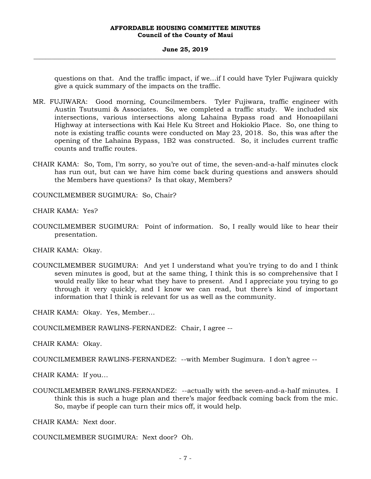#### **June 25, 2019 \_\_\_\_\_\_\_\_\_\_\_\_\_\_\_\_\_\_\_\_\_\_\_\_\_\_\_\_\_\_\_\_\_\_\_\_\_\_\_\_\_\_\_\_\_\_\_\_\_\_\_\_\_\_\_\_\_\_\_\_\_\_\_\_\_\_\_\_\_\_\_\_\_\_\_\_\_\_\_\_\_\_\_\_\_\_\_\_\_\_\_\_\_\_\_\_\_\_\_**

questions on that. And the traffic impact, if we…if I could have Tyler Fujiwara quickly give a quick summary of the impacts on the traffic.

- MR. FUJIWARA: Good morning, Councilmembers. Tyler Fujiwara, traffic engineer with Austin Tsutsumi & Associates. So, we completed a traffic study. We included six intersections, various intersections along Lahaina Bypass road and Honoapiilani Highway at intersections with Kai Hele Ku Street and Hokiokio Place. So, one thing to note is existing traffic counts were conducted on May 23, 2018. So, this was after the opening of the Lahaina Bypass, 1B2 was constructed. So, it includes current traffic counts and traffic routes.
- CHAIR KAMA: So, Tom, I'm sorry, so you're out of time, the seven-and-a-half minutes clock has run out, but can we have him come back during questions and answers should the Members have questions? Is that okay, Members?

COUNCILMEMBER SUGIMURA: So, Chair?

CHAIR KAMA: Yes?

COUNCILMEMBER SUGIMURA: Point of information. So, I really would like to hear their presentation.

CHAIR KAMA: Okay.

COUNCILMEMBER SUGIMURA: And yet I understand what you're trying to do and I think seven minutes is good, but at the same thing, I think this is so comprehensive that I would really like to hear what they have to present. And I appreciate you trying to go through it very quickly, and I know we can read, but there's kind of important information that I think is relevant for us as well as the community.

CHAIR KAMA: Okay. Yes, Member…

COUNCILMEMBER RAWLINS-FERNANDEZ: Chair, I agree --

CHAIR KAMA: Okay.

COUNCILMEMBER RAWLINS-FERNANDEZ: --with Member Sugimura. I don't agree --

CHAIR KAMA: If you…

COUNCILMEMBER RAWLINS-FERNANDEZ: --actually with the seven-and-a-half minutes. I think this is such a huge plan and there's major feedback coming back from the mic. So, maybe if people can turn their mics off, it would help.

CHAIR KAMA: Next door.

COUNCILMEMBER SUGIMURA: Next door? Oh.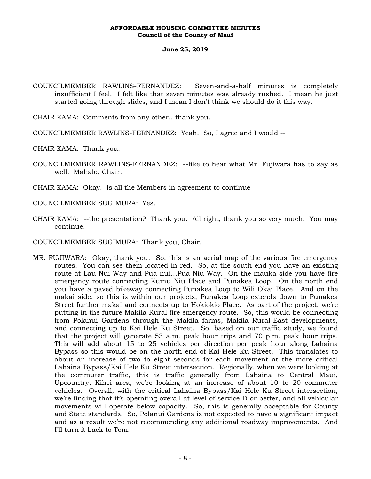#### **June 25, 2019 \_\_\_\_\_\_\_\_\_\_\_\_\_\_\_\_\_\_\_\_\_\_\_\_\_\_\_\_\_\_\_\_\_\_\_\_\_\_\_\_\_\_\_\_\_\_\_\_\_\_\_\_\_\_\_\_\_\_\_\_\_\_\_\_\_\_\_\_\_\_\_\_\_\_\_\_\_\_\_\_\_\_\_\_\_\_\_\_\_\_\_\_\_\_\_\_\_\_\_**

- COUNCILMEMBER RAWLINS-FERNANDEZ: Seven-and-a-half minutes is completely insufficient I feel. I felt like that seven minutes was already rushed. I mean he just started going through slides, and I mean I don't think we should do it this way.
- CHAIR KAMA: Comments from any other…thank you.
- COUNCILMEMBER RAWLINS-FERNANDEZ: Yeah. So, I agree and I would --
- CHAIR KAMA: Thank you.
- COUNCILMEMBER RAWLINS-FERNANDEZ: --like to hear what Mr. Fujiwara has to say as well. Mahalo, Chair.
- CHAIR KAMA: Okay. Is all the Members in agreement to continue --

COUNCILMEMBER SUGIMURA: Yes.

- CHAIR KAMA: --the presentation? Thank you. All right, thank you so very much. You may continue.
- COUNCILMEMBER SUGIMURA: Thank you, Chair.
- MR. FUJIWARA: Okay, thank you. So, this is an aerial map of the various fire emergency routes. You can see them located in red. So, at the south end you have an existing route at Lau Nui Way and Pua nui…Pua Niu Way. On the mauka side you have fire emergency route connecting Kumu Niu Place and Punakea Loop. On the north end you have a paved bikeway connecting Punakea Loop to Wili Okai Place. And on the makai side, so this is within our projects, Punakea Loop extends down to Punakea Street further makai and connects up to Hokiokio Place. As part of the project, we're putting in the future Makila Rural fire emergency route. So, this would be connecting from Polanui Gardens through the Makila farms, Makila Rural-East developments, and connecting up to Kai Hele Ku Street. So, based on our traffic study, we found that the project will generate 53 a.m. peak hour trips and 70 p.m. peak hour trips. This will add about 15 to 25 vehicles per direction per peak hour along Lahaina Bypass so this would be on the north end of Kai Hele Ku Street. This translates to about an increase of two to eight seconds for each movement at the more critical Lahaina Bypass/Kai Hele Ku Street intersection. Regionally, when we were looking at the commuter traffic, this is traffic generally from Lahaina to Central Maui, Upcountry, Kihei area, we're looking at an increase of about 10 to 20 commuter vehicles. Overall, with the critical Lahaina Bypass/Kai Hele Ku Street intersection, we're finding that it's operating overall at level of service D or better, and all vehicular movements will operate below capacity. So, this is generally acceptable for County and State standards. So, Polanui Gardens is not expected to have a significant impact and as a result we're not recommending any additional roadway improvements. And I'll turn it back to Tom.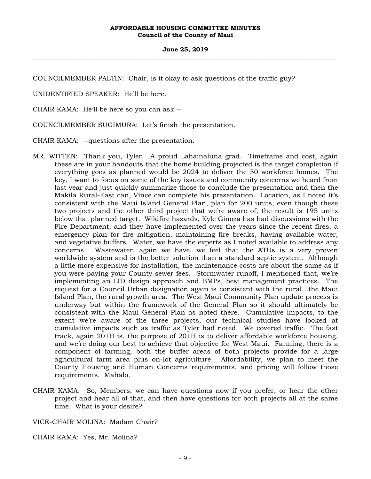#### **June 25, 2019 \_\_\_\_\_\_\_\_\_\_\_\_\_\_\_\_\_\_\_\_\_\_\_\_\_\_\_\_\_\_\_\_\_\_\_\_\_\_\_\_\_\_\_\_\_\_\_\_\_\_\_\_\_\_\_\_\_\_\_\_\_\_\_\_\_\_\_\_\_\_\_\_\_\_\_\_\_\_\_\_\_\_\_\_\_\_\_\_\_\_\_\_\_\_\_\_\_\_\_**

COUNCILMEMBER PALTIN: Chair, is it okay to ask questions of the traffic guy?

UNIDENTIFIED SPEAKER: He'll be here.

CHAIR KAMA: He'll be here so you can ask --

COUNCILMEMBER SUGIMURA: Let's finish the presentation.

CHAIR KAMA: --questions after the presentation.

- MR. WITTEN: Thank you, Tyler. A proud Lahainaluna grad. Timeframe and cost, again these are in your handouts that the home building projected is the target completion if everything goes as planned would be 2024 to deliver the 50 workforce homes. The key, I want to focus on some of the key issues and community concerns we heard from last year and just quickly summarize those to conclude the presentation and then the Makila Rural-East can, Vince can complete his presentation. Location, as I noted it's consistent with the Maui Island General Plan, plan for 200 units, even though these two projects and the other third project that we're aware of, the result is 195 units below that planned target. Wildfire hazards, Kyle Ginoza has had discussions with the Fire Department, and they have implemented over the years since the recent fires, a emergency plan for fire mitigation, maintaining fire breaks, having available water, and vegetative buffers. Water, we have the experts as I noted available to address any concerns. Wastewater, again we have…we feel that the ATUs is a very proven worldwide system and is the better solution than a standard septic system. Although a little more expensive for installation, the maintenance costs are about the same as if you were paying your County sewer fees. Stormwater runoff, I mentioned that, we're implementing an LID design approach and BMPs, best management practices. The request for a Council Urban designation again is consistent with the rural…the Maui Island Plan, the rural growth area. The West Maui Community Plan update process is underway but within the framework of the General Plan so it should ultimately be consistent with the Maui General Plan as noted there. Cumulative impacts, to the extent we're aware of the three projects, our technical studies have looked at cumulative impacts such as traffic as Tyler had noted. We covered traffic. The fast track, again 201H is, the purpose of 201H is to deliver affordable workforce housing, and we're doing our best to achieve that objective for West Maui. Farming, there is a component of farming, both the buffer areas of both projects provide for a large agricultural farm area plus on-lot agriculture. Affordability, we plan to meet the County Housing and Human Concerns requirements, and pricing will follow those requirements. Mahalo.
- CHAIR KAMA: So, Members, we can have questions now if you prefer, or hear the other project and hear all of that, and then have questions for both projects all at the same time. What is your desire?

VICE-CHAIR MOLINA: Madam Chair?

CHAIR KAMA: Yes, Mr. Molina?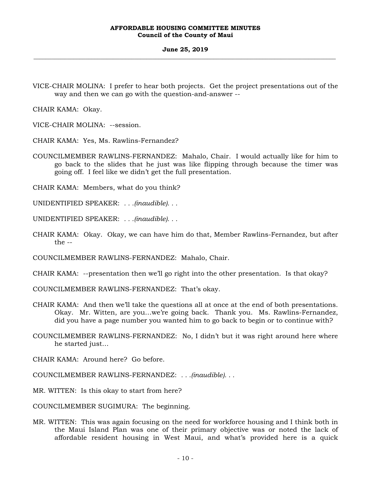#### **June 25, 2019 \_\_\_\_\_\_\_\_\_\_\_\_\_\_\_\_\_\_\_\_\_\_\_\_\_\_\_\_\_\_\_\_\_\_\_\_\_\_\_\_\_\_\_\_\_\_\_\_\_\_\_\_\_\_\_\_\_\_\_\_\_\_\_\_\_\_\_\_\_\_\_\_\_\_\_\_\_\_\_\_\_\_\_\_\_\_\_\_\_\_\_\_\_\_\_\_\_\_\_**

VICE-CHAIR MOLINA: I prefer to hear both projects. Get the project presentations out of the way and then we can go with the question-and-answer --

CHAIR KAMA: Okay.

VICE-CHAIR MOLINA: --session.

CHAIR KAMA: Yes, Ms. Rawlins-Fernandez?

COUNCILMEMBER RAWLINS-FERNANDEZ: Mahalo, Chair. I would actually like for him to go back to the slides that he just was like flipping through because the timer was going off. I feel like we didn't get the full presentation.

CHAIR KAMA: Members, what do you think?

UNIDENTIFIED SPEAKER: *. . .(inaudible). . .*

UNIDENTIFIED SPEAKER: *. . .(inaudible). . .*

CHAIR KAMA: Okay. Okay, we can have him do that, Member Rawlins-Fernandez, but after the --

COUNCILMEMBER RAWLINS-FERNANDEZ: Mahalo, Chair.

CHAIR KAMA: --presentation then we'll go right into the other presentation. Is that okay?

COUNCILMEMBER RAWLINS-FERNANDEZ: That's okay.

- CHAIR KAMA: And then we'll take the questions all at once at the end of both presentations. Okay. Mr. Witten, are you…we're going back. Thank you. Ms. Rawlins-Fernandez, did you have a page number you wanted him to go back to begin or to continue with?
- COUNCILMEMBER RAWLINS-FERNANDEZ: No, I didn't but it was right around here where he started just…

CHAIR KAMA: Around here? Go before.

COUNCILMEMBER RAWLINS-FERNANDEZ: *. . .(inaudible). . .*

MR. WITTEN: Is this okay to start from here?

COUNCILMEMBER SUGIMURA: The beginning.

MR. WITTEN: This was again focusing on the need for workforce housing and I think both in the Maui Island Plan was one of their primary objective was or noted the lack of affordable resident housing in West Maui, and what's provided here is a quick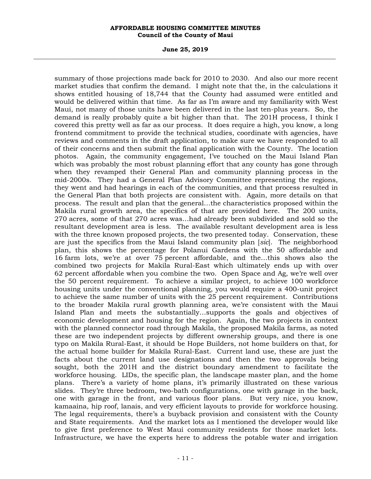**June 25, 2019 \_\_\_\_\_\_\_\_\_\_\_\_\_\_\_\_\_\_\_\_\_\_\_\_\_\_\_\_\_\_\_\_\_\_\_\_\_\_\_\_\_\_\_\_\_\_\_\_\_\_\_\_\_\_\_\_\_\_\_\_\_\_\_\_\_\_\_\_\_\_\_\_\_\_\_\_\_\_\_\_\_\_\_\_\_\_\_\_\_\_\_\_\_\_\_\_\_\_\_** 

summary of those projections made back for 2010 to 2030. And also our more recent market studies that confirm the demand. I might note that the, in the calculations it shows entitled housing of 18,744 that the County had assumed were entitled and would be delivered within that time. As far as I'm aware and my familiarity with West Maui, not many of those units have been delivered in the last ten-plus years. So, the demand is really probably quite a bit higher than that. The 201H process, I think I covered this pretty well as far as our process. It does require a high, you know, a long frontend commitment to provide the technical studies, coordinate with agencies, have reviews and comments in the draft application, to make sure we have responded to all of their concerns and then submit the final application with the County. The location photos. Again, the community engagement, I've touched on the Maui Island Plan which was probably the most robust planning effort that any county has gone through when they revamped their General Plan and community planning process in the mid-2000s. They had a General Plan Advisory Committee representing the regions, they went and had hearings in each of the communities, and that process resulted in the General Plan that both projects are consistent with. Again, more details on that process. The result and plan that the general…the characteristics proposed within the Makila rural growth area, the specifics of that are provided here. The 200 units, 270 acres, some of that 270 acres was…had already been subdivided and sold so the resultant development area is less. The available resultant development area is less with the three known proposed projects, the two presented today. Conservation, these are just the specifics from the Maui Island community plan [*sic*]. The neighborhood plan, this shows the percentage for Polanui Gardens with the 50 affordable and 16 farm lots, we're at over 75 percent affordable, and the…this shows also the combined two projects for Makila Rural-East which ultimately ends up with over 62 percent affordable when you combine the two. Open Space and Ag, we're well over the 50 percent requirement. To achieve a similar project, to achieve 100 workforce housing units under the conventional planning, you would require a 400-unit project to achieve the same number of units with the 25 percent requirement. Contributions to the broader Makila rural growth planning area, we're consistent with the Maui Island Plan and meets the substantially…supports the goals and objectives of economic development and housing for the region. Again, the two projects in context with the planned connector road through Makila, the proposed Makila farms, as noted these are two independent projects by different ownership groups, and there is one typo on Makila Rural-East, it should be Hope Builders, not home builders on that, for the actual home builder for Makila Rural-East. Current land use, these are just the facts about the current land use designations and then the two approvals being sought, both the 201H and the district boundary amendment to facilitate the workforce housing. LIDs, the specific plan, the landscape master plan, and the home plans. There's a variety of home plans, it's primarily illustrated on these various slides. They're three bedroom, two-bath configurations, one with garage in the back, one with garage in the front, and various floor plans. But very nice, you know, kamaaina, hip roof, lanais, and very efficient layouts to provide for workforce housing. The legal requirements, there's a buyback provision and consistent with the County and State requirements. And the market lots as I mentioned the developer would like to give first preference to West Maui community residents for those market lots. Infrastructure, we have the experts here to address the potable water and irrigation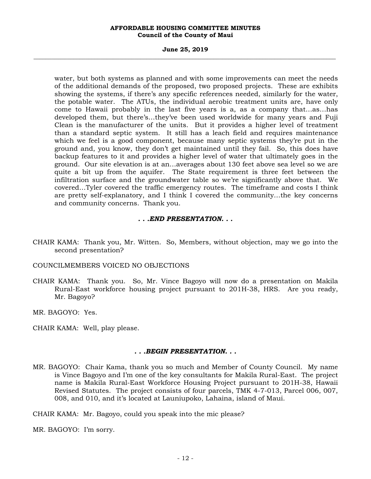#### **June 25, 2019 \_\_\_\_\_\_\_\_\_\_\_\_\_\_\_\_\_\_\_\_\_\_\_\_\_\_\_\_\_\_\_\_\_\_\_\_\_\_\_\_\_\_\_\_\_\_\_\_\_\_\_\_\_\_\_\_\_\_\_\_\_\_\_\_\_\_\_\_\_\_\_\_\_\_\_\_\_\_\_\_\_\_\_\_\_\_\_\_\_\_\_\_\_\_\_\_\_\_\_**

water, but both systems as planned and with some improvements can meet the needs of the additional demands of the proposed, two proposed projects. These are exhibits showing the systems, if there's any specific references needed, similarly for the water, the potable water. The ATUs, the individual aerobic treatment units are, have only come to Hawaii probably in the last five years is a, as a company that…as…has developed them, but there's…they've been used worldwide for many years and Fuji Clean is the manufacturer of the units. But it provides a higher level of treatment than a standard septic system. It still has a leach field and requires maintenance which we feel is a good component, because many septic systems they're put in the ground and, you know, they don't get maintained until they fail. So, this does have backup features to it and provides a higher level of water that ultimately goes in the ground. Our site elevation is at an…averages about 130 feet above sea level so we are quite a bit up from the aquifer. The State requirement is three feet between the infiltration surface and the groundwater table so we're significantly above that. We covered…Tyler covered the traffic emergency routes. The timeframe and costs I think are pretty self-explanatory, and I think I covered the community…the key concerns and community concerns. Thank you.

## *. . .END PRESENTATION. . .*

- CHAIR KAMA: Thank you, Mr. Witten. So, Members, without objection, may we go into the second presentation?
- COUNCILMEMBERS VOICED NO OBJECTIONS
- CHAIR KAMA: Thank you. So, Mr. Vince Bagoyo will now do a presentation on Makila Rural-East workforce housing project pursuant to 201H-38, HRS. Are you ready, Mr. Bagoyo?

MR. BAGOYO: Yes.

CHAIR KAMA: Well, play please.

## *. . .BEGIN PRESENTATION. . .*

MR. BAGOYO: Chair Kama, thank you so much and Member of County Council. My name is Vince Bagoyo and I'm one of the key consultants for Makila Rural-East. The project name is Makila Rural-East Workforce Housing Project pursuant to 201H-38, Hawaii Revised Statutes. The project consists of four parcels, TMK 4-7-013, Parcel 006, 007, 008, and 010, and it's located at Launiupoko, Lahaina, island of Maui.

CHAIR KAMA: Mr. Bagoyo, could you speak into the mic please?

MR. BAGOYO: I'm sorry.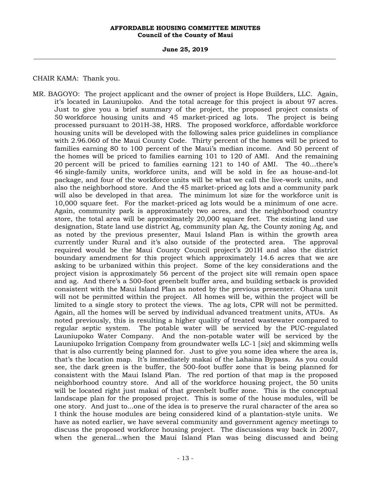**June 25, 2019 \_\_\_\_\_\_\_\_\_\_\_\_\_\_\_\_\_\_\_\_\_\_\_\_\_\_\_\_\_\_\_\_\_\_\_\_\_\_\_\_\_\_\_\_\_\_\_\_\_\_\_\_\_\_\_\_\_\_\_\_\_\_\_\_\_\_\_\_\_\_\_\_\_\_\_\_\_\_\_\_\_\_\_\_\_\_\_\_\_\_\_\_\_\_\_\_\_\_\_** 

CHAIR KAMA: Thank you.

MR. BAGOYO: The project applicant and the owner of project is Hope Builders, LLC. Again, it's located in Launiupoko. And the total acreage for this project is about 97 acres. Just to give you a brief summary of the project, the proposed project consists of 50 workforce housing units and 45 market-priced ag lots. The project is being processed pursuant to 201H-38, HRS. The proposed workforce, affordable workforce housing units will be developed with the following sales price guidelines in compliance with 2.96.060 of the Maui County Code. Thirty percent of the homes will be priced to families earning 80 to 100 percent of the Maui's median income. And 50 percent of the homes will be priced to families earning 101 to 120 of AMI. And the remaining 20 percent will be priced to families earning 121 to 140 of AMI. The 40…there's 46 single-family units, workforce units, and will be sold in fee as house-and-lot package, and four of the workforce units will be what we call the live-work units, and also the neighborhood store. And the 45 market-priced ag lots and a community park will also be developed in that area. The minimum lot size for the workforce unit is 10,000 square feet. For the market-priced ag lots would be a minimum of one acre. Again, community park is approximately two acres, and the neighborhood country store, the total area will be approximately 20,000 square feet. The existing land use designation, State land use district Ag, community plan Ag, the County zoning Ag, and as noted by the previous presenter, Maui Island Plan is within the growth area currently under Rural and it's also outside of the protected area. The approval required would be the Maui County Council project's 201H and also the district boundary amendment for this project which approximately 14.6 acres that we are asking to be urbanized within this project. Some of the key considerations and the project vision is approximately 56 percent of the project site will remain open space and ag. And there's a 500-foot greenbelt buffer area, and building setback is provided consistent with the Maui Island Plan as noted by the previous presenter. Ohana unit will not be permitted within the project. All homes will be, within the project will be limited to a single story to protect the views. The ag lots, CPR will not be permitted. Again, all the homes will be served by individual advanced treatment units, ATUs. As noted previously, this is resulting a higher quality of treated wastewater compared to regular septic system. The potable water will be serviced by the PUC-regulated Launiupoko Water Company. And the non-potable water will be serviced by the Launiupoko Irrigation Company from groundwater wells LC-1 [*sic*] and skimming wells that is also currently being planned for. Just to give you some idea where the area is, that's the location map. It's immediately makai of the Lahaina Bypass. As you could see, the dark green is the buffer, the 500-foot buffer zone that is being planned for consistent with the Maui Island Plan. The red portion of that map is the proposed neighborhood country store. And all of the workforce housing project, the 50 units will be located right just makai of that greenbelt buffer zone. This is the conceptual landscape plan for the proposed project. This is some of the house modules, will be one story. And just to...one of the idea is to preserve the rural character of the area so I think the house modules are being considered kind of a plantation-style units. We have as noted earlier, we have several community and government agency meetings to discuss the proposed workforce housing project. The discussions way back in 2007, when the general…when the Maui Island Plan was being discussed and being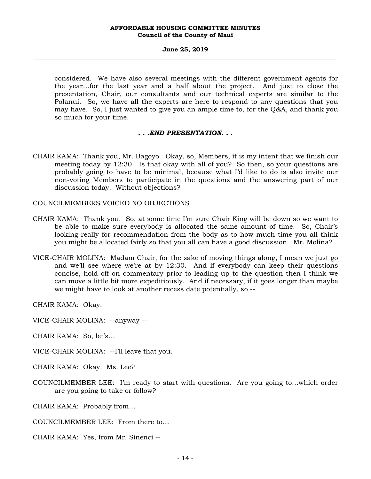#### **June 25, 2019 \_\_\_\_\_\_\_\_\_\_\_\_\_\_\_\_\_\_\_\_\_\_\_\_\_\_\_\_\_\_\_\_\_\_\_\_\_\_\_\_\_\_\_\_\_\_\_\_\_\_\_\_\_\_\_\_\_\_\_\_\_\_\_\_\_\_\_\_\_\_\_\_\_\_\_\_\_\_\_\_\_\_\_\_\_\_\_\_\_\_\_\_\_\_\_\_\_\_\_**

considered. We have also several meetings with the different government agents for the year…for the last year and a half about the project. And just to close the presentation, Chair, our consultants and our technical experts are similar to the Polanui. So, we have all the experts are here to respond to any questions that you may have. So, I just wanted to give you an ample time to, for the Q&A, and thank you so much for your time.

## *. . .END PRESENTATION. . .*

- CHAIR KAMA: Thank you, Mr. Bagoyo. Okay, so, Members, it is my intent that we finish our meeting today by 12:30. Is that okay with all of you? So then, so your questions are probably going to have to be minimal, because what I'd like to do is also invite our non-voting Members to participate in the questions and the answering part of our discussion today. Without objections?
- COUNCILMEMBERS VOICED NO OBJECTIONS
- CHAIR KAMA: Thank you. So, at some time I'm sure Chair King will be down so we want to be able to make sure everybody is allocated the same amount of time. So, Chair's looking really for recommendation from the body as to how much time you all think you might be allocated fairly so that you all can have a good discussion. Mr. Molina?
- VICE-CHAIR MOLINA: Madam Chair, for the sake of moving things along, I mean we just go and we'll see where we're at by 12:30. And if everybody can keep their questions concise, hold off on commentary prior to leading up to the question then I think we can move a little bit more expeditiously. And if necessary, if it goes longer than maybe we might have to look at another recess date potentially, so --

CHAIR KAMA: Okay.

VICE-CHAIR MOLINA: --anyway --

CHAIR KAMA: So, let's…

VICE-CHAIR MOLINA: --I'll leave that you.

CHAIR KAMA: Okay. Ms. Lee?

COUNCILMEMBER LEE: I'm ready to start with questions. Are you going to…which order are you going to take or follow?

CHAIR KAMA: Probably from…

COUNCILMEMBER LEE: From there to…

CHAIR KAMA: Yes, from Mr. Sinenci --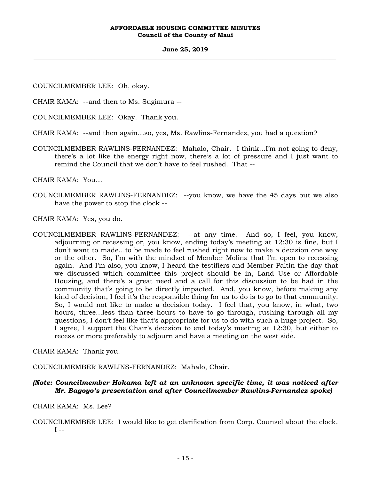#### **June 25, 2019 \_\_\_\_\_\_\_\_\_\_\_\_\_\_\_\_\_\_\_\_\_\_\_\_\_\_\_\_\_\_\_\_\_\_\_\_\_\_\_\_\_\_\_\_\_\_\_\_\_\_\_\_\_\_\_\_\_\_\_\_\_\_\_\_\_\_\_\_\_\_\_\_\_\_\_\_\_\_\_\_\_\_\_\_\_\_\_\_\_\_\_\_\_\_\_\_\_\_\_**

COUNCILMEMBER LEE: Oh, okay.

CHAIR KAMA: --and then to Ms. Sugimura --

COUNCILMEMBER LEE: Okay. Thank you.

CHAIR KAMA: --and then again…so, yes, Ms. Rawlins-Fernandez, you had a question?

COUNCILMEMBER RAWLINS-FERNANDEZ: Mahalo, Chair. I think…I'm not going to deny, there's a lot like the energy right now, there's a lot of pressure and I just want to remind the Council that we don't have to feel rushed. That --

CHAIR KAMA: You…

COUNCILMEMBER RAWLINS-FERNANDEZ: --you know, we have the 45 days but we also have the power to stop the clock --

CHAIR KAMA: Yes, you do.

COUNCILMEMBER RAWLINS-FERNANDEZ: --at any time. And so, I feel, you know, adjourning or recessing or, you know, ending today's meeting at 12:30 is fine, but I don't want to made…to be made to feel rushed right now to make a decision one way or the other. So, I'm with the mindset of Member Molina that I'm open to recessing again. And I'm also, you know, I heard the testifiers and Member Paltin the day that we discussed which committee this project should be in, Land Use or Affordable Housing, and there's a great need and a call for this discussion to be had in the community that's going to be directly impacted. And, you know, before making any kind of decision, I feel it's the responsible thing for us to do is to go to that community. So, I would not like to make a decision today. I feel that, you know, in what, two hours, three…less than three hours to have to go through, rushing through all my questions, I don't feel like that's appropriate for us to do with such a huge project. So, I agree, I support the Chair's decision to end today's meeting at 12:30, but either to recess or more preferably to adjourn and have a meeting on the west side.

CHAIR KAMA: Thank you.

COUNCILMEMBER RAWLINS-FERNANDEZ: Mahalo, Chair.

# *(Note: Councilmember Hokama left at an unknown specific time, it was noticed after Mr. Bagoyo's presentation and after Councilmember Rawlins-Fernandez spoke)*

CHAIR KAMA: Ms. Lee?

COUNCILMEMBER LEE: I would like to get clarification from Corp. Counsel about the clock.  $I - -$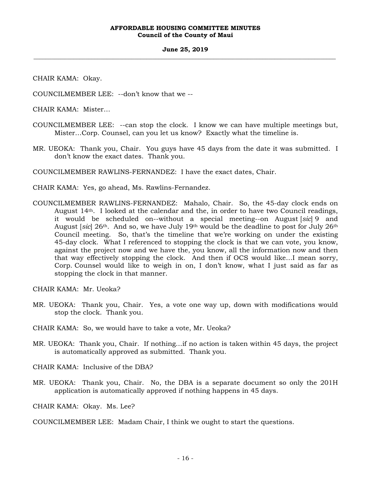#### **June 25, 2019 \_\_\_\_\_\_\_\_\_\_\_\_\_\_\_\_\_\_\_\_\_\_\_\_\_\_\_\_\_\_\_\_\_\_\_\_\_\_\_\_\_\_\_\_\_\_\_\_\_\_\_\_\_\_\_\_\_\_\_\_\_\_\_\_\_\_\_\_\_\_\_\_\_\_\_\_\_\_\_\_\_\_\_\_\_\_\_\_\_\_\_\_\_\_\_\_\_\_\_**

CHAIR KAMA: Okay.

COUNCILMEMBER LEE: --don't know that we --

CHAIR KAMA: Mister…

- COUNCILMEMBER LEE: --can stop the clock. I know we can have multiple meetings but, Mister…Corp. Counsel, can you let us know? Exactly what the timeline is.
- MR. UEOKA: Thank you, Chair. You guys have 45 days from the date it was submitted. I don't know the exact dates. Thank you.

COUNCILMEMBER RAWLINS-FERNANDEZ: I have the exact dates, Chair.

CHAIR KAMA: Yes, go ahead, Ms. Rawlins-Fernandez.

COUNCILMEMBER RAWLINS-FERNANDEZ: Mahalo, Chair. So, the 45-day clock ends on August 14th. I looked at the calendar and the, in order to have two Council readings, it would be scheduled on--without a special meeting--on August [*sic*] 9 and August [*sic*] 26th. And so, we have July 19th would be the deadline to post for July 26th Council meeting. So, that's the timeline that we're working on under the existing 45-day clock. What I referenced to stopping the clock is that we can vote, you know, against the project now and we have the, you know, all the information now and then that way effectively stopping the clock. And then if OCS would like…I mean sorry, Corp. Counsel would like to weigh in on, I don't know, what I just said as far as stopping the clock in that manner.

CHAIR KAMA: Mr. Ueoka?

MR. UEOKA: Thank you, Chair. Yes, a vote one way up, down with modifications would stop the clock. Thank you.

CHAIR KAMA: So, we would have to take a vote, Mr. Ueoka?

MR. UEOKA: Thank you, Chair. If nothing…if no action is taken within 45 days, the project is automatically approved as submitted. Thank you.

CHAIR KAMA: Inclusive of the DBA?

MR. UEOKA: Thank you, Chair. No, the DBA is a separate document so only the 201H application is automatically approved if nothing happens in 45 days.

CHAIR KAMA: Okay. Ms. Lee?

COUNCILMEMBER LEE: Madam Chair, I think we ought to start the questions.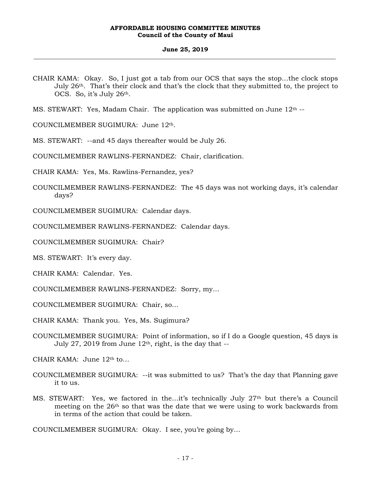#### **June 25, 2019 \_\_\_\_\_\_\_\_\_\_\_\_\_\_\_\_\_\_\_\_\_\_\_\_\_\_\_\_\_\_\_\_\_\_\_\_\_\_\_\_\_\_\_\_\_\_\_\_\_\_\_\_\_\_\_\_\_\_\_\_\_\_\_\_\_\_\_\_\_\_\_\_\_\_\_\_\_\_\_\_\_\_\_\_\_\_\_\_\_\_\_\_\_\_\_\_\_\_\_**

- CHAIR KAMA: Okay. So, I just got a tab from our OCS that says the stop…the clock stops July 26th. That's their clock and that's the clock that they submitted to, the project to OCS. So, it's July 26<sup>th</sup>.
- MS. STEWART: Yes, Madam Chair. The application was submitted on June 12<sup>th</sup> --

COUNCILMEMBER SUGIMURA: June 12th.

MS. STEWART: --and 45 days thereafter would be July 26.

COUNCILMEMBER RAWLINS-FERNANDEZ: Chair, clarification.

CHAIR KAMA: Yes, Ms. Rawlins-Fernandez, yes?

COUNCILMEMBER RAWLINS-FERNANDEZ: The 45 days was not working days, it's calendar days?

COUNCILMEMBER SUGIMURA: Calendar days.

COUNCILMEMBER RAWLINS-FERNANDEZ: Calendar days.

COUNCILMEMBER SUGIMURA: Chair?

MS. STEWART: It's every day.

CHAIR KAMA: Calendar. Yes.

COUNCILMEMBER RAWLINS-FERNANDEZ: Sorry, my…

COUNCILMEMBER SUGIMURA: Chair, so…

CHAIR KAMA: Thank you. Yes, Ms. Sugimura?

COUNCILMEMBER SUGIMURA: Point of information, so if I do a Google question, 45 days is July 27, 2019 from June  $12<sup>th</sup>$ , right, is the day that  $-$ 

CHAIR KAMA: June 12th to…

- COUNCILMEMBER SUGIMURA: --it was submitted to us? That's the day that Planning gave it to us.
- MS. STEWART: Yes, we factored in the…it's technically July 27th but there's a Council meeting on the 26th so that was the date that we were using to work backwards from in terms of the action that could be taken.

COUNCILMEMBER SUGIMURA: Okay. I see, you're going by…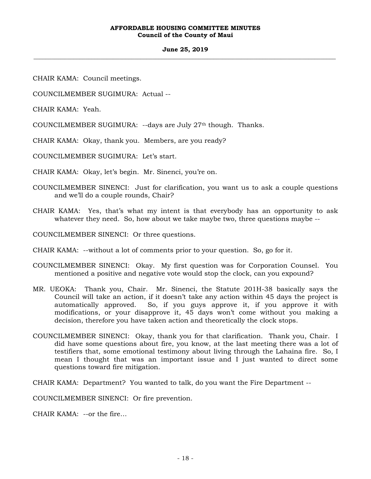#### **June 25, 2019 \_\_\_\_\_\_\_\_\_\_\_\_\_\_\_\_\_\_\_\_\_\_\_\_\_\_\_\_\_\_\_\_\_\_\_\_\_\_\_\_\_\_\_\_\_\_\_\_\_\_\_\_\_\_\_\_\_\_\_\_\_\_\_\_\_\_\_\_\_\_\_\_\_\_\_\_\_\_\_\_\_\_\_\_\_\_\_\_\_\_\_\_\_\_\_\_\_\_\_**

CHAIR KAMA: Council meetings.

COUNCILMEMBER SUGIMURA: Actual --

CHAIR KAMA: Yeah.

COUNCILMEMBER SUGIMURA: --days are July 27th though. Thanks.

CHAIR KAMA: Okay, thank you. Members, are you ready?

COUNCILMEMBER SUGIMURA: Let's start.

CHAIR KAMA: Okay, let's begin. Mr. Sinenci, you're on.

- COUNCILMEMBER SINENCI: Just for clarification, you want us to ask a couple questions and we'll do a couple rounds, Chair?
- CHAIR KAMA: Yes, that's what my intent is that everybody has an opportunity to ask whatever they need. So, how about we take maybe two, three questions maybe --

COUNCILMEMBER SINENCI: Or three questions.

CHAIR KAMA: --without a lot of comments prior to your question. So, go for it.

- COUNCILMEMBER SINENCI: Okay. My first question was for Corporation Counsel. You mentioned a positive and negative vote would stop the clock, can you expound?
- MR. UEOKA: Thank you, Chair. Mr. Sinenci, the Statute 201H-38 basically says the Council will take an action, if it doesn't take any action within 45 days the project is automatically approved. So, if you guys approve it, if you approve it with modifications, or your disapprove it, 45 days won't come without you making a decision, therefore you have taken action and theoretically the clock stops.
- COUNCILMEMBER SINENCI: Okay, thank you for that clarification. Thank you, Chair. I did have some questions about fire, you know, at the last meeting there was a lot of testifiers that, some emotional testimony about living through the Lahaina fire. So, I mean I thought that was an important issue and I just wanted to direct some questions toward fire mitigation.

CHAIR KAMA: Department? You wanted to talk, do you want the Fire Department --

COUNCILMEMBER SINENCI: Or fire prevention.

CHAIR KAMA: --or the fire…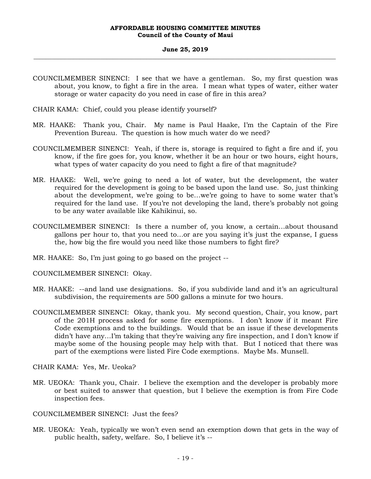#### **June 25, 2019 \_\_\_\_\_\_\_\_\_\_\_\_\_\_\_\_\_\_\_\_\_\_\_\_\_\_\_\_\_\_\_\_\_\_\_\_\_\_\_\_\_\_\_\_\_\_\_\_\_\_\_\_\_\_\_\_\_\_\_\_\_\_\_\_\_\_\_\_\_\_\_\_\_\_\_\_\_\_\_\_\_\_\_\_\_\_\_\_\_\_\_\_\_\_\_\_\_\_\_**

- COUNCILMEMBER SINENCI: I see that we have a gentleman. So, my first question was about, you know, to fight a fire in the area. I mean what types of water, either water storage or water capacity do you need in case of fire in this area?
- CHAIR KAMA: Chief, could you please identify yourself?
- MR. HAAKE: Thank you, Chair. My name is Paul Haake, I'm the Captain of the Fire Prevention Bureau. The question is how much water do we need?
- COUNCILMEMBER SINENCI: Yeah, if there is, storage is required to fight a fire and if, you know, if the fire goes for, you know, whether it be an hour or two hours, eight hours, what types of water capacity do you need to fight a fire of that magnitude?
- MR. HAAKE: Well, we're going to need a lot of water, but the development, the water required for the development is going to be based upon the land use. So, just thinking about the development, we're going to be…we're going to have to some water that's required for the land use. If you're not developing the land, there's probably not going to be any water available like Kahikinui, so.
- COUNCILMEMBER SINENCI: Is there a number of, you know, a certain…about thousand gallons per hour to, that you need to…or are you saying it's just the expanse, I guess the, how big the fire would you need like those numbers to fight fire?
- MR. HAAKE: So, I'm just going to go based on the project --
- COUNCILMEMBER SINENCI: Okay.
- MR. HAAKE: --and land use designations. So, if you subdivide land and it's an agricultural subdivision, the requirements are 500 gallons a minute for two hours.
- COUNCILMEMBER SINENCI: Okay, thank you. My second question, Chair, you know, part of the 201H process asked for some fire exemptions. I don't know if it meant Fire Code exemptions and to the buildings. Would that be an issue if these developments didn't have any…I'm taking that they're waiving any fire inspection, and I don't know if maybe some of the housing people may help with that. But I noticed that there was part of the exemptions were listed Fire Code exemptions. Maybe Ms. Munsell.

CHAIR KAMA: Yes, Mr. Ueoka?

- MR. UEOKA: Thank you, Chair. I believe the exemption and the developer is probably more or best suited to answer that question, but I believe the exemption is from Fire Code inspection fees.
- COUNCILMEMBER SINENCI: Just the fees?
- MR. UEOKA: Yeah, typically we won't even send an exemption down that gets in the way of public health, safety, welfare. So, I believe it's --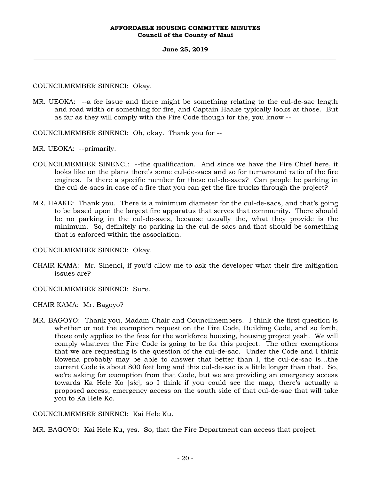## **June 25, 2019 \_\_\_\_\_\_\_\_\_\_\_\_\_\_\_\_\_\_\_\_\_\_\_\_\_\_\_\_\_\_\_\_\_\_\_\_\_\_\_\_\_\_\_\_\_\_\_\_\_\_\_\_\_\_\_\_\_\_\_\_\_\_\_\_\_\_\_\_\_\_\_\_\_\_\_\_\_\_\_\_\_\_\_\_\_\_\_\_\_\_\_\_\_\_\_\_\_\_\_**

COUNCILMEMBER SINENCI: Okay.

MR. UEOKA: --a fee issue and there might be something relating to the cul-de-sac length and road width or something for fire, and Captain Haake typically looks at those. But as far as they will comply with the Fire Code though for the, you know --

COUNCILMEMBER SINENCI: Oh, okay. Thank you for --

MR. UEOKA: --primarily.

- COUNCILMEMBER SINENCI: --the qualification. And since we have the Fire Chief here, it looks like on the plans there's some cul-de-sacs and so for turnaround ratio of the fire engines. Is there a specific number for these cul-de-sacs? Can people be parking in the cul-de-sacs in case of a fire that you can get the fire trucks through the project?
- MR. HAAKE: Thank you. There is a minimum diameter for the cul-de-sacs, and that's going to be based upon the largest fire apparatus that serves that community. There should be no parking in the cul-de-sacs, because usually the, what they provide is the minimum. So, definitely no parking in the cul-de-sacs and that should be something that is enforced within the association.

COUNCILMEMBER SINENCI: Okay.

CHAIR KAMA: Mr. Sinenci, if you'd allow me to ask the developer what their fire mitigation issues are?

COUNCILMEMBER SINENCI: Sure.

CHAIR KAMA: Mr. Bagoyo?

MR. BAGOYO: Thank you, Madam Chair and Councilmembers. I think the first question is whether or not the exemption request on the Fire Code, Building Code, and so forth, those only applies to the fees for the workforce housing, housing project yeah. We will comply whatever the Fire Code is going to be for this project. The other exemptions that we are requesting is the question of the cul-de-sac. Under the Code and I think Rowena probably may be able to answer that better than I, the cul-de-sac is…the current Code is about 800 feet long and this cul-de-sac is a little longer than that. So, we're asking for exemption from that Code, but we are providing an emergency access towards Ka Hele Ko [*sic*], so I think if you could see the map, there's actually a proposed access, emergency access on the south side of that cul-de-sac that will take you to Ka Hele Ko.

COUNCILMEMBER SINENCI: Kai Hele Ku.

MR. BAGOYO: Kai Hele Ku, yes. So, that the Fire Department can access that project.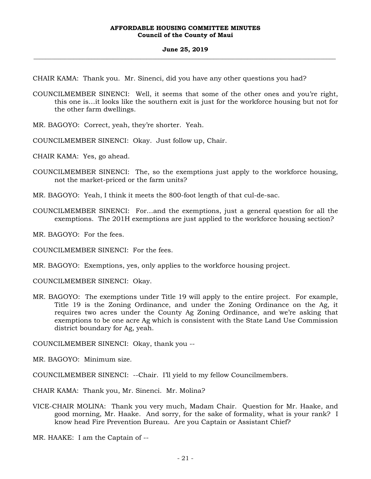#### **June 25, 2019 \_\_\_\_\_\_\_\_\_\_\_\_\_\_\_\_\_\_\_\_\_\_\_\_\_\_\_\_\_\_\_\_\_\_\_\_\_\_\_\_\_\_\_\_\_\_\_\_\_\_\_\_\_\_\_\_\_\_\_\_\_\_\_\_\_\_\_\_\_\_\_\_\_\_\_\_\_\_\_\_\_\_\_\_\_\_\_\_\_\_\_\_\_\_\_\_\_\_\_**

CHAIR KAMA: Thank you. Mr. Sinenci, did you have any other questions you had?

- COUNCILMEMBER SINENCI: Well, it seems that some of the other ones and you're right, this one is…it looks like the southern exit is just for the workforce housing but not for the other farm dwellings.
- MR. BAGOYO: Correct, yeah, they're shorter. Yeah.
- COUNCILMEMBER SINENCI: Okay. Just follow up, Chair.

CHAIR KAMA: Yes, go ahead.

- COUNCILMEMBER SINENCI: The, so the exemptions just apply to the workforce housing, not the market-priced or the farm units?
- MR. BAGOYO: Yeah, I think it meets the 800-foot length of that cul-de-sac.
- COUNCILMEMBER SINENCI: For…and the exemptions, just a general question for all the exemptions. The 201H exemptions are just applied to the workforce housing section?

MR. BAGOYO: For the fees.

COUNCILMEMBER SINENCI: For the fees.

MR. BAGOYO: Exemptions, yes, only applies to the workforce housing project.

COUNCILMEMBER SINENCI: Okay.

MR. BAGOYO: The exemptions under Title 19 will apply to the entire project. For example, Title 19 is the Zoning Ordinance, and under the Zoning Ordinance on the Ag, it requires two acres under the County Ag Zoning Ordinance, and we're asking that exemptions to be one acre Ag which is consistent with the State Land Use Commission district boundary for Ag, yeah.

COUNCILMEMBER SINENCI: Okay, thank you --

MR. BAGOYO: Minimum size*.*

COUNCILMEMBER SINENCI: --Chair. I'll yield to my fellow Councilmembers.

CHAIR KAMA: Thank you, Mr. Sinenci. Mr. Molina?

VICE-CHAIR MOLINA: Thank you very much, Madam Chair. Question for Mr. Haake, and good morning, Mr. Haake. And sorry, for the sake of formality, what is your rank? I know head Fire Prevention Bureau. Are you Captain or Assistant Chief?

MR. HAAKE: I am the Captain of --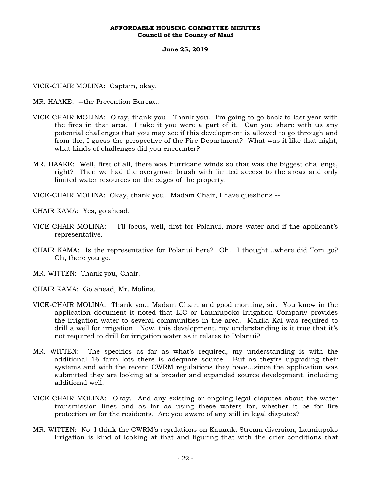#### **June 25, 2019 \_\_\_\_\_\_\_\_\_\_\_\_\_\_\_\_\_\_\_\_\_\_\_\_\_\_\_\_\_\_\_\_\_\_\_\_\_\_\_\_\_\_\_\_\_\_\_\_\_\_\_\_\_\_\_\_\_\_\_\_\_\_\_\_\_\_\_\_\_\_\_\_\_\_\_\_\_\_\_\_\_\_\_\_\_\_\_\_\_\_\_\_\_\_\_\_\_\_\_**

VICE-CHAIR MOLINA: Captain, okay.

MR. HAAKE: --the Prevention Bureau.

- VICE-CHAIR MOLINA: Okay, thank you. Thank you. I'm going to go back to last year with the fires in that area. I take it you were a part of it. Can you share with us any potential challenges that you may see if this development is allowed to go through and from the, I guess the perspective of the Fire Department? What was it like that night, what kinds of challenges did you encounter?
- MR. HAAKE: Well, first of all, there was hurricane winds so that was the biggest challenge, right? Then we had the overgrown brush with limited access to the areas and only limited water resources on the edges of the property.

VICE-CHAIR MOLINA: Okay, thank you. Madam Chair, I have questions --

CHAIR KAMA: Yes, go ahead.

- VICE-CHAIR MOLINA: --I'll focus, well, first for Polanui, more water and if the applicant's representative.
- CHAIR KAMA: Is the representative for Polanui here? Oh. I thought…where did Tom go? Oh, there you go.
- MR. WITTEN: Thank you, Chair.
- CHAIR KAMA: Go ahead, Mr. Molina.
- VICE-CHAIR MOLINA: Thank you, Madam Chair, and good morning, sir. You know in the application document it noted that LIC or Launiupoko Irrigation Company provides the irrigation water to several communities in the area. Makila Kai was required to drill a well for irrigation. Now, this development, my understanding is it true that it's not required to drill for irrigation water as it relates to Polanui?
- MR. WITTEN: The specifics as far as what's required, my understanding is with the additional 16 farm lots there is adequate source. But as they're upgrading their systems and with the recent CWRM regulations they have…since the application was submitted they are looking at a broader and expanded source development, including additional well.
- VICE-CHAIR MOLINA: Okay. And any existing or ongoing legal disputes about the water transmission lines and as far as using these waters for, whether it be for fire protection or for the residents. Are you aware of any still in legal disputes?
- MR. WITTEN: No, I think the CWRM's regulations on Kauaula Stream diversion, Launiupoko Irrigation is kind of looking at that and figuring that with the drier conditions that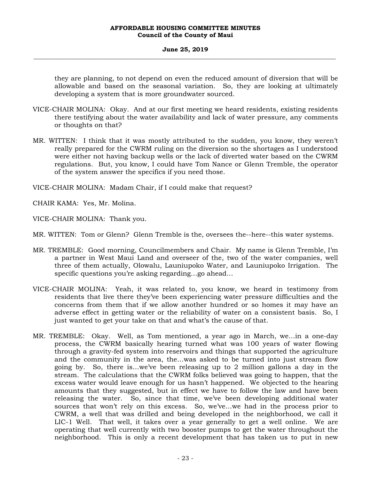#### **June 25, 2019 \_\_\_\_\_\_\_\_\_\_\_\_\_\_\_\_\_\_\_\_\_\_\_\_\_\_\_\_\_\_\_\_\_\_\_\_\_\_\_\_\_\_\_\_\_\_\_\_\_\_\_\_\_\_\_\_\_\_\_\_\_\_\_\_\_\_\_\_\_\_\_\_\_\_\_\_\_\_\_\_\_\_\_\_\_\_\_\_\_\_\_\_\_\_\_\_\_\_\_**

they are planning, to not depend on even the reduced amount of diversion that will be allowable and based on the seasonal variation. So, they are looking at ultimately developing a system that is more groundwater sourced.

- VICE-CHAIR MOLINA: Okay. And at our first meeting we heard residents, existing residents there testifying about the water availability and lack of water pressure, any comments or thoughts on that?
- MR. WITTEN: I think that it was mostly attributed to the sudden, you know, they weren't really prepared for the CWRM ruling on the diversion so the shortages as I understood were either not having backup wells or the lack of diverted water based on the CWRM regulations. But, you know, I could have Tom Nance or Glenn Tremble, the operator of the system answer the specifics if you need those.

VICE-CHAIR MOLINA: Madam Chair, if I could make that request?

CHAIR KAMA: Yes, Mr. Molina.

VICE-CHAIR MOLINA: Thank you.

MR. WITTEN: Tom or Glenn? Glenn Tremble is the, oversees the--here--this water systems.

- MR. TREMBLE: Good morning, Councilmembers and Chair. My name is Glenn Tremble, I'm a partner in West Maui Land and overseer of the, two of the water companies, well three of them actually, Olowalu, Launiupoko Water, and Launiupoko Irrigation. The specific questions you're asking regarding…go ahead…
- VICE-CHAIR MOLINA: Yeah, it was related to, you know, we heard in testimony from residents that live there they've been experiencing water pressure difficulties and the concerns from them that if we allow another hundred or so homes it may have an adverse effect in getting water or the reliability of water on a consistent basis. So, I just wanted to get your take on that and what's the cause of that.
- MR. TREMBLE: Okay. Well, as Tom mentioned, a year ago in March, we…in a one-day process, the CWRM basically hearing turned what was 100 years of water flowing through a gravity-fed system into reservoirs and things that supported the agriculture and the community in the area, the…was asked to be turned into just stream flow going by. So, there is…we've been releasing up to 2 million gallons a day in the stream. The calculations that the CWRM folks believed was going to happen, that the excess water would leave enough for us hasn't happened. We objected to the hearing amounts that they suggested, but in effect we have to follow the law and have been releasing the water. So, since that time, we've been developing additional water sources that won't rely on this excess. So, we've…we had in the process prior to CWRM, a well that was drilled and being developed in the neighborhood, we call it LIC-1 Well. That well, it takes over a year generally to get a well online. We are operating that well currently with two booster pumps to get the water throughout the neighborhood. This is only a recent development that has taken us to put in new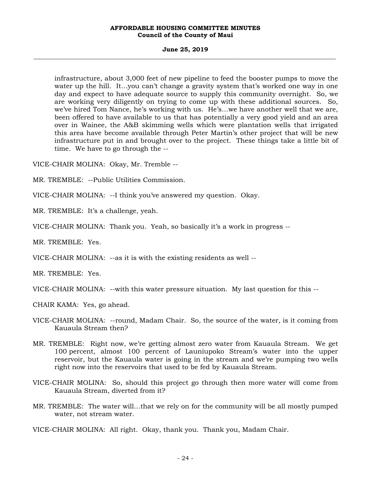#### **June 25, 2019 \_\_\_\_\_\_\_\_\_\_\_\_\_\_\_\_\_\_\_\_\_\_\_\_\_\_\_\_\_\_\_\_\_\_\_\_\_\_\_\_\_\_\_\_\_\_\_\_\_\_\_\_\_\_\_\_\_\_\_\_\_\_\_\_\_\_\_\_\_\_\_\_\_\_\_\_\_\_\_\_\_\_\_\_\_\_\_\_\_\_\_\_\_\_\_\_\_\_\_**

infrastructure, about 3,000 feet of new pipeline to feed the booster pumps to move the water up the hill. It...you can't change a gravity system that's worked one way in one day and expect to have adequate source to supply this community overnight. So, we are working very diligently on trying to come up with these additional sources. So, we've hired Tom Nance, he's working with us. He's…we have another well that we are, been offered to have available to us that has potentially a very good yield and an area over in Wainee, the A&B skimming wells which were plantation wells that irrigated this area have become available through Peter Martin's other project that will be new infrastructure put in and brought over to the project. These things take a little bit of time. We have to go through the --

VICE-CHAIR MOLINA: Okay, Mr. Tremble --

MR. TREMBLE: --Public Utilities Commission.

VICE-CHAIR MOLINA: --I think you've answered my question. Okay.

MR. TREMBLE: It's a challenge, yeah.

VICE-CHAIR MOLINA: Thank you. Yeah, so basically it's a work in progress --

MR. TREMBLE: Yes.

VICE-CHAIR MOLINA: --as it is with the existing residents as well --

MR. TREMBLE: Yes.

VICE-CHAIR MOLINA: --with this water pressure situation. My last question for this --

CHAIR KAMA: Yes, go ahead.

- VICE-CHAIR MOLINA: --round, Madam Chair. So, the source of the water, is it coming from Kauaula Stream then?
- MR. TREMBLE: Right now, we're getting almost zero water from Kauaula Stream. We get 100 percent, almost 100 percent of Launiupoko Stream's water into the upper reservoir, but the Kauaula water is going in the stream and we're pumping two wells right now into the reservoirs that used to be fed by Kauaula Stream.
- VICE-CHAIR MOLINA: So, should this project go through then more water will come from Kauaula Stream, diverted from it?
- MR. TREMBLE: The water will…that we rely on for the community will be all mostly pumped water, not stream water.

VICE-CHAIR MOLINA: All right. Okay, thank you. Thank you, Madam Chair.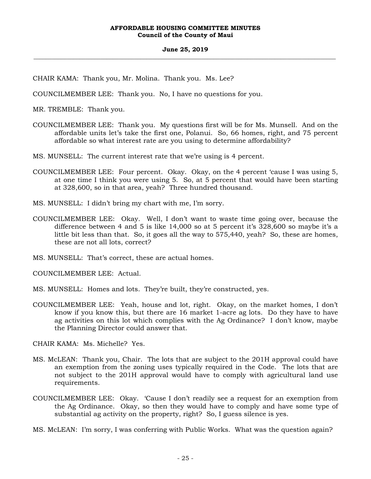## **June 25, 2019 \_\_\_\_\_\_\_\_\_\_\_\_\_\_\_\_\_\_\_\_\_\_\_\_\_\_\_\_\_\_\_\_\_\_\_\_\_\_\_\_\_\_\_\_\_\_\_\_\_\_\_\_\_\_\_\_\_\_\_\_\_\_\_\_\_\_\_\_\_\_\_\_\_\_\_\_\_\_\_\_\_\_\_\_\_\_\_\_\_\_\_\_\_\_\_\_\_\_\_**

CHAIR KAMA: Thank you, Mr. Molina. Thank you. Ms. Lee?

COUNCILMEMBER LEE: Thank you. No, I have no questions for you.

MR. TREMBLE: Thank you.

COUNCILMEMBER LEE: Thank you. My questions first will be for Ms. Munsell. And on the affordable units let's take the first one, Polanui. So, 66 homes, right, and 75 percent affordable so what interest rate are you using to determine affordability?

MS. MUNSELL: The current interest rate that we're using is 4 percent.

- COUNCILMEMBER LEE: Four percent. Okay. Okay, on the 4 percent 'cause I was using 5, at one time I think you were using 5. So, at 5 percent that would have been starting at 328,600, so in that area, yeah? Three hundred thousand.
- MS. MUNSELL: I didn't bring my chart with me, I'm sorry.
- COUNCILMEMBER LEE: Okay. Well, I don't want to waste time going over, because the difference between 4 and 5 is like 14,000 so at 5 percent it's 328,600 so maybe it's a little bit less than that. So, it goes all the way to 575,440, yeah? So, these are homes, these are not all lots, correct?
- MS. MUNSELL: That's correct, these are actual homes.

COUNCILMEMBER LEE: Actual.

- MS. MUNSELL: Homes and lots. They're built, they're constructed, yes.
- COUNCILMEMBER LEE: Yeah, house and lot, right. Okay, on the market homes, I don't know if you know this, but there are 16 market 1-acre ag lots. Do they have to have ag activities on this lot which complies with the Ag Ordinance? I don't know, maybe the Planning Director could answer that.

CHAIR KAMA: Ms. Michelle? Yes.

- MS. McLEAN: Thank you, Chair. The lots that are subject to the 201H approval could have an exemption from the zoning uses typically required in the Code. The lots that are not subject to the 201H approval would have to comply with agricultural land use requirements.
- COUNCILMEMBER LEE: Okay. 'Cause I don't readily see a request for an exemption from the Ag Ordinance. Okay, so then they would have to comply and have some type of substantial ag activity on the property, right? So, I guess silence is yes.
- MS. McLEAN: I'm sorry, I was conferring with Public Works. What was the question again?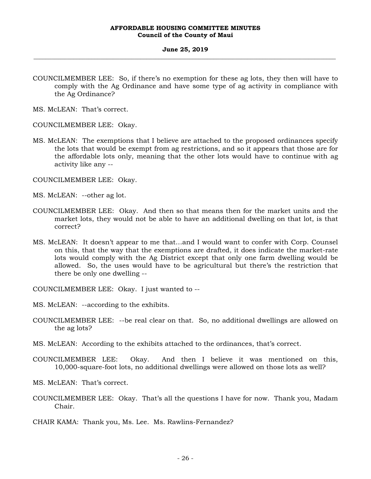#### **June 25, 2019 \_\_\_\_\_\_\_\_\_\_\_\_\_\_\_\_\_\_\_\_\_\_\_\_\_\_\_\_\_\_\_\_\_\_\_\_\_\_\_\_\_\_\_\_\_\_\_\_\_\_\_\_\_\_\_\_\_\_\_\_\_\_\_\_\_\_\_\_\_\_\_\_\_\_\_\_\_\_\_\_\_\_\_\_\_\_\_\_\_\_\_\_\_\_\_\_\_\_\_**

COUNCILMEMBER LEE: So, if there's no exemption for these ag lots, they then will have to comply with the Ag Ordinance and have some type of ag activity in compliance with the Ag Ordinance?

MS. McLEAN: That's correct.

COUNCILMEMBER LEE: Okay.

MS. McLEAN: The exemptions that I believe are attached to the proposed ordinances specify the lots that would be exempt from ag restrictions, and so it appears that those are for the affordable lots only, meaning that the other lots would have to continue with ag activity like any --

COUNCILMEMBER LEE: Okay.

- MS. McLEAN: --other ag lot.
- COUNCILMEMBER LEE: Okay. And then so that means then for the market units and the market lots, they would not be able to have an additional dwelling on that lot, is that correct?
- MS. McLEAN: It doesn't appear to me that…and I would want to confer with Corp. Counsel on this, that the way that the exemptions are drafted, it does indicate the market-rate lots would comply with the Ag District except that only one farm dwelling would be allowed. So, the uses would have to be agricultural but there's the restriction that there be only one dwelling --

COUNCILMEMBER LEE: Okay. I just wanted to --

MS. McLEAN: --according to the exhibits.

- COUNCILMEMBER LEE: --be real clear on that. So, no additional dwellings are allowed on the ag lots?
- MS. McLEAN: According to the exhibits attached to the ordinances, that's correct.
- COUNCILMEMBER LEE: Okay. And then I believe it was mentioned on this, 10,000-square-foot lots, no additional dwellings were allowed on those lots as well?
- MS. McLEAN: That's correct.
- COUNCILMEMBER LEE: Okay. That's all the questions I have for now. Thank you, Madam Chair.
- CHAIR KAMA: Thank you, Ms. Lee. Ms. Rawlins-Fernandez?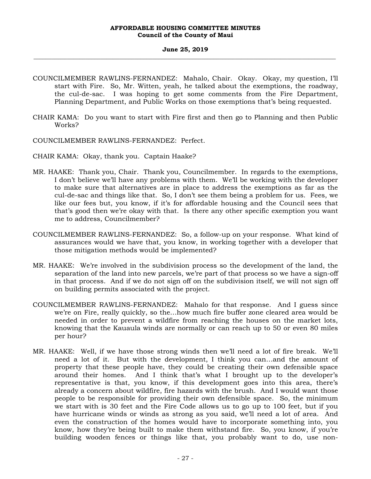#### **June 25, 2019 \_\_\_\_\_\_\_\_\_\_\_\_\_\_\_\_\_\_\_\_\_\_\_\_\_\_\_\_\_\_\_\_\_\_\_\_\_\_\_\_\_\_\_\_\_\_\_\_\_\_\_\_\_\_\_\_\_\_\_\_\_\_\_\_\_\_\_\_\_\_\_\_\_\_\_\_\_\_\_\_\_\_\_\_\_\_\_\_\_\_\_\_\_\_\_\_\_\_\_**

- COUNCILMEMBER RAWLINS-FERNANDEZ: Mahalo, Chair. Okay. Okay, my question, I'll start with Fire. So, Mr. Witten, yeah, he talked about the exemptions, the roadway, the cul-de-sac. I was hoping to get some comments from the Fire Department, Planning Department, and Public Works on those exemptions that's being requested.
- CHAIR KAMA: Do you want to start with Fire first and then go to Planning and then Public Works?
- COUNCILMEMBER RAWLINS-FERNANDEZ: Perfect.
- CHAIR KAMA: Okay, thank you. Captain Haake?
- MR. HAAKE: Thank you, Chair. Thank you, Councilmember. In regards to the exemptions, I don't believe we'll have any problems with them. We'll be working with the developer to make sure that alternatives are in place to address the exemptions as far as the cul-de-sac and things like that. So, I don't see them being a problem for us. Fees, we like our fees but, you know, if it's for affordable housing and the Council sees that that's good then we're okay with that. Is there any other specific exemption you want me to address, Councilmember?
- COUNCILMEMBER RAWLINS-FERNANDEZ: So, a follow-up on your response. What kind of assurances would we have that, you know, in working together with a developer that those mitigation methods would be implemented?
- MR. HAAKE: We're involved in the subdivision process so the development of the land, the separation of the land into new parcels, we're part of that process so we have a sign-off in that process. And if we do not sign off on the subdivision itself, we will not sign off on building permits associated with the project.
- COUNCILMEMBER RAWLINS-FERNANDEZ: Mahalo for that response. And I guess since we're on Fire, really quickly, so the…how much fire buffer zone cleared area would be needed in order to prevent a wildfire from reaching the houses on the market lots, knowing that the Kauaula winds are normally or can reach up to 50 or even 80 miles per hour?
- MR. HAAKE: Well, if we have those strong winds then we'll need a lot of fire break. We'll need a lot of it. But with the development, I think you can…and the amount of property that these people have, they could be creating their own defensible space around their homes. And I think that's what I brought up to the developer's representative is that, you know, if this development goes into this area, there's already a concern about wildfire, fire hazards with the brush. And I would want those people to be responsible for providing their own defensible space. So, the minimum we start with is 30 feet and the Fire Code allows us to go up to 100 feet, but if you have hurricane winds or winds as strong as you said, we'll need a lot of area. And even the construction of the homes would have to incorporate something into, you know, how they're being built to make them withstand fire. So, you know, if you're building wooden fences or things like that, you probably want to do, use non-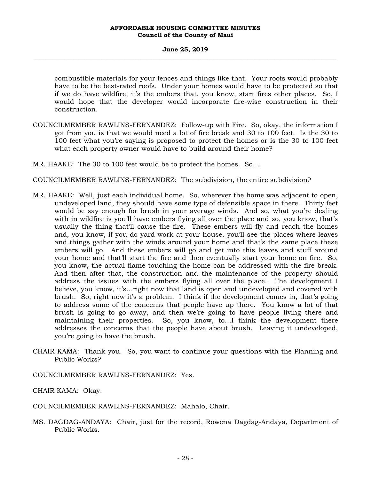#### **June 25, 2019 \_\_\_\_\_\_\_\_\_\_\_\_\_\_\_\_\_\_\_\_\_\_\_\_\_\_\_\_\_\_\_\_\_\_\_\_\_\_\_\_\_\_\_\_\_\_\_\_\_\_\_\_\_\_\_\_\_\_\_\_\_\_\_\_\_\_\_\_\_\_\_\_\_\_\_\_\_\_\_\_\_\_\_\_\_\_\_\_\_\_\_\_\_\_\_\_\_\_\_**

combustible materials for your fences and things like that. Your roofs would probably have to be the best-rated roofs. Under your homes would have to be protected so that if we do have wildfire, it's the embers that, you know, start fires other places. So, I would hope that the developer would incorporate fire-wise construction in their construction.

COUNCILMEMBER RAWLINS-FERNANDEZ: Follow-up with Fire. So, okay, the information I got from you is that we would need a lot of fire break and 30 to 100 feet. Is the 30 to 100 feet what you're saying is proposed to protect the homes or is the 30 to 100 feet what each property owner would have to build around their home?

MR. HAAKE: The 30 to 100 feet would be to protect the homes. So…

COUNCILMEMBER RAWLINS-FERNANDEZ: The subdivision, the entire subdivision?

- MR. HAAKE: Well, just each individual home. So, wherever the home was adjacent to open, undeveloped land, they should have some type of defensible space in there. Thirty feet would be say enough for brush in your average winds. And so, what you're dealing with in wildfire is you'll have embers flying all over the place and so, you know, that's usually the thing that'll cause the fire. These embers will fly and reach the homes and, you know, if you do yard work at your house, you'll see the places where leaves and things gather with the winds around your home and that's the same place these embers will go. And these embers will go and get into this leaves and stuff around your home and that'll start the fire and then eventually start your home on fire. So, you know, the actual flame touching the home can be addressed with the fire break. And then after that, the construction and the maintenance of the property should address the issues with the embers flying all over the place. The development I believe, you know, it's…right now that land is open and undeveloped and covered with brush. So, right now it's a problem. I think if the development comes in, that's going to address some of the concerns that people have up there. You know a lot of that brush is going to go away, and then we're going to have people living there and maintaining their properties. So, you know, to…I think the development there addresses the concerns that the people have about brush. Leaving it undeveloped, you're going to have the brush.
- CHAIR KAMA: Thank you. So, you want to continue your questions with the Planning and Public Works?

COUNCILMEMBER RAWLINS-FERNANDEZ: Yes.

CHAIR KAMA: Okay.

COUNCILMEMBER RAWLINS-FERNANDEZ: Mahalo, Chair.

MS. DAGDAG-ANDAYA: Chair, just for the record, Rowena Dagdag-Andaya, Department of Public Works.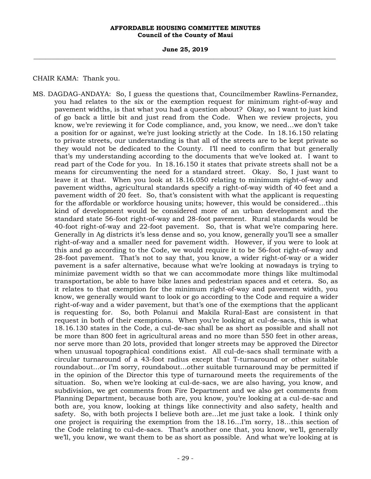**June 25, 2019 \_\_\_\_\_\_\_\_\_\_\_\_\_\_\_\_\_\_\_\_\_\_\_\_\_\_\_\_\_\_\_\_\_\_\_\_\_\_\_\_\_\_\_\_\_\_\_\_\_\_\_\_\_\_\_\_\_\_\_\_\_\_\_\_\_\_\_\_\_\_\_\_\_\_\_\_\_\_\_\_\_\_\_\_\_\_\_\_\_\_\_\_\_\_\_\_\_\_\_** 

CHAIR KAMA: Thank you.

MS. DAGDAG-ANDAYA: So, I guess the questions that, Councilmember Rawlins-Fernandez, you had relates to the six or the exemption request for minimum right-of-way and pavement widths, is that what you had a question about? Okay, so I want to just kind of go back a little bit and just read from the Code. When we review projects, you know, we're reviewing it for Code compliance, and, you know, we need…we don't take a position for or against, we're just looking strictly at the Code. In 18.16.150 relating to private streets, our understanding is that all of the streets are to be kept private so they would not be dedicated to the County. I'll need to confirm that but generally that's my understanding according to the documents that we've looked at. I want to read part of the Code for you. In 18.16.150 it states that private streets shall not be a means for circumventing the need for a standard street. Okay. So, I just want to leave it at that. When you look at 18.16.050 relating to minimum right-of-way and pavement widths, agricultural standards specify a right-of-way width of 40 feet and a pavement width of 20 feet. So, that's consistent with what the applicant is requesting for the affordable or workforce housing units; however, this would be considered…this kind of development would be considered more of an urban development and the standard state 56-foot right-of-way and 28-foot pavement. Rural standards would be 40-foot right-of-way and 22-foot pavement. So, that is what we're comparing here. Generally in Ag districts it's less dense and so, you know, generally you'll see a smaller right-of-way and a smaller need for pavement width. However, if you were to look at this and go according to the Code, we would require it to be 56-foot right-of-way and 28-foot pavement. That's not to say that, you know, a wider right-of-way or a wider pavement is a safer alternative, because what we're looking at nowadays is trying to minimize pavement width so that we can accommodate more things like multimodal transportation, be able to have bike lanes and pedestrian spaces and et cetera. So, as it relates to that exemption for the minimum right-of-way and pavement width, you know, we generally would want to look or go according to the Code and require a wider right-of-way and a wider pavement, but that's one of the exemptions that the applicant is requesting for. So, both Polanui and Makila Rural-East are consistent in that request in both of their exemptions. When you're looking at cul-de-sacs, this is what 18.16.130 states in the Code, a cul-de-sac shall be as short as possible and shall not be more than 800 feet in agricultural areas and no more than 550 feet in other areas, nor serve more than 20 lots, provided that longer streets may be approved the Director when unusual topographical conditions exist. All cul-de-sacs shall terminate with a circular turnaround of a 43-foot radius except that T-turnaround or other suitable roundabout…or I'm sorry, roundabout…other suitable turnaround may be permitted if in the opinion of the Director this type of turnaround meets the requirements of the situation. So, when we're looking at cul-de-sacs, we are also having, you know, and subdivision, we get comments from Fire Department and we also get comments from Planning Department, because both are, you know, you're looking at a cul-de-sac and both are, you know, looking at things like connectivity and also safety, health and safety. So, with both projects I believe both are…let me just take a look. I think only one project is requiring the exemption from the 18.16…I'm sorry, 18…this section of the Code relating to cul-de-sacs. That's another one that, you know, we'll, generally we'll, you know, we want them to be as short as possible. And what we're looking at is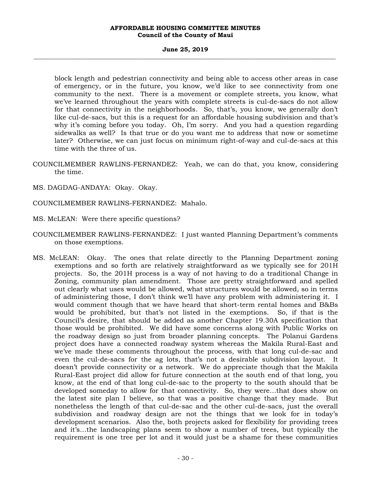#### **June 25, 2019 \_\_\_\_\_\_\_\_\_\_\_\_\_\_\_\_\_\_\_\_\_\_\_\_\_\_\_\_\_\_\_\_\_\_\_\_\_\_\_\_\_\_\_\_\_\_\_\_\_\_\_\_\_\_\_\_\_\_\_\_\_\_\_\_\_\_\_\_\_\_\_\_\_\_\_\_\_\_\_\_\_\_\_\_\_\_\_\_\_\_\_\_\_\_\_\_\_\_\_**

block length and pedestrian connectivity and being able to access other areas in case of emergency, or in the future, you know, we'd like to see connectivity from one community to the next. There is a movement or complete streets, you know, what we've learned throughout the years with complete streets is cul-de-sacs do not allow for that connectivity in the neighborhoods. So, that's, you know, we generally don't like cul-de-sacs, but this is a request for an affordable housing subdivision and that's why it's coming before you today. Oh, I'm sorry. And you had a question regarding sidewalks as well? Is that true or do you want me to address that now or sometime later? Otherwise, we can just focus on minimum right-of-way and cul-de-sacs at this time with the three of us.

- COUNCILMEMBER RAWLINS-FERNANDEZ: Yeah, we can do that, you know, considering the time.
- MS. DAGDAG-ANDAYA: Okay. Okay.
- COUNCILMEMBER RAWLINS-FERNANDEZ: Mahalo.
- MS. McLEAN: Were there specific questions?
- COUNCILMEMBER RAWLINS-FERNANDEZ: I just wanted Planning Department's comments on those exemptions.
- MS. McLEAN: Okay. The ones that relate directly to the Planning Department zoning exemptions and so forth are relatively straightforward as we typically see for 201H projects. So, the 201H process is a way of not having to do a traditional Change in Zoning, community plan amendment. Those are pretty straightforward and spelled out clearly what uses would be allowed, what structures would be allowed, so in terms of administering those, I don't think we'll have any problem with administering it. I would comment though that we have heard that short-term rental homes and B&Bs would be prohibited, but that's not listed in the exemptions. So, if that is the Council's desire, that should be added as another Chapter 19.30A specification that those would be prohibited. We did have some concerns along with Public Works on the roadway design so just from broader planning concepts. The Polanui Gardens project does have a connected roadway system whereas the Makila Rural-East and we've made these comments throughout the process, with that long cul-de-sac and even the cul-de-sacs for the ag lots, that's not a desirable subdivision layout. It doesn't provide connectivity or a network. We do appreciate though that the Makila Rural-East project did allow for future connection at the south end of that long, you know, at the end of that long cul-de-sac to the property to the south should that be developed someday to allow for that connectivity. So, they were…that does show on the latest site plan I believe, so that was a positive change that they made. But nonetheless the length of that cul-de-sac and the other cul-de-sacs, just the overall subdivision and roadway design are not the things that we look for in today's development scenarios. Also the, both projects asked for flexibility for providing trees and it's…the landscaping plans seem to show a number of trees, but typically the requirement is one tree per lot and it would just be a shame for these communities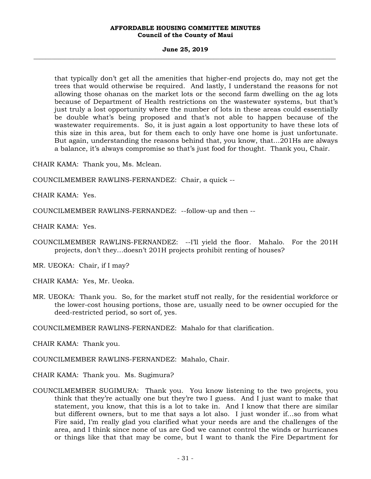#### **June 25, 2019 \_\_\_\_\_\_\_\_\_\_\_\_\_\_\_\_\_\_\_\_\_\_\_\_\_\_\_\_\_\_\_\_\_\_\_\_\_\_\_\_\_\_\_\_\_\_\_\_\_\_\_\_\_\_\_\_\_\_\_\_\_\_\_\_\_\_\_\_\_\_\_\_\_\_\_\_\_\_\_\_\_\_\_\_\_\_\_\_\_\_\_\_\_\_\_\_\_\_\_**

that typically don't get all the amenities that higher-end projects do, may not get the trees that would otherwise be required. And lastly, I understand the reasons for not allowing those ohanas on the market lots or the second farm dwelling on the ag lots because of Department of Health restrictions on the wastewater systems, but that's just truly a lost opportunity where the number of lots in these areas could essentially be double what's being proposed and that's not able to happen because of the wastewater requirements. So, it is just again a lost opportunity to have these lots of this size in this area, but for them each to only have one home is just unfortunate. But again, understanding the reasons behind that, you know, that…201Hs are always a balance, it's always compromise so that's just food for thought. Thank you, Chair.

CHAIR KAMA: Thank you, Ms. Mclean.

COUNCILMEMBER RAWLINS-FERNANDEZ: Chair, a quick --

CHAIR KAMA: Yes.

COUNCILMEMBER RAWLINS-FERNANDEZ: --follow-up and then --

CHAIR KAMA: Yes.

COUNCILMEMBER RAWLINS-FERNANDEZ: --I'll yield the floor. Mahalo. For the 201H projects, don't they…doesn't 201H projects prohibit renting of houses?

MR. UEOKA: Chair, if I may?

CHAIR KAMA: Yes, Mr. Ueoka.

MR. UEOKA: Thank you. So, for the market stuff not really, for the residential workforce or the lower-cost housing portions, those are, usually need to be owner occupied for the deed-restricted period, so sort of, yes.

COUNCILMEMBER RAWLINS-FERNANDEZ: Mahalo for that clarification.

CHAIR KAMA: Thank you.

COUNCILMEMBER RAWLINS-FERNANDEZ: Mahalo, Chair.

CHAIR KAMA: Thank you. Ms. Sugimura?

COUNCILMEMBER SUGIMURA: Thank you. You know listening to the two projects, you think that they're actually one but they're two I guess. And I just want to make that statement, you know, that this is a lot to take in. And I know that there are similar but different owners, but to me that says a lot also. I just wonder if…so from what Fire said, I'm really glad you clarified what your needs are and the challenges of the area, and I think since none of us are God we cannot control the winds or hurricanes or things like that that may be come, but I want to thank the Fire Department for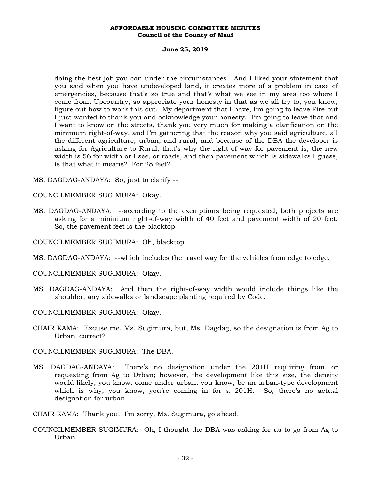#### **June 25, 2019 \_\_\_\_\_\_\_\_\_\_\_\_\_\_\_\_\_\_\_\_\_\_\_\_\_\_\_\_\_\_\_\_\_\_\_\_\_\_\_\_\_\_\_\_\_\_\_\_\_\_\_\_\_\_\_\_\_\_\_\_\_\_\_\_\_\_\_\_\_\_\_\_\_\_\_\_\_\_\_\_\_\_\_\_\_\_\_\_\_\_\_\_\_\_\_\_\_\_\_**

doing the best job you can under the circumstances. And I liked your statement that you said when you have undeveloped land, it creates more of a problem in case of emergencies, because that's so true and that's what we see in my area too where I come from, Upcountry, so appreciate your honesty in that as we all try to, you know, figure out how to work this out. My department that I have, I'm going to leave Fire but I just wanted to thank you and acknowledge your honesty. I'm going to leave that and I want to know on the streets, thank you very much for making a clarification on the minimum right-of-way, and I'm gathering that the reason why you said agriculture, all the different agriculture, urban, and rural, and because of the DBA the developer is asking for Agriculture to Rural, that's why the right-of-way for pavement is, the new width is 56 for width or I see, or roads, and then pavement which is sidewalks I guess, is that what it means? For 28 feet?

- MS. DAGDAG-ANDAYA: So, just to clarify --
- COUNCILMEMBER SUGIMURA: Okay.
- MS. DAGDAG-ANDAYA: --according to the exemptions being requested, both projects are asking for a minimum right-of-way width of 40 feet and pavement width of 20 feet. So, the pavement feet is the blacktop --

COUNCILMEMBER SUGIMURA: Oh, blacktop.

- MS. DAGDAG-ANDAYA: --which includes the travel way for the vehicles from edge to edge.
- COUNCILMEMBER SUGIMURA: Okay.
- MS. DAGDAG-ANDAYA: And then the right-of-way width would include things like the shoulder, any sidewalks or landscape planting required by Code.
- COUNCILMEMBER SUGIMURA: Okay.
- CHAIR KAMA: Excuse me, Ms. Sugimura, but, Ms. Dagdag, so the designation is from Ag to Urban, correct?

COUNCILMEMBER SUGIMURA: The DBA.

- MS. DAGDAG-ANDAYA: There's no designation under the 201H requiring from…or requesting from Ag to Urban; however, the development like this size, the density would likely, you know, come under urban, you know, be an urban-type development which is why, you know, you're coming in for a 201H. So, there's no actual designation for urban.
- CHAIR KAMA: Thank you. I'm sorry, Ms. Sugimura, go ahead.
- COUNCILMEMBER SUGIMURA: Oh, I thought the DBA was asking for us to go from Ag to Urban.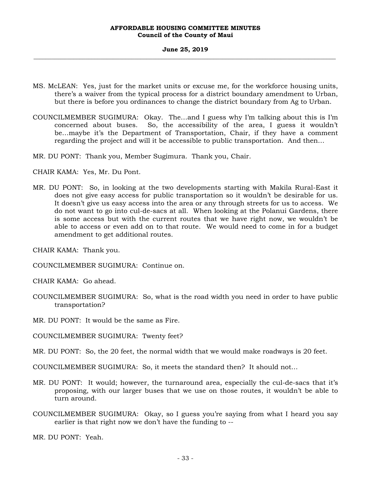#### **June 25, 2019 \_\_\_\_\_\_\_\_\_\_\_\_\_\_\_\_\_\_\_\_\_\_\_\_\_\_\_\_\_\_\_\_\_\_\_\_\_\_\_\_\_\_\_\_\_\_\_\_\_\_\_\_\_\_\_\_\_\_\_\_\_\_\_\_\_\_\_\_\_\_\_\_\_\_\_\_\_\_\_\_\_\_\_\_\_\_\_\_\_\_\_\_\_\_\_\_\_\_\_**

- MS. McLEAN: Yes, just for the market units or excuse me, for the workforce housing units, there's a waiver from the typical process for a district boundary amendment to Urban, but there is before you ordinances to change the district boundary from Ag to Urban.
- COUNCILMEMBER SUGIMURA: Okay. The…and I guess why I'm talking about this is I'm concerned about buses. So, the accessibility of the area, I guess it wouldn't be…maybe it's the Department of Transportation, Chair, if they have a comment regarding the project and will it be accessible to public transportation. And then…
- MR. DU PONT: Thank you, Member Sugimura. Thank you, Chair.

CHAIR KAMA: Yes, Mr. Du Pont.

MR. DU PONT: So, in looking at the two developments starting with Makila Rural-East it does not give easy access for public transportation so it wouldn't be desirable for us. It doesn't give us easy access into the area or any through streets for us to access. We do not want to go into cul-de-sacs at all. When looking at the Polanui Gardens, there is some access but with the current routes that we have right now, we wouldn't be able to access or even add on to that route. We would need to come in for a budget amendment to get additional routes.

CHAIR KAMA: Thank you.

COUNCILMEMBER SUGIMURA: Continue on.

CHAIR KAMA: Go ahead.

COUNCILMEMBER SUGIMURA: So, what is the road width you need in order to have public transportation?

MR. DU PONT: It would be the same as Fire.

COUNCILMEMBER SUGIMURA: Twenty feet?

MR. DU PONT: So, the 20 feet, the normal width that we would make roadways is 20 feet.

COUNCILMEMBER SUGIMURA: So, it meets the standard then? It should not…

- MR. DU PONT: It would; however, the turnaround area, especially the cul-de-sacs that it's proposing, with our larger buses that we use on those routes, it wouldn't be able to turn around.
- COUNCILMEMBER SUGIMURA: Okay, so I guess you're saying from what I heard you say earlier is that right now we don't have the funding to --

MR. DU PONT: Yeah.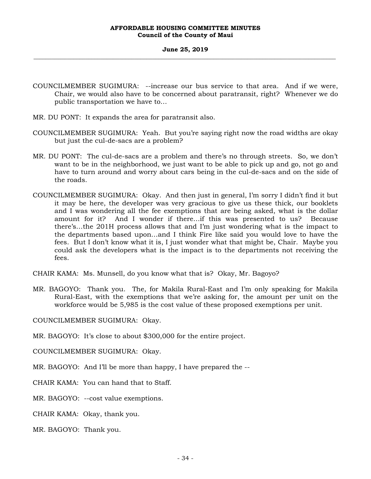#### **June 25, 2019 \_\_\_\_\_\_\_\_\_\_\_\_\_\_\_\_\_\_\_\_\_\_\_\_\_\_\_\_\_\_\_\_\_\_\_\_\_\_\_\_\_\_\_\_\_\_\_\_\_\_\_\_\_\_\_\_\_\_\_\_\_\_\_\_\_\_\_\_\_\_\_\_\_\_\_\_\_\_\_\_\_\_\_\_\_\_\_\_\_\_\_\_\_\_\_\_\_\_\_**

- COUNCILMEMBER SUGIMURA: --increase our bus service to that area. And if we were, Chair, we would also have to be concerned about paratransit, right? Whenever we do public transportation we have to…
- MR. DU PONT: It expands the area for paratransit also.
- COUNCILMEMBER SUGIMURA: Yeah. But you're saying right now the road widths are okay but just the cul-de-sacs are a problem?
- MR. DU PONT: The cul-de-sacs are a problem and there's no through streets. So, we don't want to be in the neighborhood, we just want to be able to pick up and go, not go and have to turn around and worry about cars being in the cul-de-sacs and on the side of the roads.
- COUNCILMEMBER SUGIMURA: Okay. And then just in general, I'm sorry I didn't find it but it may be here, the developer was very gracious to give us these thick, our booklets and I was wondering all the fee exemptions that are being asked, what is the dollar amount for it? And I wonder if there…if this was presented to us? Because there's…the 201H process allows that and I'm just wondering what is the impact to the departments based upon…and I think Fire like said you would love to have the fees. But I don't know what it is, I just wonder what that might be, Chair. Maybe you could ask the developers what is the impact is to the departments not receiving the fees.
- CHAIR KAMA: Ms. Munsell, do you know what that is? Okay, Mr. Bagoyo?
- MR. BAGOYO: Thank you. The, for Makila Rural-East and I'm only speaking for Makila Rural-East, with the exemptions that we're asking for, the amount per unit on the workforce would be 5,985 is the cost value of these proposed exemptions per unit.

COUNCILMEMBER SUGIMURA: Okay.

MR. BAGOYO: It's close to about \$300,000 for the entire project.

COUNCILMEMBER SUGIMURA: Okay.

MR. BAGOYO: And I'll be more than happy, I have prepared the --

CHAIR KAMA: You can hand that to Staff.

MR. BAGOYO: --cost value exemptions.

CHAIR KAMA: Okay, thank you.

MR. BAGOYO: Thank you.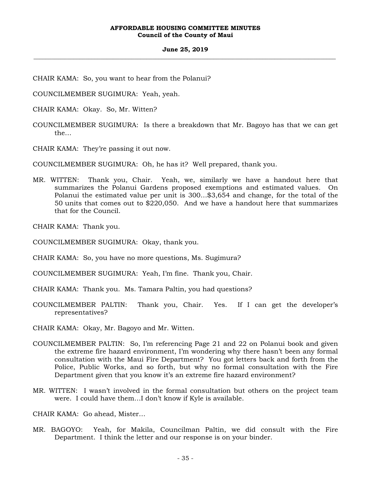#### **June 25, 2019 \_\_\_\_\_\_\_\_\_\_\_\_\_\_\_\_\_\_\_\_\_\_\_\_\_\_\_\_\_\_\_\_\_\_\_\_\_\_\_\_\_\_\_\_\_\_\_\_\_\_\_\_\_\_\_\_\_\_\_\_\_\_\_\_\_\_\_\_\_\_\_\_\_\_\_\_\_\_\_\_\_\_\_\_\_\_\_\_\_\_\_\_\_\_\_\_\_\_\_**

- CHAIR KAMA: So, you want to hear from the Polanui?
- COUNCILMEMBER SUGIMURA: Yeah, yeah.
- CHAIR KAMA: Okay. So, Mr. Witten?
- COUNCILMEMBER SUGIMURA: Is there a breakdown that Mr. Bagoyo has that we can get the…
- CHAIR KAMA: They're passing it out now.
- COUNCILMEMBER SUGIMURA: Oh, he has it? Well prepared, thank you.
- MR. WITTEN: Thank you, Chair. Yeah, we, similarly we have a handout here that summarizes the Polanui Gardens proposed exemptions and estimated values. On Polanui the estimated value per unit is 300…\$3,654 and change, for the total of the 50 units that comes out to \$220,050. And we have a handout here that summarizes that for the Council.
- CHAIR KAMA: Thank you.
- COUNCILMEMBER SUGIMURA: Okay, thank you.
- CHAIR KAMA: So, you have no more questions, Ms. Sugimura?
- COUNCILMEMBER SUGIMURA: Yeah, I'm fine. Thank you, Chair.
- CHAIR KAMA: Thank you. Ms. Tamara Paltin, you had questions?
- COUNCILMEMBER PALTIN: Thank you, Chair. Yes. If I can get the developer's representatives?
- CHAIR KAMA: Okay, Mr. Bagoyo and Mr. Witten.
- COUNCILMEMBER PALTIN: So, I'm referencing Page 21 and 22 on Polanui book and given the extreme fire hazard environment, I'm wondering why there hasn't been any formal consultation with the Maui Fire Department? You got letters back and forth from the Police, Public Works, and so forth, but why no formal consultation with the Fire Department given that you know it's an extreme fire hazard environment?
- MR. WITTEN: I wasn't involved in the formal consultation but others on the project team were. I could have them…I don't know if Kyle is available.
- CHAIR KAMA: Go ahead, Mister…
- MR. BAGOYO: Yeah, for Makila, Councilman Paltin, we did consult with the Fire Department. I think the letter and our response is on your binder.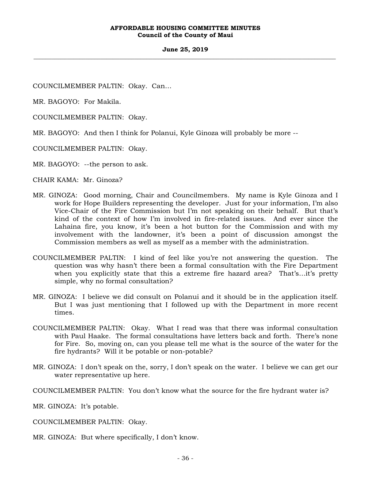#### **June 25, 2019 \_\_\_\_\_\_\_\_\_\_\_\_\_\_\_\_\_\_\_\_\_\_\_\_\_\_\_\_\_\_\_\_\_\_\_\_\_\_\_\_\_\_\_\_\_\_\_\_\_\_\_\_\_\_\_\_\_\_\_\_\_\_\_\_\_\_\_\_\_\_\_\_\_\_\_\_\_\_\_\_\_\_\_\_\_\_\_\_\_\_\_\_\_\_\_\_\_\_\_**

COUNCILMEMBER PALTIN: Okay. Can…

MR. BAGOYO: For Makila.

COUNCILMEMBER PALTIN: Okay.

MR. BAGOYO: And then I think for Polanui, Kyle Ginoza will probably be more --

COUNCILMEMBER PALTIN: Okay.

MR. BAGOYO: --the person to ask.

CHAIR KAMA: Mr. Ginoza?

- MR. GINOZA: Good morning, Chair and Councilmembers. My name is Kyle Ginoza and I work for Hope Builders representing the developer. Just for your information, I'm also Vice-Chair of the Fire Commission but I'm not speaking on their behalf. But that's kind of the context of how I'm involved in fire-related issues. And ever since the Lahaina fire, you know, it's been a hot button for the Commission and with my involvement with the landowner, it's been a point of discussion amongst the Commission members as well as myself as a member with the administration.
- COUNCILMEMBER PALTIN: I kind of feel like you're not answering the question. The question was why hasn't there been a formal consultation with the Fire Department when you explicitly state that this a extreme fire hazard area? That's…it's pretty simple, why no formal consultation?
- MR. GINOZA: I believe we did consult on Polanui and it should be in the application itself. But I was just mentioning that I followed up with the Department in more recent times.
- COUNCILMEMBER PALTIN: Okay. What I read was that there was informal consultation with Paul Haake. The formal consultations have letters back and forth. There's none for Fire. So, moving on, can you please tell me what is the source of the water for the fire hydrants? Will it be potable or non-potable?
- MR. GINOZA: I don't speak on the, sorry, I don't speak on the water. I believe we can get our water representative up here.
- COUNCILMEMBER PALTIN: You don't know what the source for the fire hydrant water is?

MR. GINOZA: It's potable.

COUNCILMEMBER PALTIN: Okay.

MR. GINOZA: But where specifically, I don't know.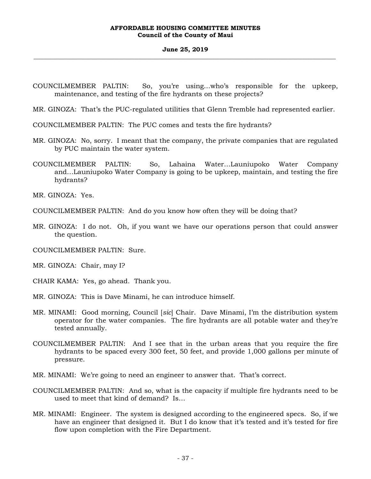### **June 25, 2019 \_\_\_\_\_\_\_\_\_\_\_\_\_\_\_\_\_\_\_\_\_\_\_\_\_\_\_\_\_\_\_\_\_\_\_\_\_\_\_\_\_\_\_\_\_\_\_\_\_\_\_\_\_\_\_\_\_\_\_\_\_\_\_\_\_\_\_\_\_\_\_\_\_\_\_\_\_\_\_\_\_\_\_\_\_\_\_\_\_\_\_\_\_\_\_\_\_\_\_**

- COUNCILMEMBER PALTIN: So, you're using…who's responsible for the upkeep, maintenance, and testing of the fire hydrants on these projects?
- MR. GINOZA: That's the PUC-regulated utilities that Glenn Tremble had represented earlier.
- COUNCILMEMBER PALTIN: The PUC comes and tests the fire hydrants?
- MR. GINOZA: No, sorry. I meant that the company, the private companies that are regulated by PUC maintain the water system.
- COUNCILMEMBER PALTIN: So, Lahaina Water…Launiupoko Water Company and…Launiupoko Water Company is going to be upkeep, maintain, and testing the fire hydrants?

MR. GINOZA: Yes.

- COUNCILMEMBER PALTIN: And do you know how often they will be doing that?
- MR. GINOZA: I do not. Oh, if you want we have our operations person that could answer the question.
- COUNCILMEMBER PALTIN: Sure.
- MR. GINOZA: Chair, may I?
- CHAIR KAMA: Yes, go ahead. Thank you.
- MR. GINOZA: This is Dave Minami, he can introduce himself.
- MR. MINAMI: Good morning, Council [*sic*] Chair. Dave Minami, I'm the distribution system operator for the water companies. The fire hydrants are all potable water and they're tested annually.
- COUNCILMEMBER PALTIN: And I see that in the urban areas that you require the fire hydrants to be spaced every 300 feet, 50 feet, and provide 1,000 gallons per minute of pressure.
- MR. MINAMI: We're going to need an engineer to answer that. That's correct.
- COUNCILMEMBER PALTIN: And so, what is the capacity if multiple fire hydrants need to be used to meet that kind of demand? Is…
- MR. MINAMI: Engineer. The system is designed according to the engineered specs. So, if we have an engineer that designed it. But I do know that it's tested and it's tested for fire flow upon completion with the Fire Department.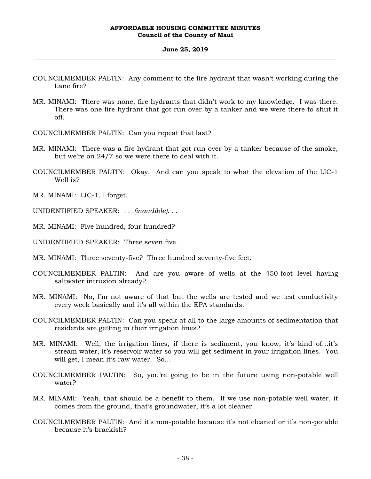#### **June 25, 2019 \_\_\_\_\_\_\_\_\_\_\_\_\_\_\_\_\_\_\_\_\_\_\_\_\_\_\_\_\_\_\_\_\_\_\_\_\_\_\_\_\_\_\_\_\_\_\_\_\_\_\_\_\_\_\_\_\_\_\_\_\_\_\_\_\_\_\_\_\_\_\_\_\_\_\_\_\_\_\_\_\_\_\_\_\_\_\_\_\_\_\_\_\_\_\_\_\_\_\_**

- COUNCILMEMBER PALTIN: Any comment to the fire hydrant that wasn't working during the Lane fire?
- MR. MINAMI: There was none, fire hydrants that didn't work to my knowledge. I was there. There was one fire hydrant that got run over by a tanker and we were there to shut it off.
- COUNCILMEMBER PALTIN: Can you repeat that last?
- MR. MINAMI: There was a fire hydrant that got run over by a tanker because of the smoke, but we're on 24/7 so we were there to deal with it.
- COUNCILMEMBER PALTIN: Okay. And can you speak to what the elevation of the LIC-1 Well is?
- MR. MINAMI: LIC-1, I forget.
- UNIDENTIFIED SPEAKER: *. . .(inaudible). . .*
- MR. MINAMI: Five hundred, four hundred?
- UNIDENTIFIED SPEAKER: Three seven five.
- MR. MINAMI: Three seventy-five? Three hundred seventy-five feet.
- COUNCILMEMBER PALTIN: And are you aware of wells at the 450-foot level having saltwater intrusion already?
- MR. MINAMI: No, I'm not aware of that but the wells are tested and we test conductivity every week basically and it's all within the EPA standards.
- COUNCILMEMBER PALTIN: Can you speak at all to the large amounts of sedimentation that residents are getting in their irrigation lines?
- MR. MINAMI: Well, the irrigation lines, if there is sediment, you know, it's kind of…it's stream water, it's reservoir water so you will get sediment in your irrigation lines. You will get, I mean it's raw water. So…
- COUNCILMEMBER PALTIN: So, you're going to be in the future using non-potable well water?
- MR. MINAMI: Yeah, that should be a benefit to them. If we use non-potable well water, it comes from the ground, that's groundwater, it's a lot cleaner.
- COUNCILMEMBER PALTIN: And it's non-potable because it's not cleaned or it's non-potable because it's brackish?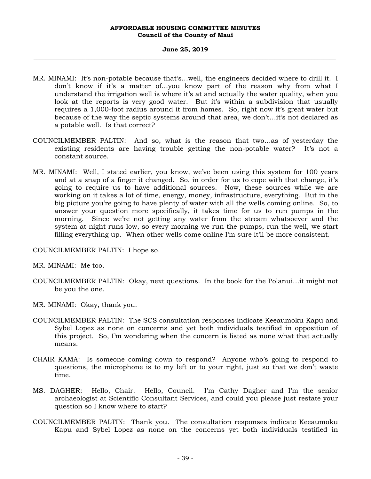#### **June 25, 2019 \_\_\_\_\_\_\_\_\_\_\_\_\_\_\_\_\_\_\_\_\_\_\_\_\_\_\_\_\_\_\_\_\_\_\_\_\_\_\_\_\_\_\_\_\_\_\_\_\_\_\_\_\_\_\_\_\_\_\_\_\_\_\_\_\_\_\_\_\_\_\_\_\_\_\_\_\_\_\_\_\_\_\_\_\_\_\_\_\_\_\_\_\_\_\_\_\_\_\_**

- MR. MINAMI: It's non-potable because that's…well, the engineers decided where to drill it. I don't know if it's a matter of…you know part of the reason why from what I understand the irrigation well is where it's at and actually the water quality, when you look at the reports is very good water. But it's within a subdivision that usually requires a 1,000-foot radius around it from homes. So, right now it's great water but because of the way the septic systems around that area, we don't…it's not declared as a potable well. Is that correct?
- COUNCILMEMBER PALTIN: And so, what is the reason that two…as of yesterday the existing residents are having trouble getting the non-potable water? It's not a constant source.
- MR. MINAMI: Well, I stated earlier, you know, we've been using this system for 100 years and at a snap of a finger it changed. So, in order for us to cope with that change, it's going to require us to have additional sources. Now, these sources while we are working on it takes a lot of time, energy, money, infrastructure, everything. But in the big picture you're going to have plenty of water with all the wells coming online. So, to answer your question more specifically, it takes time for us to run pumps in the morning. Since we're not getting any water from the stream whatsoever and the system at night runs low, so every morning we run the pumps, run the well, we start filling everything up. When other wells come online I'm sure it'll be more consistent.

COUNCILMEMBER PALTIN: I hope so.

MR. MINAMI: Me too.

- COUNCILMEMBER PALTIN: Okay, next questions. In the book for the Polanui…it might not be you the one.
- MR. MINAMI: Okay, thank you.
- COUNCILMEMBER PALTIN: The SCS consultation responses indicate Keeaumoku Kapu and Sybel Lopez as none on concerns and yet both individuals testified in opposition of this project. So, I'm wondering when the concern is listed as none what that actually means.
- CHAIR KAMA: Is someone coming down to respond? Anyone who's going to respond to questions, the microphone is to my left or to your right, just so that we don't waste time.
- MS. DAGHER: Hello, Chair. Hello, Council. I'm Cathy Dagher and I'm the senior archaeologist at Scientific Consultant Services, and could you please just restate your question so I know where to start?
- COUNCILMEMBER PALTIN: Thank you. The consultation responses indicate Keeaumoku Kapu and Sybel Lopez as none on the concerns yet both individuals testified in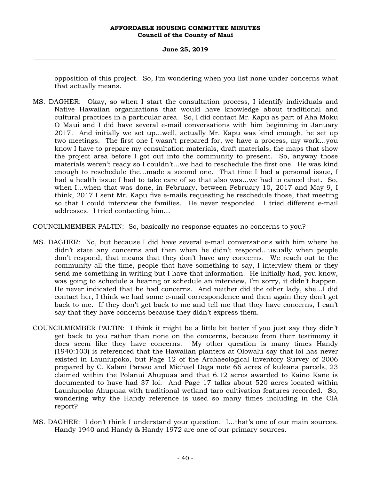### **June 25, 2019 \_\_\_\_\_\_\_\_\_\_\_\_\_\_\_\_\_\_\_\_\_\_\_\_\_\_\_\_\_\_\_\_\_\_\_\_\_\_\_\_\_\_\_\_\_\_\_\_\_\_\_\_\_\_\_\_\_\_\_\_\_\_\_\_\_\_\_\_\_\_\_\_\_\_\_\_\_\_\_\_\_\_\_\_\_\_\_\_\_\_\_\_\_\_\_\_\_\_\_**

opposition of this project. So, I'm wondering when you list none under concerns what that actually means.

MS. DAGHER: Okay, so when I start the consultation process, I identify individuals and Native Hawaiian organizations that would have knowledge about traditional and cultural practices in a particular area. So, I did contact Mr. Kapu as part of Aha Moku O Maui and I did have several e-mail conversations with him beginning in January 2017. And initially we set up…well, actually Mr. Kapu was kind enough, he set up two meetings. The first one I wasn't prepared for, we have a process, my work…you know I have to prepare my consultation materials, draft materials, the maps that show the project area before I got out into the community to present. So, anyway those materials weren't ready so I couldn't…we had to reschedule the first one. He was kind enough to reschedule the…made a second one. That time I had a personal issue, I had a health issue I had to take care of so that also was…we had to cancel that. So, when I…when that was done, in February, between February 10, 2017 and May 9, I think, 2017 I sent Mr. Kapu five e-mails requesting he reschedule those, that meeting so that I could interview the families. He never responded. I tried different e-mail addresses. I tried contacting him…

COUNCILMEMBER PALTIN: So, basically no response equates no concerns to you?

- MS. DAGHER: No, but because I did have several e-mail conversations with him where he didn't state any concerns and then when he didn't respond…usually when people don't respond, that means that they don't have any concerns. We reach out to the community all the time, people that have something to say, I interview them or they send me something in writing but I have that information. He initially had, you know, was going to schedule a hearing or schedule an interview, I'm sorry, it didn't happen. He never indicated that he had concerns. And neither did the other lady, she…I did contact her, I think we had some e-mail correspondence and then again they don't get back to me. If they don't get back to me and tell me that they have concerns, I can't say that they have concerns because they didn't express them.
- COUNCILMEMBER PALTIN: I think it might be a little bit better if you just say they didn't get back to you rather than none on the concerns, because from their testimony it does seem like they have concerns. My other question is many times Handy (1940:103) is referenced that the Hawaiian planters at Olowalu say that loi has never existed in Launiupoko, but Page 12 of the Archaeological Inventory Survey of 2006 prepared by C. Kalani Paraso and Michael Dega note 66 acres of kuleana parcels, 23 claimed within the Polanui Ahupuaa and that 6.12 acres awarded to Kaino Kane is documented to have had 37 loi. And Page 17 talks about 520 acres located within Launiupoko Ahupuaa with traditional wetland taro cultivation features recorded. So, wondering why the Handy reference is used so many times including in the CIA report?
- MS. DAGHER: I don't think I understand your question. I…that's one of our main sources. Handy 1940 and Handy & Handy 1972 are one of our primary sources.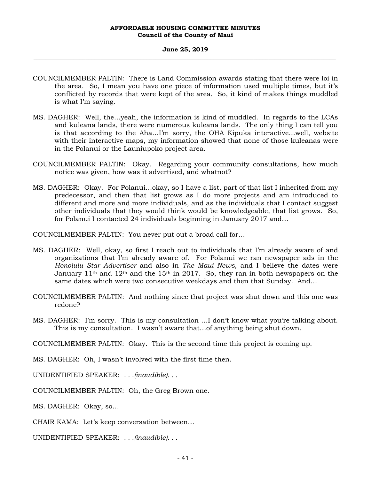#### **June 25, 2019 \_\_\_\_\_\_\_\_\_\_\_\_\_\_\_\_\_\_\_\_\_\_\_\_\_\_\_\_\_\_\_\_\_\_\_\_\_\_\_\_\_\_\_\_\_\_\_\_\_\_\_\_\_\_\_\_\_\_\_\_\_\_\_\_\_\_\_\_\_\_\_\_\_\_\_\_\_\_\_\_\_\_\_\_\_\_\_\_\_\_\_\_\_\_\_\_\_\_\_**

- COUNCILMEMBER PALTIN: There is Land Commission awards stating that there were loi in the area. So, I mean you have one piece of information used multiple times, but it's conflicted by records that were kept of the area. So, it kind of makes things muddled is what I'm saying.
- MS. DAGHER: Well, the…yeah, the information is kind of muddled. In regards to the LCAs and kuleana lands, there were numerous kuleana lands. The only thing I can tell you is that according to the Aha…I'm sorry, the OHA Kipuka interactive…well, website with their interactive maps, my information showed that none of those kuleanas were in the Polanui or the Launiupoko project area.
- COUNCILMEMBER PALTIN: Okay. Regarding your community consultations, how much notice was given, how was it advertised, and whatnot?
- MS. DAGHER: Okay. For Polanui…okay, so I have a list, part of that list I inherited from my predecessor, and then that list grows as I do more projects and am introduced to different and more and more individuals, and as the individuals that I contact suggest other individuals that they would think would be knowledgeable, that list grows. So, for Polanui I contacted 24 individuals beginning in January 2017 and…

COUNCILMEMBER PALTIN: You never put out a broad call for…

- MS. DAGHER: Well, okay, so first I reach out to individuals that I'm already aware of and organizations that I'm already aware of. For Polanui we ran newspaper ads in the *Honolulu Star Advertiser* and also in *The Maui News,* and I believe the dates were January 11<sup>th</sup> and 12<sup>th</sup> and the 15<sup>th</sup> in 2017. So, they ran in both newspapers on the same dates which were two consecutive weekdays and then that Sunday. And…
- COUNCILMEMBER PALTIN: And nothing since that project was shut down and this one was redone?
- MS. DAGHER: I'm sorry. This is my consultation …I don't know what you're talking about. This is my consultation. I wasn't aware that…of anything being shut down.

COUNCILMEMBER PALTIN: Okay. This is the second time this project is coming up.

MS. DAGHER: Oh, I wasn't involved with the first time then.

UNIDENTIFIED SPEAKER: *. . .(inaudible). . .*

COUNCILMEMBER PALTIN: Oh, the Greg Brown one.

MS. DAGHER: Okay, so…

CHAIR KAMA: Let's keep conversation between…

UNIDENTIFIED SPEAKER: *. . .(inaudible). . .*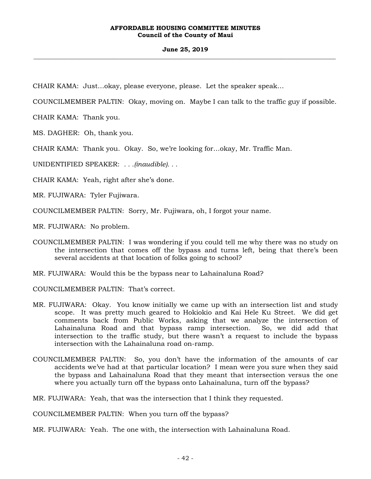### **June 25, 2019 \_\_\_\_\_\_\_\_\_\_\_\_\_\_\_\_\_\_\_\_\_\_\_\_\_\_\_\_\_\_\_\_\_\_\_\_\_\_\_\_\_\_\_\_\_\_\_\_\_\_\_\_\_\_\_\_\_\_\_\_\_\_\_\_\_\_\_\_\_\_\_\_\_\_\_\_\_\_\_\_\_\_\_\_\_\_\_\_\_\_\_\_\_\_\_\_\_\_\_**

CHAIR KAMA: Just…okay, please everyone, please. Let the speaker speak…

COUNCILMEMBER PALTIN: Okay, moving on. Maybe I can talk to the traffic guy if possible.

CHAIR KAMA: Thank you.

MS. DAGHER: Oh, thank you.

CHAIR KAMA: Thank you. Okay. So, we're looking for…okay, Mr. Traffic Man.

UNIDENTIFIED SPEAKER: *. . .(inaudible). . .*

CHAIR KAMA: Yeah, right after she's done.

MR. FUJIWARA: Tyler Fujiwara.

COUNCILMEMBER PALTIN: Sorry, Mr. Fujiwara, oh, I forgot your name.

MR. FUJIWARA: No problem.

COUNCILMEMBER PALTIN: I was wondering if you could tell me why there was no study on the intersection that comes off the bypass and turns left, being that there's been several accidents at that location of folks going to school?

MR. FUJIWARA: Would this be the bypass near to Lahainaluna Road?

COUNCILMEMBER PALTIN: That's correct.

- MR. FUJIWARA: Okay. You know initially we came up with an intersection list and study scope. It was pretty much geared to Hokiokio and Kai Hele Ku Street. We did get comments back from Public Works, asking that we analyze the intersection of Lahainaluna Road and that bypass ramp intersection. So, we did add that intersection to the traffic study, but there wasn't a request to include the bypass intersection with the Lahainaluna road on-ramp.
- COUNCILMEMBER PALTIN: So, you don't have the information of the amounts of car accidents we've had at that particular location? I mean were you sure when they said the bypass and Lahainaluna Road that they meant that intersection versus the one where you actually turn off the bypass onto Lahainaluna, turn off the bypass?

MR. FUJIWARA: Yeah, that was the intersection that I think they requested.

COUNCILMEMBER PALTIN: When you turn off the bypass?

MR. FUJIWARA: Yeah. The one with, the intersection with Lahainaluna Road.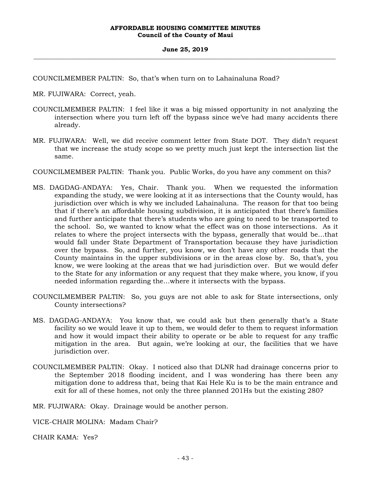COUNCILMEMBER PALTIN: So, that's when turn on to Lahainaluna Road?

MR. FUJIWARA: Correct, yeah.

- COUNCILMEMBER PALTIN: I feel like it was a big missed opportunity in not analyzing the intersection where you turn left off the bypass since we've had many accidents there already.
- MR. FUJIWARA: Well, we did receive comment letter from State DOT. They didn't request that we increase the study scope so we pretty much just kept the intersection list the same.
- COUNCILMEMBER PALTIN: Thank you. Public Works, do you have any comment on this?
- MS. DAGDAG-ANDAYA: Yes, Chair. Thank you. When we requested the information expanding the study, we were looking at it as intersections that the County would, has jurisdiction over which is why we included Lahainaluna. The reason for that too being that if there's an affordable housing subdivision, it is anticipated that there's families and further anticipate that there's students who are going to need to be transported to the school. So, we wanted to know what the effect was on those intersections. As it relates to where the project intersects with the bypass, generally that would be…that would fall under State Department of Transportation because they have jurisdiction over the bypass. So, and further, you know, we don't have any other roads that the County maintains in the upper subdivisions or in the areas close by. So, that's, you know, we were looking at the areas that we had jurisdiction over. But we would defer to the State for any information or any request that they make where, you know, if you needed information regarding the…where it intersects with the bypass.
- COUNCILMEMBER PALTIN: So, you guys are not able to ask for State intersections, only County intersections?
- MS. DAGDAG-ANDAYA: You know that, we could ask but then generally that's a State facility so we would leave it up to them, we would defer to them to request information and how it would impact their ability to operate or be able to request for any traffic mitigation in the area. But again, we're looking at our, the facilities that we have jurisdiction over.
- COUNCILMEMBER PALTIN: Okay. I noticed also that DLNR had drainage concerns prior to the September 2018 flooding incident, and I was wondering has there been any mitigation done to address that, being that Kai Hele Ku is to be the main entrance and exit for all of these homes, not only the three planned 201Hs but the existing 280?

MR. FUJIWARA: Okay. Drainage would be another person.

VICE-CHAIR MOLINA: Madam Chair?

CHAIR KAMA: Yes?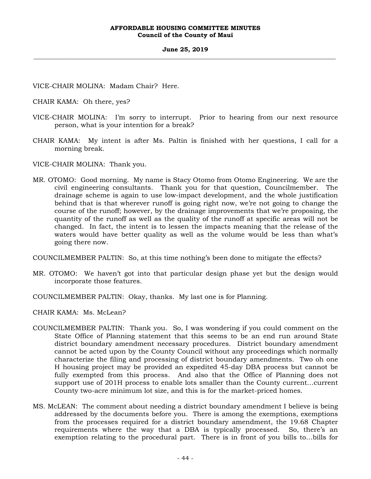VICE-CHAIR MOLINA: Madam Chair? Here.

CHAIR KAMA: Oh there, yes?

- VICE-CHAIR MOLINA: I'm sorry to interrupt. Prior to hearing from our next resource person, what is your intention for a break?
- CHAIR KAMA: My intent is after Ms. Paltin is finished with her questions, I call for a morning break.

VICE-CHAIR MOLINA: Thank you.

MR. OTOMO: Good morning. My name is Stacy Otomo from Otomo Engineering. We are the civil engineering consultants. Thank you for that question, Councilmember. The drainage scheme is again to use low-impact development, and the whole justification behind that is that wherever runoff is going right now, we're not going to change the course of the runoff; however, by the drainage improvements that we're proposing, the quantity of the runoff as well as the quality of the runoff at specific areas will not be changed. In fact, the intent is to lessen the impacts meaning that the release of the waters would have better quality as well as the volume would be less than what's going there now.

COUNCILMEMBER PALTIN: So, at this time nothing's been done to mitigate the effects?

- MR. OTOMO: We haven't got into that particular design phase yet but the design would incorporate those features.
- COUNCILMEMBER PALTIN: Okay, thanks. My last one is for Planning.

CHAIR KAMA: Ms. McLean?

- COUNCILMEMBER PALTIN: Thank you. So, I was wondering if you could comment on the State Office of Planning statement that this seems to be an end run around State district boundary amendment necessary procedures. District boundary amendment cannot be acted upon by the County Council without any proceedings which normally characterize the filing and processing of district boundary amendments. Two oh one H housing project may be provided an expedited 45-day DBA process but cannot be fully exempted from this process. And also that the Office of Planning does not support use of 201H process to enable lots smaller than the County current…current County two-acre minimum lot size, and this is for the market-priced homes.
- MS. McLEAN: The comment about needing a district boundary amendment I believe is being addressed by the documents before you. There is among the exemptions, exemptions from the processes required for a district boundary amendment, the 19.68 Chapter requirements where the way that a DBA is typically processed. So, there's an exemption relating to the procedural part. There is in front of you bills to…bills for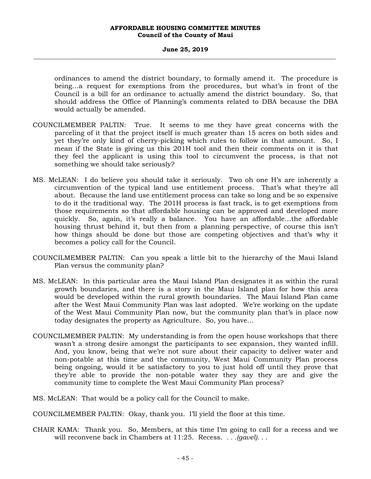### **June 25, 2019 \_\_\_\_\_\_\_\_\_\_\_\_\_\_\_\_\_\_\_\_\_\_\_\_\_\_\_\_\_\_\_\_\_\_\_\_\_\_\_\_\_\_\_\_\_\_\_\_\_\_\_\_\_\_\_\_\_\_\_\_\_\_\_\_\_\_\_\_\_\_\_\_\_\_\_\_\_\_\_\_\_\_\_\_\_\_\_\_\_\_\_\_\_\_\_\_\_\_\_**

ordinances to amend the district boundary, to formally amend it. The procedure is being…a request for exemptions from the procedures, but what's in front of the Council is a bill for an ordinance to actually amend the district boundary. So, that should address the Office of Planning's comments related to DBA because the DBA would actually be amended.

- COUNCILMEMBER PALTIN: True. It seems to me they have great concerns with the parceling of it that the project itself is much greater than 15 acres on both sides and yet they're only kind of cherry-picking which rules to follow in that amount. So, I mean if the State is giving us this 201H tool and then their comments on it is that they feel the applicant is using this tool to circumvent the process, is that not something we should take seriously?
- MS. McLEAN: I do believe you should take it seriously. Two oh one H's are inherently a circumvention of the typical land use entitlement process. That's what they're all about. Because the land use entitlement process can take so long and be so expensive to do it the traditional way. The 201H process is fast track, is to get exemptions from those requirements so that affordable housing can be approved and developed more quickly. So, again, it's really a balance. You have an affordable…the affordable housing thrust behind it, but then from a planning perspective, of course this isn't how things should be done but those are competing objectives and that's why it becomes a policy call for the Council.
- COUNCILMEMBER PALTIN: Can you speak a little bit to the hierarchy of the Maui Island Plan versus the community plan?
- MS. McLEAN: In this particular area the Maui Island Plan designates it as within the rural growth boundaries, and there is a story in the Maui Island plan for how this area would be developed within the rural growth boundaries. The Maui Island Plan came after the West Maui Community Plan was last adopted. We're working on the update of the West Maui Community Plan now, but the community plan that's in place now today designates the property as Agriculture. So, you have…
- COUNCILMEMBER PALTIN: My understanding is from the open house workshops that there wasn't a strong desire amongst the participants to see expansion, they wanted infill. And, you know, being that we're not sure about their capacity to deliver water and non-potable at this time and the community, West Maui Community Plan process being ongoing, would it be satisfactory to you to just hold off until they prove that they're able to provide the non-potable water they say they are and give the community time to complete the West Maui Community Plan process?
- MS. McLEAN: That would be a policy call for the Council to make.

COUNCILMEMBER PALTIN: Okay, thank you. I'll yield the floor at this time.

CHAIR KAMA: Thank you. So, Members, at this time I'm going to call for a recess and we will reconvene back in Chambers at 11:25. Recess. *. . .(gavel). . .*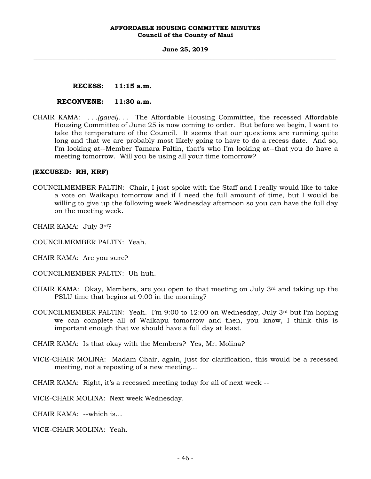### **June 25, 2019 \_\_\_\_\_\_\_\_\_\_\_\_\_\_\_\_\_\_\_\_\_\_\_\_\_\_\_\_\_\_\_\_\_\_\_\_\_\_\_\_\_\_\_\_\_\_\_\_\_\_\_\_\_\_\_\_\_\_\_\_\_\_\_\_\_\_\_\_\_\_\_\_\_\_\_\_\_\_\_\_\_\_\_\_\_\_\_\_\_\_\_\_\_\_\_\_\_\_\_**

# **RECESS: 11:15 a.m.**

### **RECONVENE: 11:30 a.m.**

CHAIR KAMA: *. . .(gavel). . .* The Affordable Housing Committee, the recessed Affordable Housing Committee of June 25 is now coming to order. But before we begin, I want to take the temperature of the Council. It seems that our questions are running quite long and that we are probably most likely going to have to do a recess date. And so, I'm looking at--Member Tamara Paltin, that's who I'm looking at--that you do have a meeting tomorrow. Will you be using all your time tomorrow?

# **(EXCUSED: RH, KRF)**

- COUNCILMEMBER PALTIN: Chair, I just spoke with the Staff and I really would like to take a vote on Waikapu tomorrow and if I need the full amount of time, but I would be willing to give up the following week Wednesday afternoon so you can have the full day on the meeting week.
- CHAIR KAMA: July 3rd?
- COUNCILMEMBER PALTIN: Yeah.
- CHAIR KAMA: Are you sure?
- COUNCILMEMBER PALTIN: Uh-huh.
- CHAIR KAMA: Okay, Members, are you open to that meeting on July  $3<sup>rd</sup>$  and taking up the PSLU time that begins at 9:00 in the morning?
- COUNCILMEMBER PALTIN: Yeah. I'm 9:00 to 12:00 on Wednesday, July 3rd but I'm hoping we can complete all of Waikapu tomorrow and then, you know, I think this is important enough that we should have a full day at least.
- CHAIR KAMA: Is that okay with the Members? Yes, Mr. Molina?
- VICE-CHAIR MOLINA: Madam Chair, again, just for clarification, this would be a recessed meeting, not a reposting of a new meeting…

CHAIR KAMA: Right, it's a recessed meeting today for all of next week --

VICE-CHAIR MOLINA: Next week Wednesday.

CHAIR KAMA: --which is…

VICE-CHAIR MOLINA: Yeah.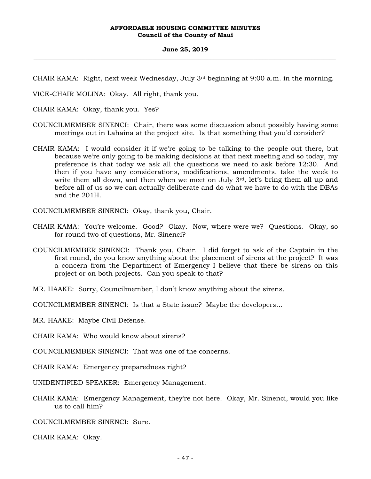#### **June 25, 2019 \_\_\_\_\_\_\_\_\_\_\_\_\_\_\_\_\_\_\_\_\_\_\_\_\_\_\_\_\_\_\_\_\_\_\_\_\_\_\_\_\_\_\_\_\_\_\_\_\_\_\_\_\_\_\_\_\_\_\_\_\_\_\_\_\_\_\_\_\_\_\_\_\_\_\_\_\_\_\_\_\_\_\_\_\_\_\_\_\_\_\_\_\_\_\_\_\_\_\_**

CHAIR KAMA: Right, next week Wednesday, July 3rd beginning at 9:00 a.m. in the morning.

VICE-CHAIR MOLINA: Okay. All right, thank you.

CHAIR KAMA: Okay, thank you. Yes?

- COUNCILMEMBER SINENCI: Chair, there was some discussion about possibly having some meetings out in Lahaina at the project site. Is that something that you'd consider?
- CHAIR KAMA: I would consider it if we're going to be talking to the people out there, but because we're only going to be making decisions at that next meeting and so today, my preference is that today we ask all the questions we need to ask before 12:30. And then if you have any considerations, modifications, amendments, take the week to write them all down, and then when we meet on July 3<sup>rd</sup>, let's bring them all up and before all of us so we can actually deliberate and do what we have to do with the DBAs and the 201H.

COUNCILMEMBER SINENCI: Okay, thank you, Chair.

- CHAIR KAMA: You're welcome. Good? Okay. Now, where were we? Questions. Okay, so for round two of questions, Mr. Sinenci?
- COUNCILMEMBER SINENCI: Thank you, Chair. I did forget to ask of the Captain in the first round, do you know anything about the placement of sirens at the project? It was a concern from the Department of Emergency I believe that there be sirens on this project or on both projects. Can you speak to that?

MR. HAAKE: Sorry, Councilmember, I don't know anything about the sirens.

COUNCILMEMBER SINENCI: Is that a State issue? Maybe the developers…

MR. HAAKE: Maybe Civil Defense.

CHAIR KAMA: Who would know about sirens?

COUNCILMEMBER SINENCI: That was one of the concerns.

CHAIR KAMA: Emergency preparedness right?

UNIDENTIFIED SPEAKER: Emergency Management.

CHAIR KAMA: Emergency Management, they're not here. Okay, Mr. Sinenci, would you like us to call him?

COUNCILMEMBER SINENCI: Sure.

CHAIR KAMA: Okay.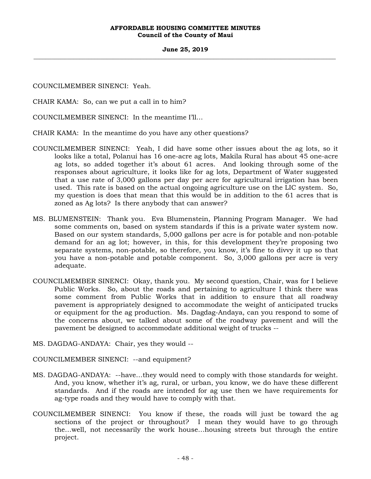### **June 25, 2019 \_\_\_\_\_\_\_\_\_\_\_\_\_\_\_\_\_\_\_\_\_\_\_\_\_\_\_\_\_\_\_\_\_\_\_\_\_\_\_\_\_\_\_\_\_\_\_\_\_\_\_\_\_\_\_\_\_\_\_\_\_\_\_\_\_\_\_\_\_\_\_\_\_\_\_\_\_\_\_\_\_\_\_\_\_\_\_\_\_\_\_\_\_\_\_\_\_\_\_**

COUNCILMEMBER SINENCI: Yeah.

CHAIR KAMA: So, can we put a call in to him?

COUNCILMEMBER SINENCI: In the meantime I'll…

CHAIR KAMA: In the meantime do you have any other questions?

- COUNCILMEMBER SINENCI: Yeah, I did have some other issues about the ag lots, so it looks like a total, Polanui has 16 one-acre ag lots, Makila Rural has about 45 one-acre ag lots, so added together it's about 61 acres. And looking through some of the responses about agriculture, it looks like for ag lots, Department of Water suggested that a use rate of 3,000 gallons per day per acre for agricultural irrigation has been used. This rate is based on the actual ongoing agriculture use on the LIC system. So, my question is does that mean that this would be in addition to the 61 acres that is zoned as Ag lots? Is there anybody that can answer?
- MS. BLUMENSTEIN: Thank you. Eva Blumenstein, Planning Program Manager. We had some comments on, based on system standards if this is a private water system now. Based on our system standards, 5,000 gallons per acre is for potable and non-potable demand for an ag lot; however, in this, for this development they're proposing two separate systems, non-potable, so therefore, you know, it's fine to divvy it up so that you have a non-potable and potable component. So, 3,000 gallons per acre is very adequate.
- COUNCILMEMBER SINENCI: Okay, thank you. My second question, Chair, was for I believe Public Works. So, about the roads and pertaining to agriculture I think there was some comment from Public Works that in addition to ensure that all roadway pavement is appropriately designed to accommodate the weight of anticipated trucks or equipment for the ag production. Ms. Dagdag-Andaya, can you respond to some of the concerns about, we talked about some of the roadway pavement and will the pavement be designed to accommodate additional weight of trucks --
- MS. DAGDAG-ANDAYA: Chair, yes they would --

COUNCILMEMBER SINENCI: --and equipment?

- MS. DAGDAG-ANDAYA: --have…they would need to comply with those standards for weight. And, you know, whether it's ag, rural, or urban, you know, we do have these different standards. And if the roads are intended for ag use then we have requirements for ag-type roads and they would have to comply with that.
- COUNCILMEMBER SINENCI: You know if these, the roads will just be toward the ag sections of the project or throughout? I mean they would have to go through the…well, not necessarily the work house…housing streets but through the entire project.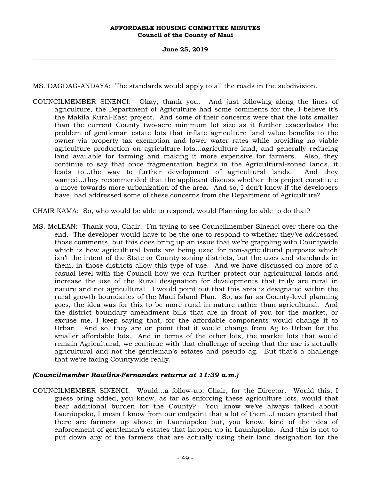MS. DAGDAG-ANDAYA: The standards would apply to all the roads in the subdivision.

- COUNCILMEMBER SINENCI: Okay, thank you. And just following along the lines of agriculture, the Department of Agriculture had some comments for the, I believe it's the Makila Rural-East project. And some of their concerns were that the lots smaller than the current County two-acre minimum lot size as it further exacerbates the problem of gentleman estate lots that inflate agriculture land value benefits to the owner via property tax exemption and lower water rates while providing no viable agriculture production on agriculture lots…agriculture land, and generally reducing land available for farming and making it more expensive for farmers. Also, they continue to say that once fragmentation begins in the Agricultural-zoned lands, it leads to…the way to further development of agricultural lands. And they wanted…they recommended that the applicant discuss whether this project constitute a move towards more urbanization of the area. And so, I don't know if the developers have, had addressed some of these concerns from the Department of Agriculture?
- CHAIR KAMA: So, who would be able to respond, would Planning be able to do that?
- MS. McLEAN: Thank you, Chair. I'm trying to see Councilmember Sinenci over there on the end. The developer would have to be the one to respond to whether they've addressed those comments, but this does bring up an issue that we're grappling with Countywide which is how agricultural lands are being used for non-agricultural purposes which isn't the intent of the State or County zoning districts, but the uses and standards in them, in those districts allow this type of use. And we have discussed on more of a casual level with the Council how we can further protect our agricultural lands and increase the use of the Rural designation for developments that truly are rural in nature and not agricultural. I would point out that this area is designated within the rural growth boundaries of the Maui Island Plan. So, as far as County-level planning goes, the idea was for this to be more rural in nature rather than agricultural. And the district boundary amendment bills that are in front of you for the market, or excuse me, I keep saying that, for the affordable components would change it to Urban. And so, they are on point that it would change from Ag to Urban for the smaller affordable lots. And in terms of the other lots, the market lots that would remain Agricultural, we continue with that challenge of seeing that the use is actually agricultural and not the gentleman's estates and pseudo ag. But that's a challenge that we're facing Countywide really.

# *(Councilmember Rawlins-Fernandez returns at 11:39 a.m.)*

COUNCILMEMBER SINENCI: Would…a follow-up, Chair, for the Director. Would this, I guess bring added, you know, as far as enforcing these agriculture lots, would that bear additional burden for the County? You know we've always talked about Launiupoko, I mean I know from our endpoint that a lot of them…I mean granted that there are farmers up above in Launiupoko but, you know, kind of the idea of enforcement of gentleman's estates that happen up in Launiupoko. And this is not to put down any of the farmers that are actually using their land designation for the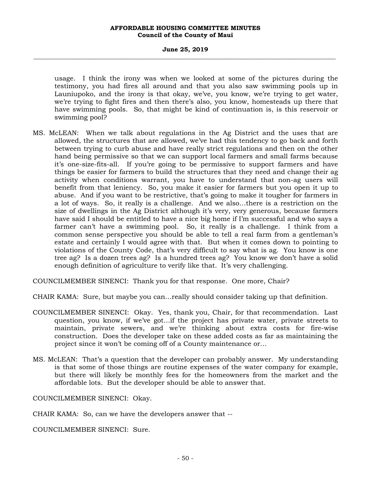### **June 25, 2019 \_\_\_\_\_\_\_\_\_\_\_\_\_\_\_\_\_\_\_\_\_\_\_\_\_\_\_\_\_\_\_\_\_\_\_\_\_\_\_\_\_\_\_\_\_\_\_\_\_\_\_\_\_\_\_\_\_\_\_\_\_\_\_\_\_\_\_\_\_\_\_\_\_\_\_\_\_\_\_\_\_\_\_\_\_\_\_\_\_\_\_\_\_\_\_\_\_\_\_**

usage. I think the irony was when we looked at some of the pictures during the testimony, you had fires all around and that you also saw swimming pools up in Launiupoko, and the irony is that okay, we've, you know, we're trying to get water, we're trying to fight fires and then there's also, you know, homesteads up there that have swimming pools. So, that might be kind of continuation is, is this reservoir or swimming pool?

MS. McLEAN: When we talk about regulations in the Ag District and the uses that are allowed, the structures that are allowed, we've had this tendency to go back and forth between trying to curb abuse and have really strict regulations and then on the other hand being permissive so that we can support local farmers and small farms because it's one-size-fits-all. If you're going to be permissive to support farmers and have things be easier for farmers to build the structures that they need and change their ag activity when conditions warrant, you have to understand that non-ag users will benefit from that leniency. So, you make it easier for farmers but you open it up to abuse. And if you want to be restrictive, that's going to make it tougher for farmers in a lot of ways. So, it really is a challenge. And we also…there is a restriction on the size of dwellings in the Ag District although it's very, very generous, because farmers have said I should be entitled to have a nice big home if I'm successful and who says a farmer can't have a swimming pool. So, it really is a challenge. I think from a common sense perspective you should be able to tell a real farm from a gentleman's estate and certainly I would agree with that. But when it comes down to pointing to violations of the County Code, that's very difficult to say what is ag. You know is one tree ag? Is a dozen trees ag? Is a hundred trees ag? You know we don't have a solid enough definition of agriculture to verify like that. It's very challenging.

COUNCILMEMBER SINENCI: Thank you for that response. One more, Chair?

CHAIR KAMA: Sure, but maybe you can…really should consider taking up that definition.

- COUNCILMEMBER SINENCI: Okay. Yes, thank you, Chair, for that recommendation. Last question, you know, if we've got…if the project has private water, private streets to maintain, private sewers, and we're thinking about extra costs for fire-wise construction. Does the developer take on these added costs as far as maintaining the project since it won't be coming off of a County maintenance or…
- MS. McLEAN: That's a question that the developer can probably answer. My understanding is that some of those things are routine expenses of the water company for example, but there will likely be monthly fees for the homeowners from the market and the affordable lots. But the developer should be able to answer that.

COUNCILMEMBER SINENCI: Okay.

CHAIR KAMA: So, can we have the developers answer that --

COUNCILMEMBER SINENCI: Sure.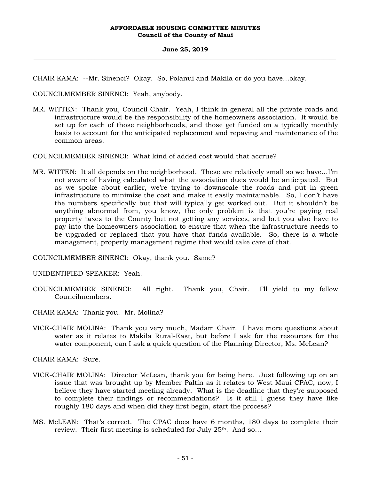### **June 25, 2019 \_\_\_\_\_\_\_\_\_\_\_\_\_\_\_\_\_\_\_\_\_\_\_\_\_\_\_\_\_\_\_\_\_\_\_\_\_\_\_\_\_\_\_\_\_\_\_\_\_\_\_\_\_\_\_\_\_\_\_\_\_\_\_\_\_\_\_\_\_\_\_\_\_\_\_\_\_\_\_\_\_\_\_\_\_\_\_\_\_\_\_\_\_\_\_\_\_\_\_**

CHAIR KAMA: --Mr. Sinenci? Okay. So, Polanui and Makila or do you have…okay.

COUNCILMEMBER SINENCI: Yeah, anybody.

MR. WITTEN: Thank you, Council Chair. Yeah, I think in general all the private roads and infrastructure would be the responsibility of the homeowners association. It would be set up for each of those neighborhoods, and those get funded on a typically monthly basis to account for the anticipated replacement and repaving and maintenance of the common areas.

COUNCILMEMBER SINENCI: What kind of added cost would that accrue?

MR. WITTEN: It all depends on the neighborhood. These are relatively small so we have…I'm not aware of having calculated what the association dues would be anticipated. But as we spoke about earlier, we're trying to downscale the roads and put in green infrastructure to minimize the cost and make it easily maintainable. So, I don't have the numbers specifically but that will typically get worked out. But it shouldn't be anything abnormal from, you know, the only problem is that you're paying real property taxes to the County but not getting any services, and but you also have to pay into the homeowners association to ensure that when the infrastructure needs to be upgraded or replaced that you have that funds available. So, there is a whole management, property management regime that would take care of that.

COUNCILMEMBER SINENCI: Okay, thank you. Same?

UNIDENTIFIED SPEAKER: Yeah.

COUNCILMEMBER SINENCI: All right. Thank you, Chair. I'll yield to my fellow Councilmembers.

CHAIR KAMA: Thank you. Mr. Molina?

VICE-CHAIR MOLINA: Thank you very much, Madam Chair. I have more questions about water as it relates to Makila Rural-East, but before I ask for the resources for the water component, can I ask a quick question of the Planning Director, Ms. McLean?

CHAIR KAMA: Sure.

- VICE-CHAIR MOLINA: Director McLean, thank you for being here. Just following up on an issue that was brought up by Member Paltin as it relates to West Maui CPAC, now, I believe they have started meeting already. What is the deadline that they're supposed to complete their findings or recommendations? Is it still I guess they have like roughly 180 days and when did they first begin, start the process?
- MS. McLEAN: That's correct. The CPAC does have 6 months, 180 days to complete their review. Their first meeting is scheduled for July 25<sup>th</sup>. And so...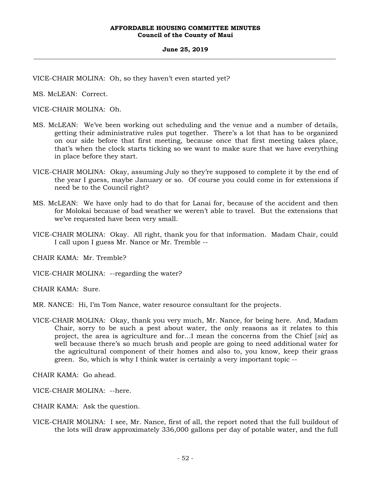VICE-CHAIR MOLINA: Oh, so they haven't even started yet?

MS. McLEAN: Correct.

VICE-CHAIR MOLINA: Oh.

- MS. McLEAN: We've been working out scheduling and the venue and a number of details, getting their administrative rules put together. There's a lot that has to be organized on our side before that first meeting, because once that first meeting takes place, that's when the clock starts ticking so we want to make sure that we have everything in place before they start.
- VICE-CHAIR MOLINA: Okay, assuming July so they're supposed to complete it by the end of the year I guess, maybe January or so. Of course you could come in for extensions if need be to the Council right?
- MS. McLEAN: We have only had to do that for Lanai for, because of the accident and then for Molokai because of bad weather we weren't able to travel. But the extensions that we've requested have been very small.
- VICE-CHAIR MOLINA: Okay. All right, thank you for that information. Madam Chair, could I call upon I guess Mr. Nance or Mr. Tremble --

CHAIR KAMA: Mr. Tremble?

VICE-CHAIR MOLINA: --regarding the water?

CHAIR KAMA: Sure.

MR. NANCE: Hi, I'm Tom Nance, water resource consultant for the projects.

VICE-CHAIR MOLINA: Okay, thank you very much, Mr. Nance, for being here. And, Madam Chair, sorry to be such a pest about water, the only reasons as it relates to this project, the area is agriculture and for…I mean the concerns from the Chief [*sic*] as well because there's so much brush and people are going to need additional water for the agricultural component of their homes and also to, you know, keep their grass green. So, which is why I think water is certainly a very important topic --

CHAIR KAMA: Go ahead.

VICE-CHAIR MOLINA: --here.

CHAIR KAMA: Ask the question.

VICE-CHAIR MOLINA: I see, Mr. Nance, first of all, the report noted that the full buildout of the lots will draw approximately 336,000 gallons per day of potable water, and the full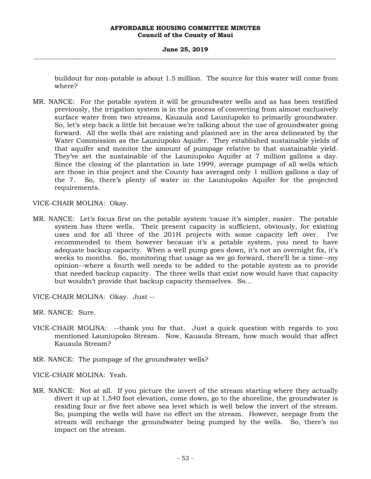### **June 25, 2019 \_\_\_\_\_\_\_\_\_\_\_\_\_\_\_\_\_\_\_\_\_\_\_\_\_\_\_\_\_\_\_\_\_\_\_\_\_\_\_\_\_\_\_\_\_\_\_\_\_\_\_\_\_\_\_\_\_\_\_\_\_\_\_\_\_\_\_\_\_\_\_\_\_\_\_\_\_\_\_\_\_\_\_\_\_\_\_\_\_\_\_\_\_\_\_\_\_\_\_**

buildout for non-potable is about 1.5 million. The source for this water will come from where?

MR. NANCE: For the potable system it will be groundwater wells and as has been testified previously, the irrigation system is in the process of converting from almost exclusively surface water from two streams, Kauaula and Launiupoko to primarily groundwater. So, let's step back a little bit because we're talking about the use of groundwater going forward. All the wells that are existing and planned are in the area delineated by the Water Commission as the Launiupoko Aquifer. They established sustainable yields of that aquifer and monitor the amount of pumpage relative to that sustainable yield. They've set the sustainable of the Launiupoko Aquifer at 7 million gallons a day. Since the closing of the plantation in late 1999, average pumpage of all wells which are those in this project and the County has averaged only 1 million gallons a day of the 7. So, there's plenty of water in the Launiupoko Aquifer for the projected requirements.

VICE-CHAIR MOLINA: Okay.

MR. NANCE: Let's focus first on the potable system 'cause it's simpler, easier. The potable system has three wells. Their present capacity is sufficient, obviously, for existing uses and for all three of the 201H projects with some capacity left over. I've recommended to them however because it's a potable system, you need to have adequate backup capacity. When a well pump goes down, it's not an overnight fix, it's weeks to months. So, monitoring that usage as we go forward, there'll be a time--my opinion--where a fourth well needs to be added to the potable system as to provide that needed backup capacity. The three wells that exist now would have that capacity but wouldn't provide that backup capacity themselves. So…

VICE-CHAIR MOLINA: Okay. Just --

MR. NANCE: Sure.

- VICE-CHAIR MOLINA: --thank you for that. Just a quick question with regards to you mentioned Launiupoko Stream. Now, Kauaula Stream, how much would that affect Kauaula Stream?
- MR. NANCE: The pumpage of the groundwater wells?

VICE-CHAIR MOLINA: Yeah.

MR. NANCE: Not at all. If you picture the invert of the stream starting where they actually divert it up at 1,540 foot elevation, come down, go to the shoreline, the groundwater is residing four or five feet above sea level which is well below the invert of the stream. So, pumping the wells will have no effect on the stream. However, seepage from the stream will recharge the groundwater being pumped by the wells. So, there's no impact on the stream.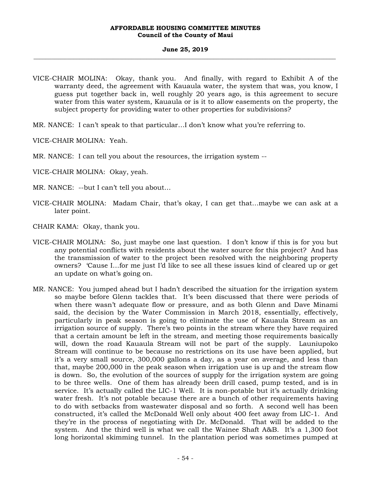#### **June 25, 2019 \_\_\_\_\_\_\_\_\_\_\_\_\_\_\_\_\_\_\_\_\_\_\_\_\_\_\_\_\_\_\_\_\_\_\_\_\_\_\_\_\_\_\_\_\_\_\_\_\_\_\_\_\_\_\_\_\_\_\_\_\_\_\_\_\_\_\_\_\_\_\_\_\_\_\_\_\_\_\_\_\_\_\_\_\_\_\_\_\_\_\_\_\_\_\_\_\_\_\_**

- VICE-CHAIR MOLINA: Okay, thank you. And finally, with regard to Exhibit A of the warranty deed, the agreement with Kauaula water, the system that was, you know, I guess put together back in, well roughly 20 years ago, is this agreement to secure water from this water system, Kauaula or is it to allow easements on the property, the subject property for providing water to other properties for subdivisions?
- MR. NANCE: I can't speak to that particular…I don't know what you're referring to.

VICE-CHAIR MOLINA: Yeah.

- MR. NANCE: I can tell you about the resources, the irrigation system --
- VICE-CHAIR MOLINA: Okay, yeah.
- MR. NANCE: --but I can't tell you about…
- VICE-CHAIR MOLINA: Madam Chair, that's okay, I can get that…maybe we can ask at a later point.
- CHAIR KAMA: Okay, thank you.
- VICE-CHAIR MOLINA: So, just maybe one last question. I don't know if this is for you but any potential conflicts with residents about the water source for this project? And has the transmission of water to the project been resolved with the neighboring property owners? 'Cause I…for me just I'd like to see all these issues kind of cleared up or get an update on what's going on.
- MR. NANCE: You jumped ahead but I hadn't described the situation for the irrigation system so maybe before Glenn tackles that. It's been discussed that there were periods of when there wasn't adequate flow or pressure, and as both Glenn and Dave Minami said, the decision by the Water Commission in March 2018, essentially, effectively, particularly in peak season is going to eliminate the use of Kauaula Stream as an irrigation source of supply. There's two points in the stream where they have required that a certain amount be left in the stream, and meeting those requirements basically will, down the road Kauaula Stream will not be part of the supply. Launiupoko Stream will continue to be because no restrictions on its use have been applied, but it's a very small source, 300,000 gallons a day, as a year on average, and less than that, maybe 200,000 in the peak season when irrigation use is up and the stream flow is down. So, the evolution of the sources of supply for the irrigation system are going to be three wells. One of them has already been drill cased, pump tested, and is in service. It's actually called the LIC-1 Well. It is non-potable but it's actually drinking water fresh. It's not potable because there are a bunch of other requirements having to do with setbacks from wastewater disposal and so forth. A second well has been constructed, it's called the McDonald Well only about 400 feet away from LIC-1. And they're in the process of negotiating with Dr. McDonald. That will be added to the system. And the third well is what we call the Wainee Shaft A&B. It's a 1,300 foot long horizontal skimming tunnel. In the plantation period was sometimes pumped at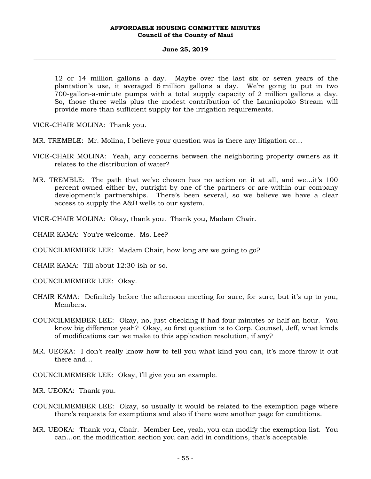#### **June 25, 2019 \_\_\_\_\_\_\_\_\_\_\_\_\_\_\_\_\_\_\_\_\_\_\_\_\_\_\_\_\_\_\_\_\_\_\_\_\_\_\_\_\_\_\_\_\_\_\_\_\_\_\_\_\_\_\_\_\_\_\_\_\_\_\_\_\_\_\_\_\_\_\_\_\_\_\_\_\_\_\_\_\_\_\_\_\_\_\_\_\_\_\_\_\_\_\_\_\_\_\_**

12 or 14 million gallons a day. Maybe over the last six or seven years of the plantation's use, it averaged 6 million gallons a day. We're going to put in two 700-gallon-a-minute pumps with a total supply capacity of 2 million gallons a day. So, those three wells plus the modest contribution of the Launiupoko Stream will provide more than sufficient supply for the irrigation requirements.

VICE-CHAIR MOLINA: Thank you.

- MR. TREMBLE: Mr. Molina, I believe your question was is there any litigation or…
- VICE-CHAIR MOLINA: Yeah, any concerns between the neighboring property owners as it relates to the distribution of water?
- MR. TREMBLE: The path that we've chosen has no action on it at all, and we…it's 100 percent owned either by, outright by one of the partners or are within our company development's partnerships. There's been several, so we believe we have a clear access to supply the A&B wells to our system.

VICE-CHAIR MOLINA: Okay, thank you. Thank you, Madam Chair.

CHAIR KAMA: You're welcome. Ms. Lee?

COUNCILMEMBER LEE: Madam Chair, how long are we going to go?

CHAIR KAMA: Till about 12:30-ish or so.

COUNCILMEMBER LEE: Okay.

- CHAIR KAMA: Definitely before the afternoon meeting for sure, for sure, but it's up to you, Members.
- COUNCILMEMBER LEE: Okay, no, just checking if had four minutes or half an hour. You know big difference yeah? Okay, so first question is to Corp. Counsel, Jeff, what kinds of modifications can we make to this application resolution, if any?
- MR. UEOKA: I don't really know how to tell you what kind you can, it's more throw it out there and…

COUNCILMEMBER LEE: Okay, I'll give you an example.

MR. UEOKA: Thank you.

- COUNCILMEMBER LEE: Okay, so usually it would be related to the exemption page where there's requests for exemptions and also if there were another page for conditions.
- MR. UEOKA: Thank you, Chair. Member Lee, yeah, you can modify the exemption list. You can…on the modification section you can add in conditions, that's acceptable.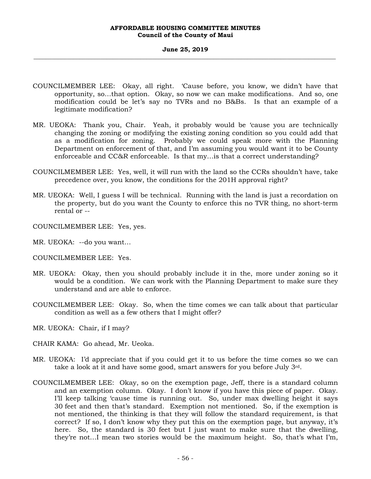- COUNCILMEMBER LEE: Okay, all right. 'Cause before, you know, we didn't have that opportunity, so…that option. Okay, so now we can make modifications. And so, one modification could be let's say no TVRs and no B&Bs. Is that an example of a legitimate modification?
- MR. UEOKA: Thank you, Chair. Yeah, it probably would be 'cause you are technically changing the zoning or modifying the existing zoning condition so you could add that as a modification for zoning. Probably we could speak more with the Planning Department on enforcement of that, and I'm assuming you would want it to be County enforceable and CC&R enforceable. Is that my…is that a correct understanding?
- COUNCILMEMBER LEE: Yes, well, it will run with the land so the CCRs shouldn't have, take precedence over, you know, the conditions for the 201H approval right?
- MR. UEOKA: Well, I guess I will be technical. Running with the land is just a recordation on the property, but do you want the County to enforce this no TVR thing, no short-term rental or --
- COUNCILMEMBER LEE: Yes, yes.
- MR. UEOKA: --do you want…
- COUNCILMEMBER LEE: Yes.
- MR. UEOKA: Okay, then you should probably include it in the, more under zoning so it would be a condition. We can work with the Planning Department to make sure they understand and are able to enforce.
- COUNCILMEMBER LEE: Okay. So, when the time comes we can talk about that particular condition as well as a few others that I might offer?
- MR. UEOKA: Chair, if I may?
- CHAIR KAMA: Go ahead, Mr. Ueoka.
- MR. UEOKA: I'd appreciate that if you could get it to us before the time comes so we can take a look at it and have some good, smart answers for you before July  $3<sup>rd</sup>$ .
- COUNCILMEMBER LEE: Okay, so on the exemption page, Jeff, there is a standard column and an exemption column. Okay. I don't know if you have this piece of paper. Okay. I'll keep talking 'cause time is running out. So, under max dwelling height it says 30 feet and then that's standard. Exemption not mentioned. So, if the exemption is not mentioned, the thinking is that they will follow the standard requirement, is that correct? If so, I don't know why they put this on the exemption page, but anyway, it's here. So, the standard is 30 feet but I just want to make sure that the dwelling, they're not…I mean two stories would be the maximum height. So, that's what I'm,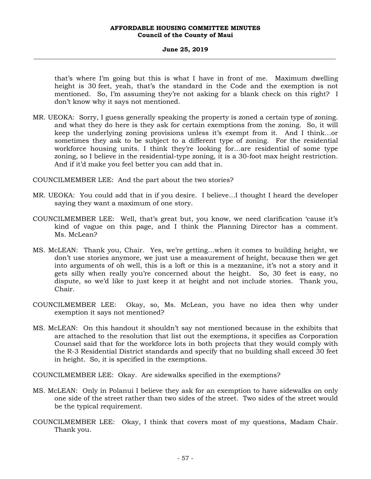### **June 25, 2019 \_\_\_\_\_\_\_\_\_\_\_\_\_\_\_\_\_\_\_\_\_\_\_\_\_\_\_\_\_\_\_\_\_\_\_\_\_\_\_\_\_\_\_\_\_\_\_\_\_\_\_\_\_\_\_\_\_\_\_\_\_\_\_\_\_\_\_\_\_\_\_\_\_\_\_\_\_\_\_\_\_\_\_\_\_\_\_\_\_\_\_\_\_\_\_\_\_\_\_**

that's where I'm going but this is what I have in front of me. Maximum dwelling height is 30 feet, yeah, that's the standard in the Code and the exemption is not mentioned. So, I'm assuming they're not asking for a blank check on this right? I don't know why it says not mentioned.

MR. UEOKA: Sorry, I guess generally speaking the property is zoned a certain type of zoning. and what they do here is they ask for certain exemptions from the zoning. So, it will keep the underlying zoning provisions unless it's exempt from it. And I think…or sometimes they ask to be subject to a different type of zoning. For the residential workforce housing units. I think they're looking for…are residential of some type zoning, so I believe in the residential-type zoning, it is a 30-foot max height restriction. And if it'd make you feel better you can add that in.

COUNCILMEMBER LEE: And the part about the two stories?

- MR. UEOKA: You could add that in if you desire. I believe…I thought I heard the developer saying they want a maximum of one story.
- COUNCILMEMBER LEE: Well, that's great but, you know, we need clarification 'cause it's kind of vague on this page, and I think the Planning Director has a comment. Ms. McLean?
- MS. McLEAN: Thank you, Chair. Yes, we're getting…when it comes to building height, we don't use stories anymore, we just use a measurement of height, because then we get into arguments of oh well, this is a loft or this is a mezzanine, it's not a story and it gets silly when really you're concerned about the height. So, 30 feet is easy, no dispute, so we'd like to just keep it at height and not include stories. Thank you, Chair.
- COUNCILMEMBER LEE: Okay, so, Ms. McLean, you have no idea then why under exemption it says not mentioned?
- MS. McLEAN: On this handout it shouldn't say not mentioned because in the exhibits that are attached to the resolution that list out the exemptions, it specifies as Corporation Counsel said that for the workforce lots in both projects that they would comply with the R-3 Residential District standards and specify that no building shall exceed 30 feet in height. So, it is specified in the exemptions.

COUNCILMEMBER LEE: Okay. Are sidewalks specified in the exemptions?

- MS. McLEAN: Only in Polanui I believe they ask for an exemption to have sidewalks on only one side of the street rather than two sides of the street. Two sides of the street would be the typical requirement.
- COUNCILMEMBER LEE: Okay, I think that covers most of my questions, Madam Chair. Thank you.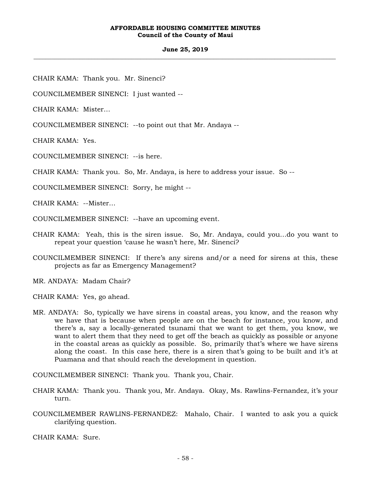### **June 25, 2019 \_\_\_\_\_\_\_\_\_\_\_\_\_\_\_\_\_\_\_\_\_\_\_\_\_\_\_\_\_\_\_\_\_\_\_\_\_\_\_\_\_\_\_\_\_\_\_\_\_\_\_\_\_\_\_\_\_\_\_\_\_\_\_\_\_\_\_\_\_\_\_\_\_\_\_\_\_\_\_\_\_\_\_\_\_\_\_\_\_\_\_\_\_\_\_\_\_\_\_**

CHAIR KAMA: Thank you. Mr. Sinenci?

COUNCILMEMBER SINENCI: I just wanted --

CHAIR KAMA: Mister…

COUNCILMEMBER SINENCI: --to point out that Mr. Andaya --

CHAIR KAMA: Yes.

COUNCILMEMBER SINENCI: --is here.

CHAIR KAMA: Thank you. So, Mr. Andaya, is here to address your issue. So --

COUNCILMEMBER SINENCI: Sorry, he might --

CHAIR KAMA: --Mister…

COUNCILMEMBER SINENCI: --have an upcoming event.

- CHAIR KAMA: Yeah, this is the siren issue. So, Mr. Andaya, could you…do you want to repeat your question 'cause he wasn't here, Mr. Sinenci?
- COUNCILMEMBER SINENCI: If there's any sirens and/or a need for sirens at this, these projects as far as Emergency Management?

MR. ANDAYA: Madam Chair?

CHAIR KAMA: Yes, go ahead.

MR. ANDAYA: So, typically we have sirens in coastal areas, you know, and the reason why we have that is because when people are on the beach for instance, you know, and there's a, say a locally-generated tsunami that we want to get them, you know, we want to alert them that they need to get off the beach as quickly as possible or anyone in the coastal areas as quickly as possible. So, primarily that's where we have sirens along the coast. In this case here, there is a siren that's going to be built and it's at Puamana and that should reach the development in question.

COUNCILMEMBER SINENCI: Thank you. Thank you, Chair.

- CHAIR KAMA: Thank you. Thank you, Mr. Andaya. Okay, Ms. Rawlins-Fernandez, it's your turn.
- COUNCILMEMBER RAWLINS-FERNANDEZ: Mahalo, Chair. I wanted to ask you a quick clarifying question.

CHAIR KAMA: Sure.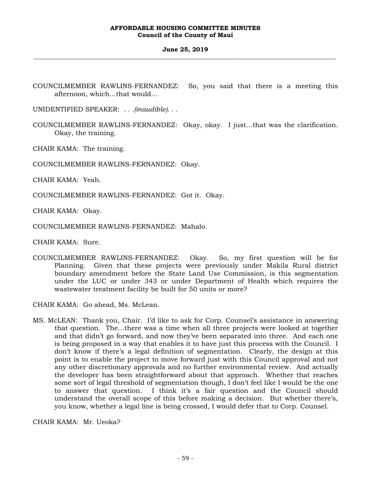### **June 25, 2019 \_\_\_\_\_\_\_\_\_\_\_\_\_\_\_\_\_\_\_\_\_\_\_\_\_\_\_\_\_\_\_\_\_\_\_\_\_\_\_\_\_\_\_\_\_\_\_\_\_\_\_\_\_\_\_\_\_\_\_\_\_\_\_\_\_\_\_\_\_\_\_\_\_\_\_\_\_\_\_\_\_\_\_\_\_\_\_\_\_\_\_\_\_\_\_\_\_\_\_**

COUNCILMEMBER RAWLINS-FERNANDEZ: So, you said that there is a meeting this afternoon, which…that would…

UNIDENTIFIED SPEAKER: *. . .(inaudible). . .*

COUNCILMEMBER RAWLINS-FERNANDEZ: Okay, okay. I just…that was the clarification. Okay, the training.

CHAIR KAMA: The training.

COUNCILMEMBER RAWLINS-FERNANDEZ: Okay.

CHAIR KAMA: Yeah.

COUNCILMEMBER RAWLINS-FERNANDEZ: Got it. Okay.

CHAIR KAMA: Okay.

COUNCILMEMBER RAWLINS-FERNANDEZ: Mahalo.

CHAIR KAMA: Sure.

COUNCILMEMBER RAWLINS-FERNANDEZ: Okay. So, my first question will be for Planning. Given that these projects were previously under Makila Rural district boundary amendment before the State Land Use Commission, is this segmentation under the LUC or under 343 or under Department of Health which requires the wastewater treatment facility be built for 50 units or more?

CHAIR KAMA: Go ahead, Ms. McLean.

MS. McLEAN: Thank you, Chair. I'd like to ask for Corp. Counsel's assistance in answering that question. The…there was a time when all three projects were looked at together and that didn't go forward, and now they've been separated into three. And each one is being proposed in a way that enables it to have just this process with the Council. I don't know if there's a legal definition of segmentation. Clearly, the design at this point is to enable the project to move forward just with this Council approval and not any other discretionary approvals and no further environmental review. And actually the developer has been straightforward about that approach. Whether that reaches some sort of legal threshold of segmentation though, I don't feel like I would be the one to answer that question. I think it's a fair question and the Council should understand the overall scope of this before making a decision. But whether there's, you know, whether a legal line is being crossed, I would defer that to Corp. Counsel.

CHAIR KAMA: Mr. Ueoka?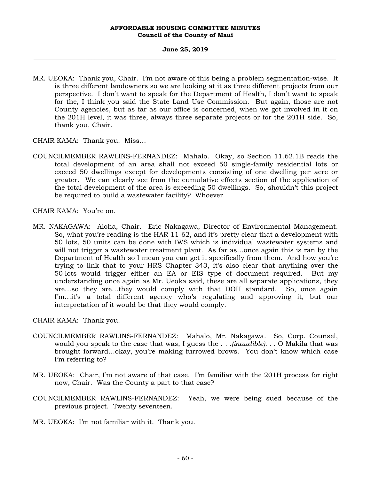### **June 25, 2019 \_\_\_\_\_\_\_\_\_\_\_\_\_\_\_\_\_\_\_\_\_\_\_\_\_\_\_\_\_\_\_\_\_\_\_\_\_\_\_\_\_\_\_\_\_\_\_\_\_\_\_\_\_\_\_\_\_\_\_\_\_\_\_\_\_\_\_\_\_\_\_\_\_\_\_\_\_\_\_\_\_\_\_\_\_\_\_\_\_\_\_\_\_\_\_\_\_\_\_**

MR. UEOKA: Thank you, Chair. I'm not aware of this being a problem segmentation-wise. It is three different landowners so we are looking at it as three different projects from our perspective. I don't want to speak for the Department of Health, I don't want to speak for the, I think you said the State Land Use Commission. But again, those are not County agencies, but as far as our office is concerned, when we got involved in it on the 201H level, it was three, always three separate projects or for the 201H side. So, thank you, Chair.

CHAIR KAMA: Thank you. Miss…

COUNCILMEMBER RAWLINS-FERNANDEZ: Mahalo. Okay, so Section 11.62.1B reads the total development of an area shall not exceed 50 single-family residential lots or exceed 50 dwellings except for developments consisting of one dwelling per acre or greater. We can clearly see from the cumulative effects section of the application of the total development of the area is exceeding 50 dwellings. So, shouldn't this project be required to build a wastewater facility? Whoever.

CHAIR KAMA: You're on.

MR. NAKAGAWA: Aloha, Chair. Eric Nakagawa, Director of Environmental Management. So, what you're reading is the HAR 11-62, and it's pretty clear that a development with 50 lots, 50 units can be done with IWS which is individual wastewater systems and will not trigger a wastewater treatment plant. As far as…once again this is ran by the Department of Health so I mean you can get it specifically from them. And how you're trying to link that to your HRS Chapter 343, it's also clear that anything over the 50 lots would trigger either an EA or EIS type of document required. But my understanding once again as Mr. Ueoka said, these are all separate applications, they are…so they are…they would comply with that DOH standard. So, once again I'm…it's a total different agency who's regulating and approving it, but our interpretation of it would be that they would comply.

CHAIR KAMA: Thank you.

- COUNCILMEMBER RAWLINS-FERNANDEZ: Mahalo, Mr. Nakagawa. So, Corp. Counsel, would you speak to the case that was, I guess the . . .*(inaudible). . .* O Makila that was brought forward…okay, you're making furrowed brows. You don't know which case I'm referring to?
- MR. UEOKA: Chair, I'm not aware of that case. I'm familiar with the 201H process for right now, Chair. Was the County a part to that case?
- COUNCILMEMBER RAWLINS-FERNANDEZ: Yeah, we were being sued because of the previous project. Twenty seventeen.
- MR. UEOKA: I'm not familiar with it. Thank you.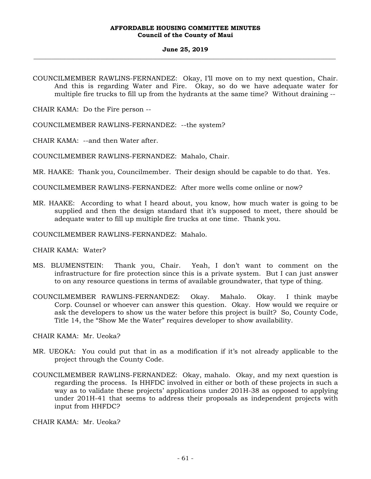#### **June 25, 2019 \_\_\_\_\_\_\_\_\_\_\_\_\_\_\_\_\_\_\_\_\_\_\_\_\_\_\_\_\_\_\_\_\_\_\_\_\_\_\_\_\_\_\_\_\_\_\_\_\_\_\_\_\_\_\_\_\_\_\_\_\_\_\_\_\_\_\_\_\_\_\_\_\_\_\_\_\_\_\_\_\_\_\_\_\_\_\_\_\_\_\_\_\_\_\_\_\_\_\_**

COUNCILMEMBER RAWLINS-FERNANDEZ: Okay, I'll move on to my next question, Chair. And this is regarding Water and Fire. Okay, so do we have adequate water for multiple fire trucks to fill up from the hydrants at the same time? Without draining --

CHAIR KAMA: Do the Fire person --

COUNCILMEMBER RAWLINS-FERNANDEZ: --the system?

CHAIR KAMA: --and then Water after.

COUNCILMEMBER RAWLINS-FERNANDEZ: Mahalo, Chair.

MR. HAAKE: Thank you, Councilmember. Their design should be capable to do that. Yes.

COUNCILMEMBER RAWLINS-FERNANDEZ: After more wells come online or now?

MR. HAAKE: According to what I heard about, you know, how much water is going to be supplied and then the design standard that it's supposed to meet, there should be adequate water to fill up multiple fire trucks at one time. Thank you.

COUNCILMEMBER RAWLINS-FERNANDEZ: Mahalo.

CHAIR KAMA: Water?

- MS. BLUMENSTEIN: Thank you, Chair. Yeah, I don't want to comment on the infrastructure for fire protection since this is a private system. But I can just answer to on any resource questions in terms of available groundwater, that type of thing.
- COUNCILMEMBER RAWLINS-FERNANDEZ: Okay. Mahalo. Okay. I think maybe Corp. Counsel or whoever can answer this question. Okay. How would we require or ask the developers to show us the water before this project is built? So, County Code, Title 14, the "Show Me the Water" requires developer to show availability.

CHAIR KAMA: Mr. Ueoka?

- MR. UEOKA: You could put that in as a modification if it's not already applicable to the project through the County Code.
- COUNCILMEMBER RAWLINS-FERNANDEZ: Okay, mahalo. Okay, and my next question is regarding the process. Is HHFDC involved in either or both of these projects in such a way as to validate these projects' applications under 201H-38 as opposed to applying under 201H-41 that seems to address their proposals as independent projects with input from HHFDC?

CHAIR KAMA: Mr. Ueoka?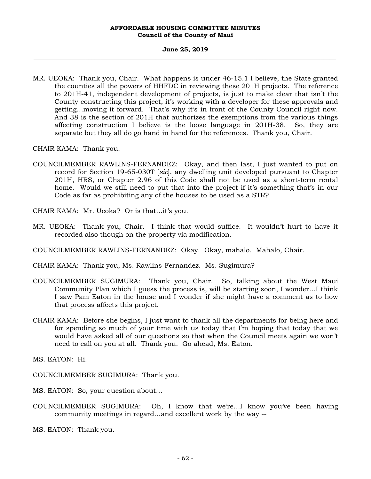### **June 25, 2019 \_\_\_\_\_\_\_\_\_\_\_\_\_\_\_\_\_\_\_\_\_\_\_\_\_\_\_\_\_\_\_\_\_\_\_\_\_\_\_\_\_\_\_\_\_\_\_\_\_\_\_\_\_\_\_\_\_\_\_\_\_\_\_\_\_\_\_\_\_\_\_\_\_\_\_\_\_\_\_\_\_\_\_\_\_\_\_\_\_\_\_\_\_\_\_\_\_\_\_**

MR. UEOKA: Thank you, Chair. What happens is under 46-15.1 I believe, the State granted the counties all the powers of HHFDC in reviewing these 201H projects. The reference to 201H-41, independent development of projects, is just to make clear that isn't the County constructing this project, it's working with a developer for these approvals and getting…moving it forward. That's why it's in front of the County Council right now. And 38 is the section of 201H that authorizes the exemptions from the various things affecting construction I believe is the loose language in 201H-38. So, they are separate but they all do go hand in hand for the references. Thank you, Chair.

CHAIR KAMA: Thank you.

COUNCILMEMBER RAWLINS-FERNANDEZ: Okay, and then last, I just wanted to put on record for Section 19-65-030T [*sic*], any dwelling unit developed pursuant to Chapter 201H, HRS, or Chapter 2.96 of this Code shall not be used as a short-term rental home. Would we still need to put that into the project if it's something that's in our Code as far as prohibiting any of the houses to be used as a STR?

CHAIR KAMA: Mr. Ueoka? Or is that…it's you.

MR. UEOKA: Thank you, Chair. I think that would suffice. It wouldn't hurt to have it recorded also though on the property via modification.

COUNCILMEMBER RAWLINS-FERNANDEZ: Okay. Okay, mahalo. Mahalo, Chair.

CHAIR KAMA: Thank you, Ms. Rawlins-Fernandez. Ms. Sugimura?

- COUNCILMEMBER SUGIMURA: Thank you, Chair. So, talking about the West Maui Community Plan which I guess the process is, will be starting soon, I wonder…I think I saw Pam Eaton in the house and I wonder if she might have a comment as to how that process affects this project.
- CHAIR KAMA: Before she begins, I just want to thank all the departments for being here and for spending so much of your time with us today that I'm hoping that today that we would have asked all of our questions so that when the Council meets again we won't need to call on you at all. Thank you. Go ahead, Ms. Eaton.

MS. EATON: Hi.

COUNCILMEMBER SUGIMURA: Thank you.

MS. EATON: So, your question about…

COUNCILMEMBER SUGIMURA: Oh, I know that we're…I know you've been having community meetings in regard…and excellent work by the way --

MS. EATON: Thank you.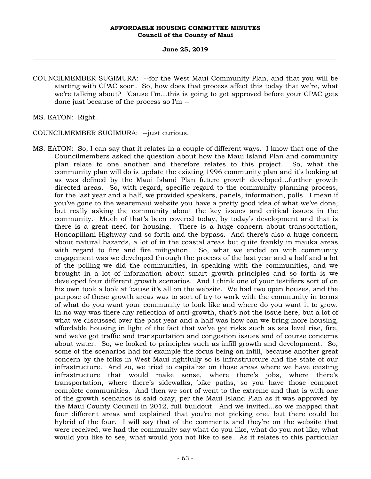COUNCILMEMBER SUGIMURA: --for the West Maui Community Plan, and that you will be starting with CPAC soon. So, how does that process affect this today that we're, what we're talking about? 'Cause I'm…this is going to get approved before your CPAC gets done just because of the process so I'm --

MS. EATON: Right.

COUNCILMEMBER SUGIMURA: --just curious.

MS. EATON: So, I can say that it relates in a couple of different ways. I know that one of the Councilmembers asked the question about how the Maui Island Plan and community plan relate to one another and therefore relates to this project. So, what the community plan will do is update the existing 1996 community plan and it's looking at as was defined by the Maui Island Plan future growth developed…further growth directed areas. So, with regard, specific regard to the community planning process, for the last year and a half, we provided speakers, panels, information, polls. I mean if you've gone to the wearemaui website you have a pretty good idea of what we've done, but really asking the community about the key issues and critical issues in the community. Much of that's been covered today, by today's development and that is there is a great need for housing. There is a huge concern about transportation, Honoapiilani Highway and so forth and the bypass. And there's also a huge concern about natural hazards, a lot of in the coastal areas but quite frankly in mauka areas with regard to fire and fire mitigation. So, what we ended on with community engagement was we developed through the process of the last year and a half and a lot of the polling we did the communities, in speaking with the communities, and we brought in a lot of information about smart growth principles and so forth is we developed four different growth scenarios. And I think one of your testifiers sort of on his own took a look at 'cause it's all on the website. We had two open houses, and the purpose of these growth areas was to sort of try to work with the community in terms of what do you want your community to look like and where do you want it to grow. In no way was there any reflection of anti-growth, that's not the issue here, but a lot of what we discussed over the past year and a half was how can we bring more housing, affordable housing in light of the fact that we've got risks such as sea level rise, fire, and we've got traffic and transportation and congestion issues and of course concerns about water. So, we looked to principles such as infill growth and development. So, some of the scenarios had for example the focus being on infill, because another great concern by the folks in West Maui rightfully so is infrastructure and the state of our infrastructure. And so, we tried to capitalize on those areas where we have existing infrastructure that would make sense, where there's jobs, where there's transportation, where there's sidewalks, bike paths, so you have those compact complete communities. And then we sort of went to the extreme and that is with one of the growth scenarios is said okay, per the Maui Island Plan as it was approved by the Maui County Council in 2012, full buildout. And we invited…so we mapped that four different areas and explained that you're not picking one, but there could be hybrid of the four. I will say that of the comments and they're on the website that were received, we had the community say what do you like, what do you not like, what would you like to see, what would you not like to see. As it relates to this particular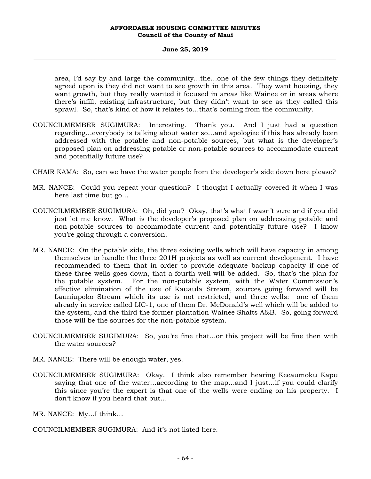### **June 25, 2019 \_\_\_\_\_\_\_\_\_\_\_\_\_\_\_\_\_\_\_\_\_\_\_\_\_\_\_\_\_\_\_\_\_\_\_\_\_\_\_\_\_\_\_\_\_\_\_\_\_\_\_\_\_\_\_\_\_\_\_\_\_\_\_\_\_\_\_\_\_\_\_\_\_\_\_\_\_\_\_\_\_\_\_\_\_\_\_\_\_\_\_\_\_\_\_\_\_\_\_**

area, I'd say by and large the community...the…one of the few things they definitely agreed upon is they did not want to see growth in this area. They want housing, they want growth, but they really wanted it focused in areas like Wainee or in areas where there's infill, existing infrastructure, but they didn't want to see as they called this sprawl. So, that's kind of how it relates to…that's coming from the community.

- COUNCILMEMBER SUGIMURA: Interesting. Thank you. And I just had a question regarding…everybody is talking about water so…and apologize if this has already been addressed with the potable and non-potable sources, but what is the developer's proposed plan on addressing potable or non-potable sources to accommodate current and potentially future use?
- CHAIR KAMA: So, can we have the water people from the developer's side down here please?
- MR. NANCE: Could you repeat your question? I thought I actually covered it when I was here last time but go…
- COUNCILMEMBER SUGIMURA: Oh, did you? Okay, that's what I wasn't sure and if you did just let me know. What is the developer's proposed plan on addressing potable and non-potable sources to accommodate current and potentially future use? I know you're going through a conversion.
- MR. NANCE: On the potable side, the three existing wells which will have capacity in among themselves to handle the three 201H projects as well as current development. I have recommended to them that in order to provide adequate backup capacity if one of these three wells goes down, that a fourth well will be added. So, that's the plan for the potable system. For the non-potable system, with the Water Commission's effective elimination of the use of Kauaula Stream, sources going forward will be Launiupoko Stream which its use is not restricted, and three wells: one of them already in service called LIC-1, one of them Dr. McDonald's well which will be added to the system, and the third the former plantation Wainee Shafts A&B. So, going forward those will be the sources for the non-potable system.
- COUNCILMEMBER SUGIMURA: So, you're fine that…or this project will be fine then with the water sources?
- MR. NANCE: There will be enough water, yes.
- COUNCILMEMBER SUGIMURA: Okay. I think also remember hearing Keeaumoku Kapu saying that one of the water…according to the map…and I just…if you could clarify this since you're the expert is that one of the wells were ending on his property. I don't know if you heard that but…

MR. NANCE: My…I think…

COUNCILMEMBER SUGIMURA: And it's not listed here.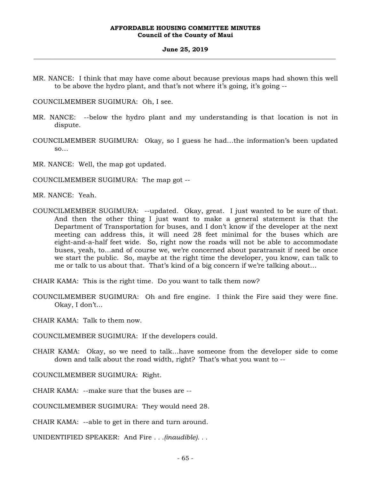#### **June 25, 2019 \_\_\_\_\_\_\_\_\_\_\_\_\_\_\_\_\_\_\_\_\_\_\_\_\_\_\_\_\_\_\_\_\_\_\_\_\_\_\_\_\_\_\_\_\_\_\_\_\_\_\_\_\_\_\_\_\_\_\_\_\_\_\_\_\_\_\_\_\_\_\_\_\_\_\_\_\_\_\_\_\_\_\_\_\_\_\_\_\_\_\_\_\_\_\_\_\_\_\_**

MR. NANCE: I think that may have come about because previous maps had shown this well to be above the hydro plant, and that's not where it's going, it's going --

COUNCILMEMBER SUGIMURA: Oh, I see.

- MR. NANCE: --below the hydro plant and my understanding is that location is not in dispute.
- COUNCILMEMBER SUGIMURA: Okay, so I guess he had…the information's been updated  $SO...$

MR. NANCE: Well, the map got updated.

COUNCILMEMBER SUGIMURA: The map got --

MR. NANCE: Yeah.

COUNCILMEMBER SUGIMURA: --updated. Okay, great. I just wanted to be sure of that. And then the other thing I just want to make a general statement is that the Department of Transportation for buses, and I don't know if the developer at the next meeting can address this, it will need 28 feet minimal for the buses which are eight-and-a-half feet wide. So, right now the roads will not be able to accommodate buses, yeah, to…and of course we, we're concerned about paratransit if need be once we start the public. So, maybe at the right time the developer, you know, can talk to me or talk to us about that. That's kind of a big concern if we're talking about…

CHAIR KAMA: This is the right time. Do you want to talk them now?

COUNCILMEMBER SUGIMURA: Oh and fire engine. I think the Fire said they were fine. Okay, I don't...

CHAIR KAMA: Talk to them now.

COUNCILMEMBER SUGIMURA: If the developers could.

CHAIR KAMA: Okay, so we need to talk…have someone from the developer side to come down and talk about the road width, right? That's what you want to --

COUNCILMEMBER SUGIMURA: Right.

CHAIR KAMA: --make sure that the buses are --

COUNCILMEMBER SUGIMURA: They would need 28.

CHAIR KAMA: --able to get in there and turn around.

UNIDENTIFIED SPEAKER: And Fire *. . .(inaudible). . .*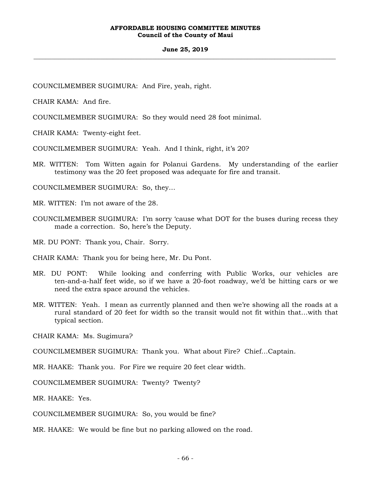### **June 25, 2019 \_\_\_\_\_\_\_\_\_\_\_\_\_\_\_\_\_\_\_\_\_\_\_\_\_\_\_\_\_\_\_\_\_\_\_\_\_\_\_\_\_\_\_\_\_\_\_\_\_\_\_\_\_\_\_\_\_\_\_\_\_\_\_\_\_\_\_\_\_\_\_\_\_\_\_\_\_\_\_\_\_\_\_\_\_\_\_\_\_\_\_\_\_\_\_\_\_\_\_**

COUNCILMEMBER SUGIMURA: And Fire, yeah, right.

CHAIR KAMA: And fire.

COUNCILMEMBER SUGIMURA: So they would need 28 foot minimal.

CHAIR KAMA: Twenty-eight feet.

COUNCILMEMBER SUGIMURA: Yeah. And I think, right, it's 20?

MR. WITTEN: Tom Witten again for Polanui Gardens. My understanding of the earlier testimony was the 20 feet proposed was adequate for fire and transit.

COUNCILMEMBER SUGIMURA: So, they…

MR. WITTEN: I'm not aware of the 28.

COUNCILMEMBER SUGIMURA: I'm sorry 'cause what DOT for the buses during recess they made a correction. So, here's the Deputy.

MR. DU PONT: Thank you, Chair. Sorry.

CHAIR KAMA: Thank you for being here, Mr. Du Pont.

- MR. DU PONT: While looking and conferring with Public Works, our vehicles are ten-and-a-half feet wide, so if we have a 20-foot roadway, we'd be hitting cars or we need the extra space around the vehicles.
- MR. WITTEN: Yeah. I mean as currently planned and then we're showing all the roads at a rural standard of 20 feet for width so the transit would not fit within that…with that typical section.

CHAIR KAMA: Ms. Sugimura?

COUNCILMEMBER SUGIMURA: Thank you. What about Fire? Chief…Captain.

MR. HAAKE: Thank you. For Fire we require 20 feet clear width.

COUNCILMEMBER SUGIMURA: Twenty? Twenty?

MR. HAAKE: Yes.

COUNCILMEMBER SUGIMURA: So, you would be fine?

MR. HAAKE: We would be fine but no parking allowed on the road.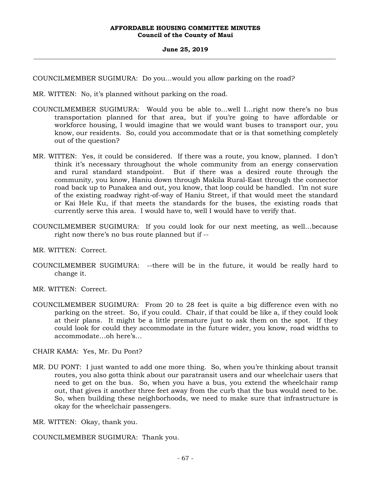COUNCILMEMBER SUGIMURA: Do you…would you allow parking on the road?

MR. WITTEN: No, it's planned without parking on the road.

- COUNCILMEMBER SUGIMURA: Would you be able to…well I…right now there's no bus transportation planned for that area, but if you're going to have affordable or workforce housing, I would imagine that we would want buses to transport our, you know, our residents. So, could you accommodate that or is that something completely out of the question?
- MR. WITTEN: Yes, it could be considered. If there was a route, you know, planned. I don't think it's necessary throughout the whole community from an energy conservation and rural standard standpoint. But if there was a desired route through the community, you know, Haniu down through Makila Rural-East through the connector road back up to Punakea and out, you know, that loop could be handled. I'm not sure of the existing roadway right-of-way of Haniu Street, if that would meet the standard or Kai Hele Ku, if that meets the standards for the buses, the existing roads that currently serve this area. I would have to, well I would have to verify that.
- COUNCILMEMBER SUGIMURA: If you could look for our next meeting, as well…because right now there's no bus route planned but if --

MR. WITTEN: Correct.

- COUNCILMEMBER SUGIMURA: --there will be in the future, it would be really hard to change it.
- MR. WITTEN: Correct.
- COUNCILMEMBER SUGIMURA: From 20 to 28 feet is quite a big difference even with no parking on the street. So, if you could. Chair, if that could be like a, if they could look at their plans. It might be a little premature just to ask them on the spot. If they could look for could they accommodate in the future wider, you know, road widths to accommodate…oh here's…

CHAIR KAMA: Yes, Mr. Du Pont?

MR. DU PONT: I just wanted to add one more thing. So, when you're thinking about transit routes, you also gotta think about our paratransit users and our wheelchair users that need to get on the bus. So, when you have a bus, you extend the wheelchair ramp out, that gives it another three feet away from the curb that the bus would need to be. So, when building these neighborhoods, we need to make sure that infrastructure is okay for the wheelchair passengers.

MR. WITTEN: Okay, thank you.

COUNCILMEMBER SUGIMURA: Thank you.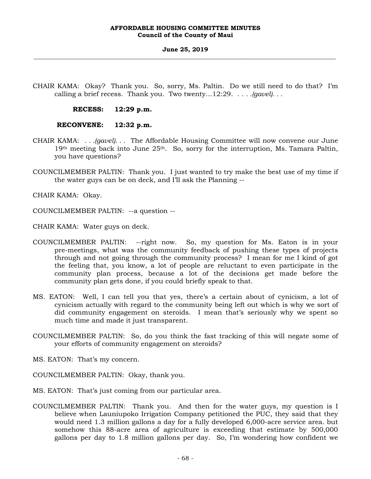CHAIR KAMA: Okay? Thank you. So, sorry, Ms. Paltin. Do we still need to do that? I'm calling a brief recess. Thank you. Two twenty…12:29. . . *. .(gavel). . .*

**RECESS: 12:29 p.m.** 

# **RECONVENE: 12:32 p.m.**

- CHAIR KAMA: *. . .(gavel). . .* The Affordable Housing Committee will now convene our June  $19<sup>th</sup>$  meeting back into June  $25<sup>th</sup>$ . So, sorry for the interruption, Ms. Tamara Paltin, you have questions?
- COUNCILMEMBER PALTIN: Thank you. I just wanted to try make the best use of my time if the water guys can be on deck, and I'll ask the Planning --

CHAIR KAMA: Okay.

COUNCILMEMBER PALTIN: --a question --

CHAIR KAMA: Water guys on deck.

- COUNCILMEMBER PALTIN: --right now. So, my question for Ms. Eaton is in your pre-meetings, what was the community feedback of pushing these types of projects through and not going through the community process? I mean for me I kind of got the feeling that, you know, a lot of people are reluctant to even participate in the community plan process, because a lot of the decisions get made before the community plan gets done, if you could briefly speak to that.
- MS. EATON: Well, I can tell you that yes, there's a certain about of cynicism, a lot of cynicism actually with regard to the community being left out which is why we sort of did community engagement on steroids. I mean that's seriously why we spent so much time and made it just transparent.
- COUNCILMEMBER PALTIN: So, do you think the fast tracking of this will negate some of your efforts of community engagement on steroids?

MS. EATON: That's my concern.

- COUNCILMEMBER PALTIN: Okay, thank you.
- MS. EATON: That's just coming from our particular area.
- COUNCILMEMBER PALTIN: Thank you. And then for the water guys, my question is I believe when Launiupoko Irrigation Company petitioned the PUC, they said that they would need 1.3 million gallons a day for a fully developed 6,000-acre service area. but somehow this 88-acre area of agriculture is exceeding that estimate by 500,000 gallons per day to 1.8 million gallons per day. So, I'm wondering how confident we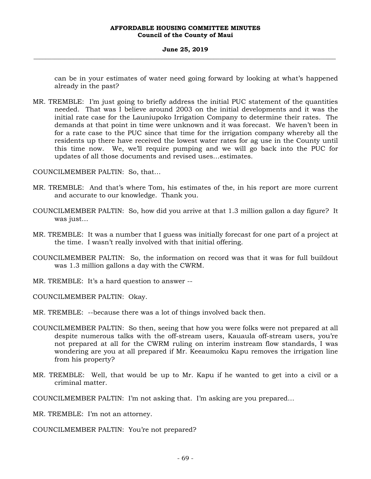### **June 25, 2019 \_\_\_\_\_\_\_\_\_\_\_\_\_\_\_\_\_\_\_\_\_\_\_\_\_\_\_\_\_\_\_\_\_\_\_\_\_\_\_\_\_\_\_\_\_\_\_\_\_\_\_\_\_\_\_\_\_\_\_\_\_\_\_\_\_\_\_\_\_\_\_\_\_\_\_\_\_\_\_\_\_\_\_\_\_\_\_\_\_\_\_\_\_\_\_\_\_\_\_**

can be in your estimates of water need going forward by looking at what's happened already in the past?

MR. TREMBLE: I'm just going to briefly address the initial PUC statement of the quantities needed. That was I believe around 2003 on the initial developments and it was the initial rate case for the Launiupoko Irrigation Company to determine their rates. The demands at that point in time were unknown and it was forecast. We haven't been in for a rate case to the PUC since that time for the irrigation company whereby all the residents up there have received the lowest water rates for ag use in the County until this time now. We, we'll require pumping and we will go back into the PUC for updates of all those documents and revised uses…estimates.

COUNCILMEMBER PALTIN: So, that…

- MR. TREMBLE: And that's where Tom, his estimates of the, in his report are more current and accurate to our knowledge. Thank you.
- COUNCILMEMBER PALTIN: So, how did you arrive at that 1.3 million gallon a day figure? It was just…
- MR. TREMBLE: It was a number that I guess was initially forecast for one part of a project at the time. I wasn't really involved with that initial offering.
- COUNCILMEMBER PALTIN: So, the information on record was that it was for full buildout was 1.3 million gallons a day with the CWRM.
- MR. TREMBLE: It's a hard question to answer --

COUNCILMEMBER PALTIN: Okay.

MR. TREMBLE: --because there was a lot of things involved back then.

- COUNCILMEMBER PALTIN: So then, seeing that how you were folks were not prepared at all despite numerous talks with the off-stream users, Kauaula off-stream users, you're not prepared at all for the CWRM ruling on interim instream flow standards, I was wondering are you at all prepared if Mr. Keeaumoku Kapu removes the irrigation line from his property?
- MR. TREMBLE: Well, that would be up to Mr. Kapu if he wanted to get into a civil or a criminal matter.

COUNCILMEMBER PALTIN: I'm not asking that. I'm asking are you prepared…

MR. TREMBLE: I'm not an attorney.

COUNCILMEMBER PALTIN: You're not prepared?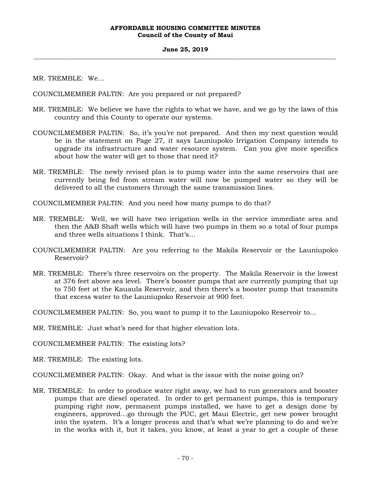MR. TREMBLE: We…

COUNCILMEMBER PALTIN: Are you prepared or not prepared?

- MR. TREMBLE: We believe we have the rights to what we have, and we go by the laws of this country and this County to operate our systems.
- COUNCILMEMBER PALTIN: So, it's you're not prepared. And then my next question would be in the statement on Page 27, it says Launiupoko Irrigation Company intends to upgrade its infrastructure and water resource system. Can you give more specifics about how the water will get to those that need it?
- MR. TREMBLE: The newly revised plan is to pump water into the same reservoirs that are currently being fed from stream water will now be pumped water so they will be delivered to all the customers through the same transmission lines.
- COUNCILMEMBER PALTIN: And you need how many pumps to do that?
- MR. TREMBLE: Well, we will have two irrigation wells in the service immediate area and then the A&B Shaft wells which will have two pumps in them so a total of four pumps and three wells situations I think. That's…
- COUNCILMEMBER PALTIN: Are you referring to the Makila Reservoir or the Launiupoko Reservoir?
- MR. TREMBLE: There's three reservoirs on the property. The Makila Reservoir is the lowest at 376 feet above sea level. There's booster pumps that are currently pumping that up to 750 feet at the Kauaula Reservoir, and then there's a booster pump that transmits that excess water to the Launiupoko Reservoir at 900 feet.

COUNCILMEMBER PALTIN: So, you want to pump it to the Launiupoko Reservoir to…

MR. TREMBLE: Just what's need for that higher elevation lots.

COUNCILMEMBER PALTIN: The existing lots?

MR. TREMBLE: The existing lots.

COUNCILMEMBER PALTIN: Okay. And what is the issue with the noise going on?

MR. TREMBLE: In order to produce water right away, we had to run generators and booster pumps that are diesel operated. In order to get permanent pumps, this is temporary pumping right now, permanent pumps installed, we have to get a design done by engineers, approved…go through the PUC, get Maui Electric, get new power brought into the system. It's a longer process and that's what we're planning to do and we're in the works with it, but it takes, you know, at least a year to get a couple of these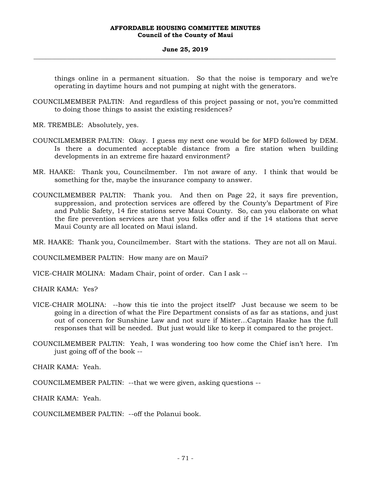### **June 25, 2019 \_\_\_\_\_\_\_\_\_\_\_\_\_\_\_\_\_\_\_\_\_\_\_\_\_\_\_\_\_\_\_\_\_\_\_\_\_\_\_\_\_\_\_\_\_\_\_\_\_\_\_\_\_\_\_\_\_\_\_\_\_\_\_\_\_\_\_\_\_\_\_\_\_\_\_\_\_\_\_\_\_\_\_\_\_\_\_\_\_\_\_\_\_\_\_\_\_\_\_**

things online in a permanent situation. So that the noise is temporary and we're operating in daytime hours and not pumping at night with the generators.

- COUNCILMEMBER PALTIN: And regardless of this project passing or not, you're committed to doing those things to assist the existing residences?
- MR. TREMBLE: Absolutely, yes.
- COUNCILMEMBER PALTIN: Okay. I guess my next one would be for MFD followed by DEM. Is there a documented acceptable distance from a fire station when building developments in an extreme fire hazard environment?
- MR. HAAKE: Thank you, Councilmember. I'm not aware of any. I think that would be something for the, maybe the insurance company to answer.
- COUNCILMEMBER PALTIN: Thank you. And then on Page 22, it says fire prevention, suppression, and protection services are offered by the County's Department of Fire and Public Safety, 14 fire stations serve Maui County. So, can you elaborate on what the fire prevention services are that you folks offer and if the 14 stations that serve Maui County are all located on Maui island.

MR. HAAKE: Thank you, Councilmember. Start with the stations. They are not all on Maui.

COUNCILMEMBER PALTIN: How many are on Maui?

VICE-CHAIR MOLINA: Madam Chair, point of order. Can I ask --

CHAIR KAMA: Yes?

- VICE-CHAIR MOLINA: --how this tie into the project itself? Just because we seem to be going in a direction of what the Fire Department consists of as far as stations, and just out of concern for Sunshine Law and not sure if Mister…Captain Haake has the full responses that will be needed. But just would like to keep it compared to the project.
- COUNCILMEMBER PALTIN: Yeah, I was wondering too how come the Chief isn't here. I'm just going off of the book --

CHAIR KAMA: Yeah.

COUNCILMEMBER PALTIN: --that we were given, asking questions --

CHAIR KAMA: Yeah.

COUNCILMEMBER PALTIN: --off the Polanui book.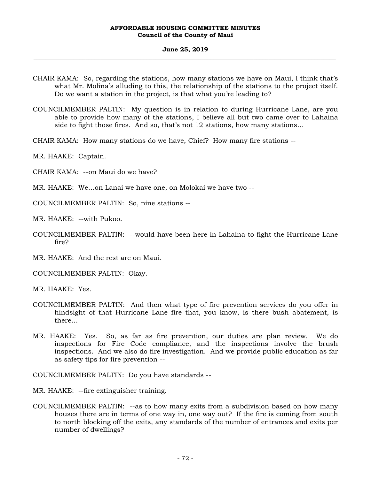### **June 25, 2019 \_\_\_\_\_\_\_\_\_\_\_\_\_\_\_\_\_\_\_\_\_\_\_\_\_\_\_\_\_\_\_\_\_\_\_\_\_\_\_\_\_\_\_\_\_\_\_\_\_\_\_\_\_\_\_\_\_\_\_\_\_\_\_\_\_\_\_\_\_\_\_\_\_\_\_\_\_\_\_\_\_\_\_\_\_\_\_\_\_\_\_\_\_\_\_\_\_\_\_**

- CHAIR KAMA: So, regarding the stations, how many stations we have on Maui, I think that's what Mr. Molina's alluding to this, the relationship of the stations to the project itself. Do we want a station in the project, is that what you're leading to?
- COUNCILMEMBER PALTIN: My question is in relation to during Hurricane Lane, are you able to provide how many of the stations, I believe all but two came over to Lahaina side to fight those fires. And so, that's not 12 stations, how many stations…
- CHAIR KAMA: How many stations do we have, Chief? How many fire stations --
- MR. HAAKE: Captain.
- CHAIR KAMA: --on Maui do we have?
- MR. HAAKE: We…on Lanai we have one, on Molokai we have two --
- COUNCILMEMBER PALTIN: So, nine stations --
- MR. HAAKE: --with Pukoo.
- COUNCILMEMBER PALTIN: --would have been here in Lahaina to fight the Hurricane Lane fire?
- MR. HAAKE: And the rest are on Maui.
- COUNCILMEMBER PALTIN: Okay.
- MR. HAAKE: Yes.
- COUNCILMEMBER PALTIN: And then what type of fire prevention services do you offer in hindsight of that Hurricane Lane fire that, you know, is there bush abatement, is there…
- MR. HAAKE: Yes. So, as far as fire prevention, our duties are plan review. We do inspections for Fire Code compliance, and the inspections involve the brush inspections. And we also do fire investigation. And we provide public education as far as safety tips for fire prevention --

COUNCILMEMBER PALTIN: Do you have standards --

- MR. HAAKE: --fire extinguisher training.
- COUNCILMEMBER PALTIN: --as to how many exits from a subdivision based on how many houses there are in terms of one way in, one way out? If the fire is coming from south to north blocking off the exits, any standards of the number of entrances and exits per number of dwellings?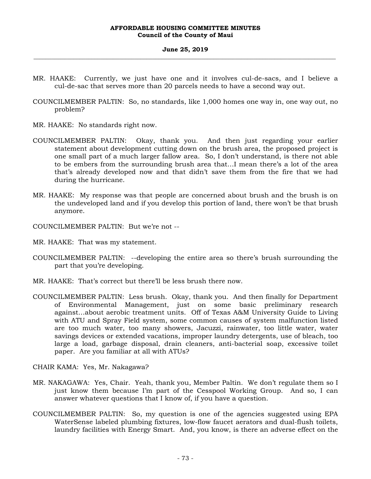#### **June 25, 2019 \_\_\_\_\_\_\_\_\_\_\_\_\_\_\_\_\_\_\_\_\_\_\_\_\_\_\_\_\_\_\_\_\_\_\_\_\_\_\_\_\_\_\_\_\_\_\_\_\_\_\_\_\_\_\_\_\_\_\_\_\_\_\_\_\_\_\_\_\_\_\_\_\_\_\_\_\_\_\_\_\_\_\_\_\_\_\_\_\_\_\_\_\_\_\_\_\_\_\_**

- MR. HAAKE: Currently, we just have one and it involves cul-de-sacs, and I believe a cul-de-sac that serves more than 20 parcels needs to have a second way out.
- COUNCILMEMBER PALTIN: So, no standards, like 1,000 homes one way in, one way out, no problem?
- MR. HAAKE: No standards right now.
- COUNCILMEMBER PALTIN: Okay, thank you. And then just regarding your earlier statement about development cutting down on the brush area, the proposed project is one small part of a much larger fallow area. So, I don't understand, is there not able to be embers from the surrounding brush area that…I mean there's a lot of the area that's already developed now and that didn't save them from the fire that we had during the hurricane.
- MR. HAAKE: My response was that people are concerned about brush and the brush is on the undeveloped land and if you develop this portion of land, there won't be that brush anymore.
- COUNCILMEMBER PALTIN: But we're not --
- MR. HAAKE: That was my statement.
- COUNCILMEMBER PALTIN: --developing the entire area so there's brush surrounding the part that you're developing.
- MR. HAAKE: That's correct but there'll be less brush there now.
- COUNCILMEMBER PALTIN: Less brush. Okay, thank you. And then finally for Department of Environmental Management, just on some basic preliminary research against…about aerobic treatment units. Off of Texas A&M University Guide to Living with ATU and Spray Field system, some common causes of system malfunction listed are too much water, too many showers, Jacuzzi, rainwater, too little water, water savings devices or extended vacations, improper laundry detergents, use of bleach, too large a load, garbage disposal, drain cleaners, anti-bacterial soap, excessive toilet paper. Are you familiar at all with ATUs?
- CHAIR KAMA: Yes, Mr. Nakagawa?
- MR. NAKAGAWA: Yes, Chair. Yeah, thank you, Member Paltin. We don't regulate them so I just know them because I'm part of the Cesspool Working Group. And so, I can answer whatever questions that I know of, if you have a question.
- COUNCILMEMBER PALTIN: So, my question is one of the agencies suggested using EPA WaterSense labeled plumbing fixtures, low-flow faucet aerators and dual-flush toilets, laundry facilities with Energy Smart. And, you know, is there an adverse effect on the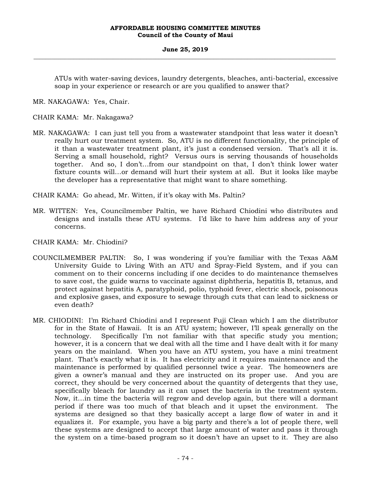#### **June 25, 2019 \_\_\_\_\_\_\_\_\_\_\_\_\_\_\_\_\_\_\_\_\_\_\_\_\_\_\_\_\_\_\_\_\_\_\_\_\_\_\_\_\_\_\_\_\_\_\_\_\_\_\_\_\_\_\_\_\_\_\_\_\_\_\_\_\_\_\_\_\_\_\_\_\_\_\_\_\_\_\_\_\_\_\_\_\_\_\_\_\_\_\_\_\_\_\_\_\_\_\_**

ATUs with water-saving devices, laundry detergents, bleaches, anti-bacterial, excessive soap in your experience or research or are you qualified to answer that?

MR. NAKAGAWA: Yes, Chair.

CHAIR KAMA: Mr. Nakagawa?

MR. NAKAGAWA: I can just tell you from a wastewater standpoint that less water it doesn't really hurt our treatment system. So, ATU is no different functionality, the principle of it than a wastewater treatment plant, it's just a condensed version. That's all it is. Serving a small household, right? Versus ours is serving thousands of households together. And so, I don't…from our standpoint on that, I don't think lower water fixture counts will…or demand will hurt their system at all. But it looks like maybe the developer has a representative that might want to share something.

CHAIR KAMA: Go ahead, Mr. Witten, if it's okay with Ms. Paltin?

MR. WITTEN: Yes, Councilmember Paltin, we have Richard Chiodini who distributes and designs and installs these ATU systems. I'd like to have him address any of your concerns.

CHAIR KAMA: Mr. Chiodini?

- COUNCILMEMBER PALTIN: So, I was wondering if you're familiar with the Texas A&M University Guide to Living With an ATU and Spray-Field System, and if you can comment on to their concerns including if one decides to do maintenance themselves to save cost, the guide warns to vaccinate against diphtheria, hepatitis B, tetanus, and protect against hepatitis A, paratyphoid, polio, typhoid fever, electric shock, poisonous and explosive gases, and exposure to sewage through cuts that can lead to sickness or even death?
- MR. CHIODINI: I'm Richard Chiodini and I represent Fuji Clean which I am the distributor for in the State of Hawaii. It is an ATU system; however, I'll speak generally on the technology. Specifically I'm not familiar with that specific study you mention; however, it is a concern that we deal with all the time and I have dealt with it for many years on the mainland. When you have an ATU system, you have a mini treatment plant. That's exactly what it is. It has electricity and it requires maintenance and the maintenance is performed by qualified personnel twice a year. The homeowners are given a owner's manual and they are instructed on its proper use. And you are correct, they should be very concerned about the quantity of detergents that they use, specifically bleach for laundry as it can upset the bacteria in the treatment system. Now, it…in time the bacteria will regrow and develop again, but there will a dormant period if there was too much of that bleach and it upset the environment. The systems are designed so that they basically accept a large flow of water in and it equalizes it. For example, you have a big party and there's a lot of people there, well these systems are designed to accept that large amount of water and pass it through the system on a time-based program so it doesn't have an upset to it. They are also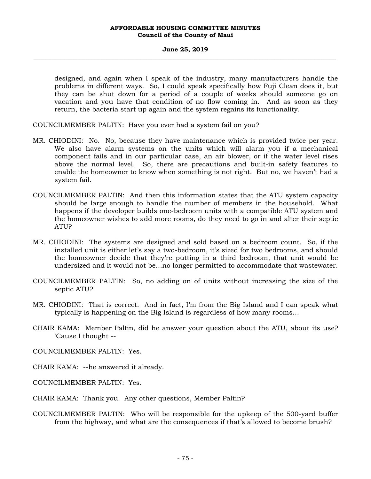#### **June 25, 2019 \_\_\_\_\_\_\_\_\_\_\_\_\_\_\_\_\_\_\_\_\_\_\_\_\_\_\_\_\_\_\_\_\_\_\_\_\_\_\_\_\_\_\_\_\_\_\_\_\_\_\_\_\_\_\_\_\_\_\_\_\_\_\_\_\_\_\_\_\_\_\_\_\_\_\_\_\_\_\_\_\_\_\_\_\_\_\_\_\_\_\_\_\_\_\_\_\_\_\_**

designed, and again when I speak of the industry, many manufacturers handle the problems in different ways. So, I could speak specifically how Fuji Clean does it, but they can be shut down for a period of a couple of weeks should someone go on vacation and you have that condition of no flow coming in. And as soon as they return, the bacteria start up again and the system regains its functionality.

COUNCILMEMBER PALTIN: Have you ever had a system fail on you?

- MR. CHIODINI: No. No, because they have maintenance which is provided twice per year. We also have alarm systems on the units which will alarm you if a mechanical component fails and in our particular case, an air blower, or if the water level rises above the normal level. So, there are precautions and built-in safety features to enable the homeowner to know when something is not right. But no, we haven't had a system fail.
- COUNCILMEMBER PALTIN: And then this information states that the ATU system capacity should be large enough to handle the number of members in the household. What happens if the developer builds one-bedroom units with a compatible ATU system and the homeowner wishes to add more rooms, do they need to go in and alter their septic ATU?
- MR. CHIODINI: The systems are designed and sold based on a bedroom count. So, if the installed unit is either let's say a two-bedroom, it's sized for two bedrooms, and should the homeowner decide that they're putting in a third bedroom, that unit would be undersized and it would not be…no longer permitted to accommodate that wastewater.
- COUNCILMEMBER PALTIN: So, no adding on of units without increasing the size of the septic ATU?
- MR. CHIODINI: That is correct. And in fact, I'm from the Big Island and I can speak what typically is happening on the Big Island is regardless of how many rooms…
- CHAIR KAMA: Member Paltin, did he answer your question about the ATU, about its use? 'Cause I thought --
- COUNCILMEMBER PALTIN: Yes.
- CHAIR KAMA: --he answered it already.
- COUNCILMEMBER PALTIN: Yes.
- CHAIR KAMA: Thank you. Any other questions, Member Paltin?
- COUNCILMEMBER PALTIN: Who will be responsible for the upkeep of the 500-yard buffer from the highway, and what are the consequences if that's allowed to become brush?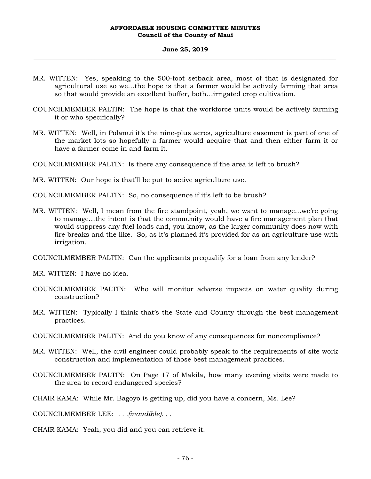#### **June 25, 2019 \_\_\_\_\_\_\_\_\_\_\_\_\_\_\_\_\_\_\_\_\_\_\_\_\_\_\_\_\_\_\_\_\_\_\_\_\_\_\_\_\_\_\_\_\_\_\_\_\_\_\_\_\_\_\_\_\_\_\_\_\_\_\_\_\_\_\_\_\_\_\_\_\_\_\_\_\_\_\_\_\_\_\_\_\_\_\_\_\_\_\_\_\_\_\_\_\_\_\_**

- MR. WITTEN: Yes, speaking to the 500-foot setback area, most of that is designated for agricultural use so we…the hope is that a farmer would be actively farming that area so that would provide an excellent buffer, both…irrigated crop cultivation.
- COUNCILMEMBER PALTIN: The hope is that the workforce units would be actively farming it or who specifically?
- MR. WITTEN: Well, in Polanui it's the nine-plus acres, agriculture easement is part of one of the market lots so hopefully a farmer would acquire that and then either farm it or have a farmer come in and farm it.

COUNCILMEMBER PALTIN: Is there any consequence if the area is left to brush?

MR. WITTEN: Our hope is that'll be put to active agriculture use.

COUNCILMEMBER PALTIN: So, no consequence if it's left to be brush?

MR. WITTEN: Well, I mean from the fire standpoint, yeah, we want to manage…we're going to manage…the intent is that the community would have a fire management plan that would suppress any fuel loads and, you know, as the larger community does now with fire breaks and the like. So, as it's planned it's provided for as an agriculture use with irrigation.

COUNCILMEMBER PALTIN: Can the applicants prequalify for a loan from any lender?

MR. WITTEN: I have no idea.

- COUNCILMEMBER PALTIN: Who will monitor adverse impacts on water quality during construction?
- MR. WITTEN: Typically I think that's the State and County through the best management practices.
- COUNCILMEMBER PALTIN: And do you know of any consequences for noncompliance?
- MR. WITTEN: Well, the civil engineer could probably speak to the requirements of site work construction and implementation of those best management practices.
- COUNCILMEMBER PALTIN: On Page 17 of Makila, how many evening visits were made to the area to record endangered species?

CHAIR KAMA: While Mr. Bagoyo is getting up, did you have a concern, Ms. Lee?

COUNCILMEMBER LEE: *. . .(inaudible). . .*

CHAIR KAMA: Yeah, you did and you can retrieve it.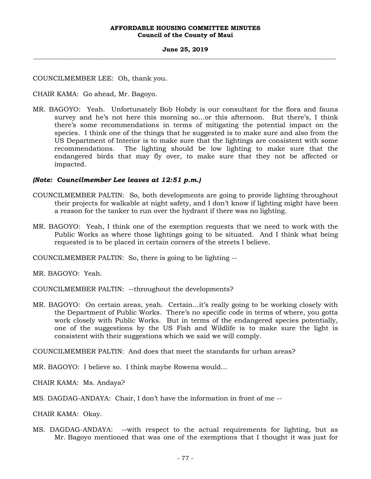#### **June 25, 2019 \_\_\_\_\_\_\_\_\_\_\_\_\_\_\_\_\_\_\_\_\_\_\_\_\_\_\_\_\_\_\_\_\_\_\_\_\_\_\_\_\_\_\_\_\_\_\_\_\_\_\_\_\_\_\_\_\_\_\_\_\_\_\_\_\_\_\_\_\_\_\_\_\_\_\_\_\_\_\_\_\_\_\_\_\_\_\_\_\_\_\_\_\_\_\_\_\_\_\_**

# COUNCILMEMBER LEE: Oh, thank you.

# CHAIR KAMA: Go ahead, Mr. Bagoyo.

MR. BAGOYO: Yeah. Unfortunately Bob Hobdy is our consultant for the flora and fauna survey and he's not here this morning so…or this afternoon. But there's, I think there's some recommendations in terms of mitigating the potential impact on the species. I think one of the things that he suggested is to make sure and also from the US Department of Interior is to make sure that the lightings are consistent with some recommendations. The lighting should be low lighting to make sure that the endangered birds that may fly over, to make sure that they not be affected or impacted.

# *(Note: Councilmember Lee leaves at 12:51 p.m.)*

- COUNCILMEMBER PALTIN: So, both developments are going to provide lighting throughout their projects for walkable at night safety, and I don't know if lighting might have been a reason for the tanker to run over the hydrant if there was no lighting.
- MR. BAGOYO: Yeah, I think one of the exemption requests that we need to work with the Public Works as where those lightings going to be situated. And I think what being requested is to be placed in certain corners of the streets I believe.

COUNCILMEMBER PALTIN: So, there is going to be lighting --

MR. BAGOYO: Yeah.

COUNCILMEMBER PALTIN: --throughout the developments?

MR. BAGOYO: On certain areas, yeah. Certain…it's really going to be working closely with the Department of Public Works. There's no specific code in terms of where, you gotta work closely with Public Works. But in terms of the endangered species potentially, one of the suggestions by the US Fish and Wildlife is to make sure the light is consistent with their suggestions which we said we will comply.

COUNCILMEMBER PALTIN: And does that meet the standards for urban areas?

MR. BAGOYO: I believe so. I think maybe Rowena would…

CHAIR KAMA: Ms. Andaya?

MS. DAGDAG-ANDAYA: Chair, I don't have the information in front of me --

CHAIR KAMA: Okay.

MS. DAGDAG-ANDAYA: --with respect to the actual requirements for lighting, but as Mr. Bagoyo mentioned that was one of the exemptions that I thought it was just for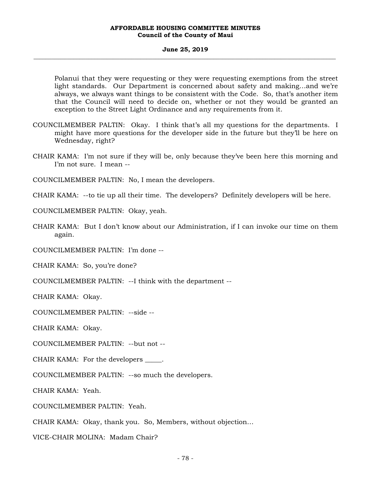#### **June 25, 2019 \_\_\_\_\_\_\_\_\_\_\_\_\_\_\_\_\_\_\_\_\_\_\_\_\_\_\_\_\_\_\_\_\_\_\_\_\_\_\_\_\_\_\_\_\_\_\_\_\_\_\_\_\_\_\_\_\_\_\_\_\_\_\_\_\_\_\_\_\_\_\_\_\_\_\_\_\_\_\_\_\_\_\_\_\_\_\_\_\_\_\_\_\_\_\_\_\_\_\_**

Polanui that they were requesting or they were requesting exemptions from the street light standards. Our Department is concerned about safety and making…and we're always, we always want things to be consistent with the Code. So, that's another item that the Council will need to decide on, whether or not they would be granted an exception to the Street Light Ordinance and any requirements from it.

- COUNCILMEMBER PALTIN: Okay. I think that's all my questions for the departments. I might have more questions for the developer side in the future but they'll be here on Wednesday, right?
- CHAIR KAMA: I'm not sure if they will be, only because they've been here this morning and I'm not sure. I mean --

COUNCILMEMBER PALTIN: No, I mean the developers.

CHAIR KAMA: --to tie up all their time. The developers? Definitely developers will be here.

COUNCILMEMBER PALTIN: Okay, yeah.

CHAIR KAMA: But I don't know about our Administration, if I can invoke our time on them again.

COUNCILMEMBER PALTIN: I'm done --

CHAIR KAMA: So, you're done?

COUNCILMEMBER PALTIN: --I think with the department --

CHAIR KAMA: Okay.

COUNCILMEMBER PALTIN: --side --

CHAIR KAMA: Okay.

COUNCILMEMBER PALTIN: --but not --

CHAIR KAMA: For the developers \_\_\_\_\_.

COUNCILMEMBER PALTIN: --so much the developers.

CHAIR KAMA: Yeah.

COUNCILMEMBER PALTIN: Yeah.

CHAIR KAMA: Okay, thank you. So, Members, without objection…

VICE-CHAIR MOLINA: Madam Chair?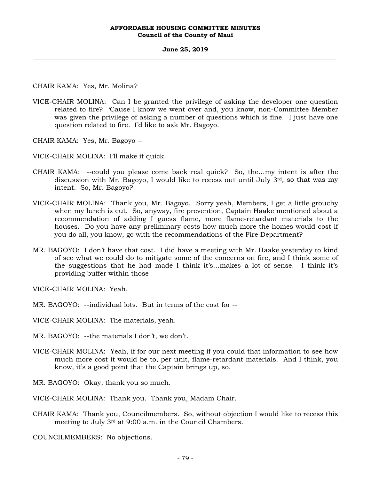#### **June 25, 2019 \_\_\_\_\_\_\_\_\_\_\_\_\_\_\_\_\_\_\_\_\_\_\_\_\_\_\_\_\_\_\_\_\_\_\_\_\_\_\_\_\_\_\_\_\_\_\_\_\_\_\_\_\_\_\_\_\_\_\_\_\_\_\_\_\_\_\_\_\_\_\_\_\_\_\_\_\_\_\_\_\_\_\_\_\_\_\_\_\_\_\_\_\_\_\_\_\_\_\_**

CHAIR KAMA: Yes, Mr. Molina?

VICE-CHAIR MOLINA: Can I be granted the privilege of asking the developer one question related to fire? 'Cause I know we went over and, you know, non-Committee Member was given the privilege of asking a number of questions which is fine. I just have one question related to fire. I'd like to ask Mr. Bagoyo.

CHAIR KAMA: Yes, Mr. Bagoyo --

VICE-CHAIR MOLINA: I'll make it quick.

- CHAIR KAMA: --could you please come back real quick? So, the…my intent is after the discussion with Mr. Bagoyo, I would like to recess out until July  $3<sup>rd</sup>$ , so that was my intent. So, Mr. Bagoyo?
- VICE-CHAIR MOLINA: Thank you, Mr. Bagoyo. Sorry yeah, Members, I get a little grouchy when my lunch is cut. So, anyway, fire prevention, Captain Haake mentioned about a recommendation of adding I guess flame, more flame-retardant materials to the houses. Do you have any preliminary costs how much more the homes would cost if you do all, you know, go with the recommendations of the Fire Department?
- MR. BAGOYO: I don't have that cost. I did have a meeting with Mr. Haake yesterday to kind of see what we could do to mitigate some of the concerns on fire, and I think some of the suggestions that he had made I think it's…makes a lot of sense. I think it's providing buffer within those --

VICE-CHAIR MOLINA: Yeah.

- MR. BAGOYO: --individual lots. But in terms of the cost for --
- VICE-CHAIR MOLINA: The materials, yeah.
- MR. BAGOYO: --the materials I don't, we don't.
- VICE-CHAIR MOLINA: Yeah, if for our next meeting if you could that information to see how much more cost it would be to, per unit, flame-retardant materials. And I think, you know, it's a good point that the Captain brings up, so.
- MR. BAGOYO: Okay, thank you so much.
- VICE-CHAIR MOLINA: Thank you. Thank you, Madam Chair.
- CHAIR KAMA: Thank you, Councilmembers. So, without objection I would like to recess this meeting to July 3rd at 9:00 a.m. in the Council Chambers.

COUNCILMEMBERS: No objections.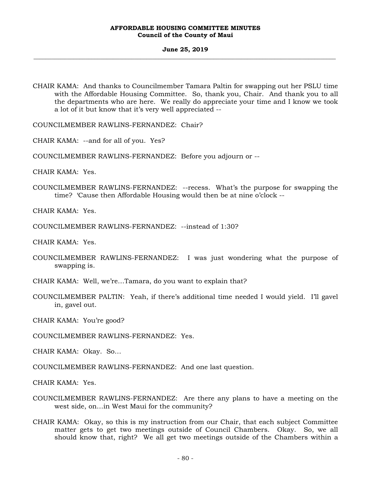#### **June 25, 2019 \_\_\_\_\_\_\_\_\_\_\_\_\_\_\_\_\_\_\_\_\_\_\_\_\_\_\_\_\_\_\_\_\_\_\_\_\_\_\_\_\_\_\_\_\_\_\_\_\_\_\_\_\_\_\_\_\_\_\_\_\_\_\_\_\_\_\_\_\_\_\_\_\_\_\_\_\_\_\_\_\_\_\_\_\_\_\_\_\_\_\_\_\_\_\_\_\_\_\_**

CHAIR KAMA: And thanks to Councilmember Tamara Paltin for swapping out her PSLU time with the Affordable Housing Committee. So, thank you, Chair. And thank you to all the departments who are here. We really do appreciate your time and I know we took a lot of it but know that it's very well appreciated --

COUNCILMEMBER RAWLINS-FERNANDEZ: Chair?

CHAIR KAMA: --and for all of you. Yes?

COUNCILMEMBER RAWLINS-FERNANDEZ: Before you adjourn or --

CHAIR KAMA: Yes.

COUNCILMEMBER RAWLINS-FERNANDEZ: --recess. What's the purpose for swapping the time? 'Cause then Affordable Housing would then be at nine o'clock --

CHAIR KAMA: Yes.

COUNCILMEMBER RAWLINS-FERNANDEZ: --instead of 1:30?

CHAIR KAMA: Yes.

- COUNCILMEMBER RAWLINS-FERNANDEZ: I was just wondering what the purpose of swapping is.
- CHAIR KAMA: Well, we're…Tamara, do you want to explain that?
- COUNCILMEMBER PALTIN: Yeah, if there's additional time needed I would yield. I'll gavel in, gavel out.

CHAIR KAMA: You're good?

COUNCILMEMBER RAWLINS-FERNANDEZ: Yes.

CHAIR KAMA: Okay. So…

COUNCILMEMBER RAWLINS-FERNANDEZ: And one last question.

CHAIR KAMA: Yes.

- COUNCILMEMBER RAWLINS-FERNANDEZ: Are there any plans to have a meeting on the west side, on…in West Maui for the community?
- CHAIR KAMA: Okay, so this is my instruction from our Chair, that each subject Committee matter gets to get two meetings outside of Council Chambers. Okay. So, we all should know that, right? We all get two meetings outside of the Chambers within a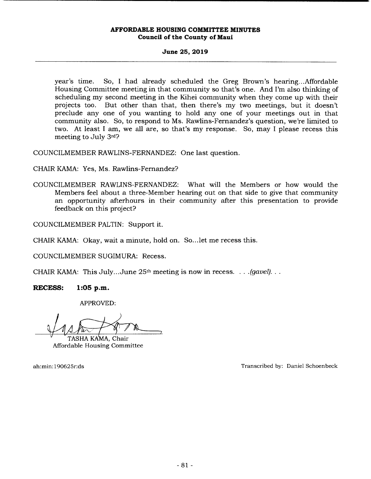## **June 25, 2019**

year's time. So, I had already scheduled the Greg Brown's hearing.. .Affordable Housing Committee meeting in that community so that's one. And I'm also thinking of scheduling my second meeting in the Kihei community when they come up with their projects too. But other than that, then there's my two meetings, but it doesn't preclude any one of you wanting to hold any one of your meetings out in that community also. So, to respond to Ms. Rawlins-Fernandez's question, we're limited to two. At least I am, we all are, so that's my response. So, may I please recess this meeting to July 3rd?

COUNCILMEMBER RAWLINS-FERNANDEZ: One last question.

CHAIR KAMA: Yes, Ms. Rawlins-Fernandez?

COUNCILMEMBER RAWLINS-FERNANDEZ: What will the Members or how would the Members feel about a three-Member hearing out on that side to give that community an opportunity afterhours in their community after this presentation to provide feedback on this project?

COUNCILMEMBER PALTIN: Support it.

CHAIR KAMA: Okay, wait a minute, hold on. So... let me recess this.

COUNCILMEMBER SUGIMURA: Recess.

CHAIR KAMA: This July.. .June 25th meeting is now in recess. .. .*(gavel). .* 

**RECESS: 1:05 p.m.** 

APPROVED:

TASHA KAMA. Chair

Affordable Housing Committee

ah:min: 190625r:ds Transcribed by: Daniel Schoenbeck